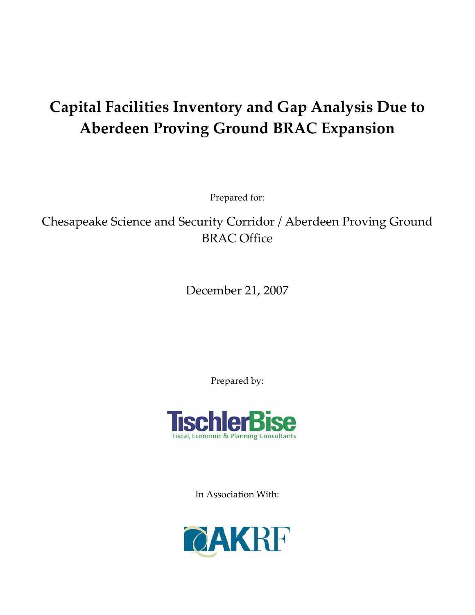# **Capital Facilities Inventory and Gap Analysis Due to Aberdeen Proving Ground BRAC Expansion**

Prepared for:

Chesapeake Science and Security Corridor / Aberdeen Proving Ground BRAC Office

December 21, 2007

Prepared by:



In Association With:

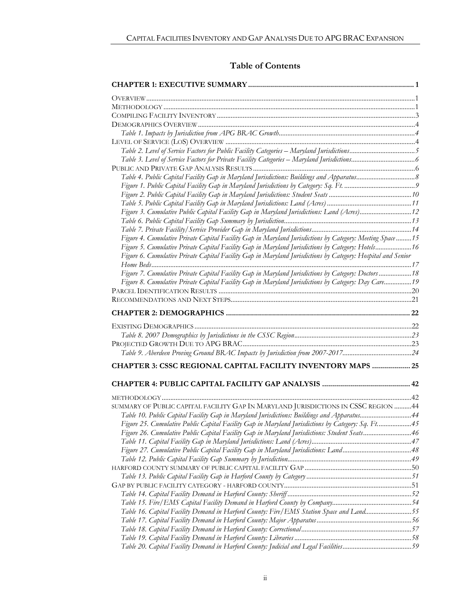### **Table of Contents**

| Table 2. Level of Service Factors for Public Facility Categories – Maryland Jurisdictions5                   |  |
|--------------------------------------------------------------------------------------------------------------|--|
|                                                                                                              |  |
|                                                                                                              |  |
| Table 4. Public Capital Facility Gap in Maryland Jurisdictions: Buildings and Apparatus8                     |  |
|                                                                                                              |  |
|                                                                                                              |  |
|                                                                                                              |  |
| Figure 3. Cumulative Public Capital Facility Gap in Maryland Jurisdictions: Land (Acres)12                   |  |
|                                                                                                              |  |
|                                                                                                              |  |
| Figure 4. Cumulative Private Capital Facility Gap in Maryland Jurisdictions by Category: Meeting Space 15    |  |
| Figure 5. Cumulative Private Capital Facility Gap in Maryland Jurisdictions by Category: Hotels 16           |  |
| Figure 6. Cumulative Private Capital Facility Gap in Maryland Jurisdictions by Category: Hospital and Senior |  |
| Figure 7. Cumulative Private Capital Facility Gap in Maryland Jurisdictions by Category: Doctors  18         |  |
| Figure 8. Cumulative Private Capital Facility Gap in Maryland Jurisdictions by Category: Day Care 19         |  |
|                                                                                                              |  |
|                                                                                                              |  |
|                                                                                                              |  |
|                                                                                                              |  |
|                                                                                                              |  |
|                                                                                                              |  |
|                                                                                                              |  |
| Table 9. Aberdeen Proving Ground BRAC Impacts by Jurisdiction from 2007-201724                               |  |
| CHAPTER 3: CSSC REGIONAL CAPITAL FACILITY INVENTORY MAPS  25                                                 |  |
|                                                                                                              |  |
|                                                                                                              |  |
|                                                                                                              |  |
| SUMMARY OF PUBLIC CAPITAL FACILITY GAP IN MARYLAND JURISDICTIONS IN CSSC REGION 44                           |  |
| Table 10. Public Capital Facility Gap in Maryland Jurisdictions: Buildings and Apparatus44                   |  |
| Figure 25. Cumulative Public Capital Facility Gap in Maryland Jurisdictions by Category: Sq. Ft45            |  |
| Figure 26. Cumulative Public Capital Facility Gap in Maryland Jurisdictions: Student Seats46                 |  |
|                                                                                                              |  |
| Figure 27. Cumulative Public Capital Facility Gap in Maryland Jurisdictions: Land48                          |  |
|                                                                                                              |  |
|                                                                                                              |  |
|                                                                                                              |  |
|                                                                                                              |  |
|                                                                                                              |  |
|                                                                                                              |  |
| Table 16. Capital Facility Demand in Harford County: Fire/EMS Station Space and Land55                       |  |
|                                                                                                              |  |
|                                                                                                              |  |
|                                                                                                              |  |
| Table 20. Capital Facility Demand in Harford County: Judicial and Legal Facilities59                         |  |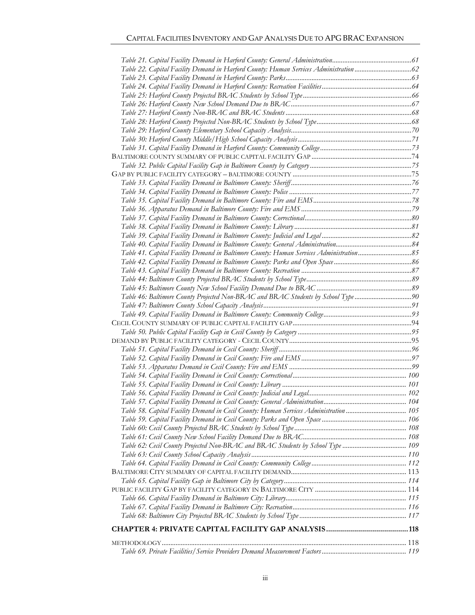| Table 22. Capital Facility Demand in Harford County: Human Services Administration  62 |  |
|----------------------------------------------------------------------------------------|--|
|                                                                                        |  |
|                                                                                        |  |
|                                                                                        |  |
|                                                                                        |  |
|                                                                                        |  |
|                                                                                        |  |
|                                                                                        |  |
|                                                                                        |  |
|                                                                                        |  |
|                                                                                        |  |
|                                                                                        |  |
|                                                                                        |  |
|                                                                                        |  |
|                                                                                        |  |
|                                                                                        |  |
|                                                                                        |  |
|                                                                                        |  |
|                                                                                        |  |
|                                                                                        |  |
|                                                                                        |  |
|                                                                                        |  |
|                                                                                        |  |
|                                                                                        |  |
|                                                                                        |  |
|                                                                                        |  |
| Table 46: Baltimore County Projected Non-BRAC and BRAC Students by School Type 90      |  |
|                                                                                        |  |
|                                                                                        |  |
|                                                                                        |  |
|                                                                                        |  |
|                                                                                        |  |
|                                                                                        |  |
|                                                                                        |  |
|                                                                                        |  |
|                                                                                        |  |
|                                                                                        |  |
|                                                                                        |  |
|                                                                                        |  |
|                                                                                        |  |
|                                                                                        |  |
| Table 58. Capital Facility Demand in Cecil County: Human Services Administration  105  |  |
|                                                                                        |  |
|                                                                                        |  |
|                                                                                        |  |
| Table 62: Cecil County Projected Non-BRAC and BRAC Students by School Type  109        |  |
|                                                                                        |  |
|                                                                                        |  |
|                                                                                        |  |
|                                                                                        |  |
|                                                                                        |  |
|                                                                                        |  |
|                                                                                        |  |
|                                                                                        |  |
|                                                                                        |  |
|                                                                                        |  |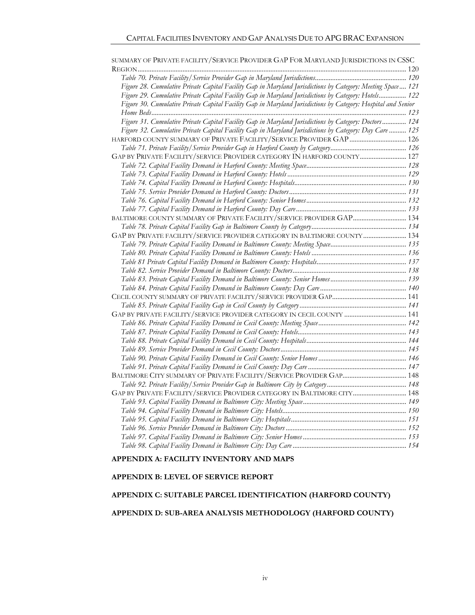| SUMMARY OF PRIVATE FACILITY/SERVICE PROVIDER GAP FOR MARYLAND JURISDICTIONS IN CSSC                           |  |
|---------------------------------------------------------------------------------------------------------------|--|
|                                                                                                               |  |
|                                                                                                               |  |
| Figure 28. Cumulative Private Capital Facility Gap in Maryland Jurisdictions by Category: Meeting Space 121   |  |
| Figure 29. Cumulative Private Capital Facility Gap in Maryland Jurisdictions by Category: Hotels 122          |  |
| Figure 30. Cumulative Private Capital Facility Gap in Maryland Jurisdictions by Category: Hospital and Senior |  |
|                                                                                                               |  |
| Figure 31. Cumulative Private Capital Facility Gap in Maryland Jurisdictions by Category: Doctors 124         |  |
| Figure 32. Cumulative Private Capital Facility Gap in Maryland Jurisdictions by Category: Day Care  125       |  |
|                                                                                                               |  |
|                                                                                                               |  |
| GAP BY PRIVATE FACILITY/SERVICE PROVIDER CATEGORY IN HARFORD COUNTY 127                                       |  |
|                                                                                                               |  |
|                                                                                                               |  |
|                                                                                                               |  |
|                                                                                                               |  |
|                                                                                                               |  |
|                                                                                                               |  |
| BALTIMORE COUNTY SUMMARY OF PRIVATE FACILITY/SERVICE PROVIDER GAP 134                                         |  |
|                                                                                                               |  |
| GAP BY PRIVATE FACILITY/SERVICE PROVIDER CATEGORY IN BALTIMORE COUNTY  134                                    |  |
|                                                                                                               |  |
|                                                                                                               |  |
|                                                                                                               |  |
|                                                                                                               |  |
|                                                                                                               |  |
|                                                                                                               |  |
|                                                                                                               |  |
|                                                                                                               |  |
|                                                                                                               |  |
|                                                                                                               |  |
|                                                                                                               |  |
|                                                                                                               |  |
|                                                                                                               |  |
|                                                                                                               |  |
|                                                                                                               |  |
|                                                                                                               |  |
|                                                                                                               |  |
| GAP BY PRIVATE FACILITY/SERVICE PROVIDER CATEGORY IN BALTIMORE CITY 148                                       |  |
|                                                                                                               |  |
|                                                                                                               |  |
|                                                                                                               |  |
|                                                                                                               |  |
|                                                                                                               |  |
|                                                                                                               |  |

#### **APPENDIX A: FACILITY INVENTORY AND MAPS.**

#### **APPENDIX B: LEVEL OF SERVICE REPORT**

#### **APPENDIX C: SUITABLE PARCEL IDENTIFICATION (HARFORD COUNTY) ........157**

#### APPENDIX D: SUB-AREA ANALYSIS METHODOLOGY (HARFORD COUNTY)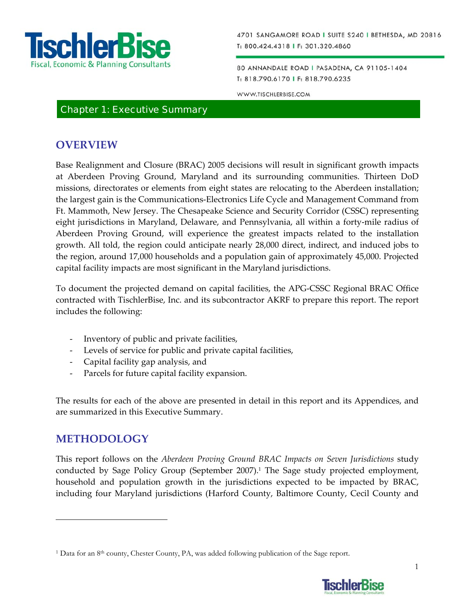

80 ANNANDALE ROAD I PASADENA, CA 91105-1404 T: 818.790.6170 | F: 818.790.6235

WWW.TISCHLERBISE.COM

### Chapter 1: Executive Summary

### **OVERVIEW**

Base Realignment and Closure (BRAC) 2005 decisions will result in significant growth impacts at Aberdeen Proving Ground, Maryland and its surrounding communities. Thirteen DoD missions, directorates or elements from eight states are relocating to the Aberdeen installation; the largest gain is the Communications‐Electronics Life Cycle and Management Command from Ft. Mammoth, New Jersey. The Chesapeake Science and Security Corridor (CSSC) representing eight jurisdictions in Maryland, Delaware, and Pennsylvania, all within a forty-mile radius of Aberdeen Proving Ground, will experience the greatest impacts related to the installation growth. All told, the region could anticipate nearly 28,000 direct, indirect, and induced jobs to the region, around 17,000 households and a population gain of approximately 45,000. Projected capital facility impacts are most significant in the Maryland jurisdictions.

To document the projected demand on capital facilities, the APG‐CSSC Regional BRAC Office contracted with TischlerBise, Inc. and its subcontractor AKRF to prepare this report. The report includes the following:

- ‐ Inventory of public and private facilities,
- ‐ Levels of service for public and private capital facilities,
- ‐ Capital facility gap analysis, and
- ‐ Parcels for future capital facility expansion.

The results for each of the above are presented in detail in this report and its Appendices, and are summarized in this Executive Summary.

### **METHODOLOGY**

 $\overline{a}$ 

This report follows on the *Aberdeen Proving Ground BRAC Impacts on Seven Jurisdictions* study conducted by Sage Policy Group (September 2007).<sup>1</sup> The Sage study projected employment, household and population growth in the jurisdictions expected to be impacted by BRAC, including four Maryland jurisdictions (Harford County, Baltimore County, Cecil County and

<sup>1</sup> Data for an 8th county, Chester County, PA, was added following publication of the Sage report.

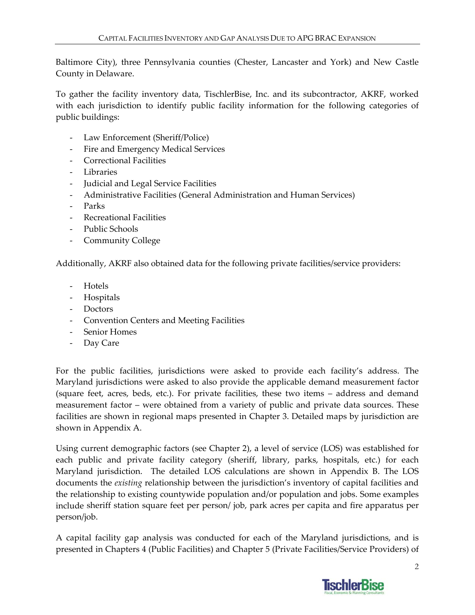Baltimore City), three Pennsylvania counties (Chester, Lancaster and York) and New Castle County in Delaware.

To gather the facility inventory data, TischlerBise, Inc. and its subcontractor, AKRF, worked with each jurisdiction to identify public facility information for the following categories of public buildings:

- ‐ Law Enforcement (Sheriff/Police)
- ‐ Fire and Emergency Medical Services
- ‐ Correctional Facilities
- ‐ Libraries
- ‐ Judicial and Legal Service Facilities
- ‐ Administrative Facilities (General Administration and Human Services)
- ‐ Parks
- ‐ Recreational Facilities
- ‐ Public Schools
- ‐ Community College

Additionally, AKRF also obtained data for the following private facilities/service providers:

- ‐ Hotels
- ‐ Hospitals
- ‐ Doctors
- ‐ Convention Centers and Meeting Facilities
- ‐ Senior Homes
- ‐ Day Care

For the public facilities, jurisdictions were asked to provide each facility's address. The Maryland jurisdictions were asked to also provide the applicable demand measurement factor (square feet, acres, beds, etc.). For private facilities, these two items – address and demand measurement factor – were obtained from a variety of public and private data sources. These facilities are shown in regional maps presented in Chapter 3. Detailed maps by jurisdiction are shown in Appendix A.

Using current demographic factors (see Chapter 2), a level of service (LOS) was established for each public and private facility category (sheriff, library, parks, hospitals, etc.) for each Maryland jurisdiction. The detailed LOS calculations are shown in Appendix B. The LOS documents the *existing* relationship between the jurisdiction's inventory of capital facilities and the relationship to existing countywide population and/or population and jobs. Some examples include sheriff station square feet per person/ job, park acres per capita and fire apparatus per person/job.

A capital facility gap analysis was conducted for each of the Maryland jurisdictions, and is presented in Chapters 4 (Public Facilities) and Chapter 5 (Private Facilities/Service Providers) of

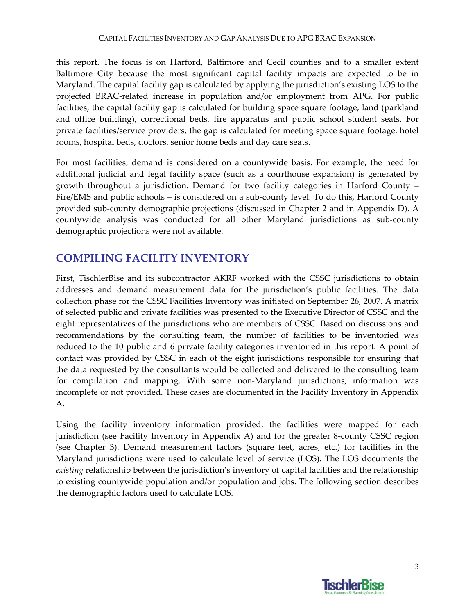this report. The focus is on Harford, Baltimore and Cecil counties and to a smaller extent Baltimore City because the most significant capital facility impacts are expected to be in Maryland. The capital facility gap is calculated by applying the jurisdiction's existing LOS to the projected BRAC‐related increase in population and/or employment from APG. For public facilities, the capital facility gap is calculated for building space square footage, land (parkland and office building), correctional beds, fire apparatus and public school student seats. For private facilities/service providers, the gap is calculated for meeting space square footage, hotel rooms, hospital beds, doctors, senior home beds and day care seats.

For most facilities, demand is considered on a countywide basis. For example, the need for additional judicial and legal facility space (such as a courthouse expansion) is generated by growth throughout a jurisdiction. Demand for two facility categories in Harford County – Fire/EMS and public schools – is considered on a sub-county level. To do this, Harford County provided sub‐county demographic projections (discussed in Chapter 2 and in Appendix D). A countywide analysis was conducted for all other Maryland jurisdictions as sub‐county demographic projections were not available.

# **COMPILING FACILITY INVENTORY**

First, TischlerBise and its subcontractor AKRF worked with the CSSC jurisdictions to obtain addresses and demand measurement data for the jurisdiction's public facilities. The data collection phase for the CSSC Facilities Inventory was initiated on September 26, 2007. A matrix of selected public and private facilities was presented to the Executive Director of CSSC and the eight representatives of the jurisdictions who are members of CSSC. Based on discussions and recommendations by the consulting team, the number of facilities to be inventoried was reduced to the 10 public and 6 private facility categories inventoried in this report. A point of contact was provided by CSSC in each of the eight jurisdictions responsible for ensuring that the data requested by the consultants would be collected and delivered to the consulting team for compilation and mapping. With some non-Maryland jurisdictions, information was incomplete or not provided. These cases are documented in the Facility Inventory in Appendix A.

Using the facility inventory information provided, the facilities were mapped for each jurisdiction (see Facility Inventory in Appendix A) and for the greater 8‐county CSSC region (see Chapter 3). Demand measurement factors (square feet, acres, etc.) for facilities in the Maryland jurisdictions were used to calculate level of service (LOS). The LOS documents the *existing* relationship between the jurisdiction's inventory of capital facilities and the relationship to existing countywide population and/or population and jobs. The following section describes the demographic factors used to calculate LOS.

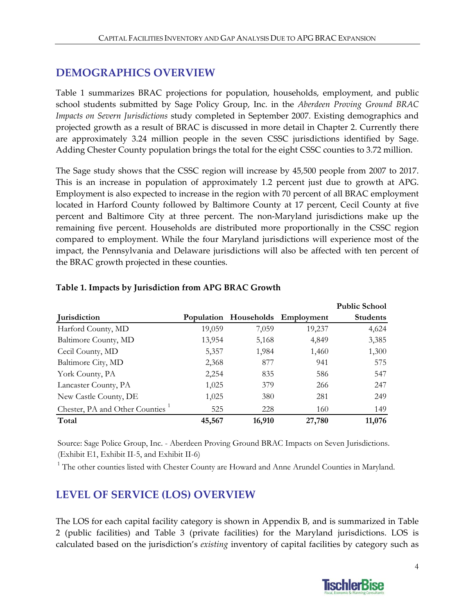# **DEMOGRAPHICS OVERVIEW**

Table 1 summarizes BRAC projections for population, households, employment, and public school students submitted by Sage Policy Group, Inc. in the *Aberdeen Proving Ground BRAC Impacts on Severn Jurisdictions* study completed in September 2007. Existing demographics and projected growth as a result of BRAC is discussed in more detail in Chapter 2. Currently there are approximately 3.24 million people in the seven CSSC jurisdictions identified by Sage. Adding Chester County population brings the total for the eight CSSC counties to 3.72 million.

The Sage study shows that the CSSC region will increase by 45,500 people from 2007 to 2017. This is an increase in population of approximately 1.2 percent just due to growth at APG. Employment is also expected to increase in the region with 70 percent of all BRAC employment located in Harford County followed by Baltimore County at 17 percent, Cecil County at five percent and Baltimore City at three percent. The non‐Maryland jurisdictions make up the remaining five percent. Households are distributed more proportionally in the CSSC region compared to employment. While the four Maryland jurisdictions will experience most of the impact, the Pennsylvania and Delaware jurisdictions will also be affected with ten percent of the BRAC growth projected in these counties.

|                                |        |        |                                  | <b>Public School</b> |
|--------------------------------|--------|--------|----------------------------------|----------------------|
| <b>Jurisdiction</b>            |        |        | Population Households Employment | <b>Students</b>      |
| Harford County, MD             | 19,059 | 7,059  | 19,237                           | 4,624                |
| Baltimore County, MD           | 13,954 | 5,168  | 4,849                            | 3,385                |
| Cecil County, MD               | 5,357  | 1,984  | 1,460                            | 1,300                |
| Baltimore City, MD             | 2,368  | 877    | 941                              | 575                  |
| York County, PA                | 2,254  | 835    | 586                              | 547                  |
| Lancaster County, PA           | 1,025  | 379    | 266                              | 247                  |
| New Castle County, DE          | 1,025  | 380    | 281                              | 249                  |
| Chester, PA and Other Counties | 525    | 228    | 160                              | 149                  |
| Total                          | 45,567 | 16,910 | 27,780                           | 11,076               |

### **Table 1. Impacts by Jurisdiction from APG BRAC Growth**

Source: Sage Police Group, Inc. - Aberdeen Proving Ground BRAC Impacts on Seven Jurisdictions. (Exhibit E1, Exhibit II-5, and Exhibit II-6)

<sup>1</sup> The other counties listed with Chester County are Howard and Anne Arundel Counties in Maryland.

# **LEVEL OF SERVICE (LOS) OVERVIEW**

The LOS for each capital facility category is shown in Appendix B, and is summarized in Table 2 (public facilities) and Table 3 (private facilities) for the Maryland jurisdictions. LOS is calculated based on the jurisdiction's *existing* inventory of capital facilities by category such as

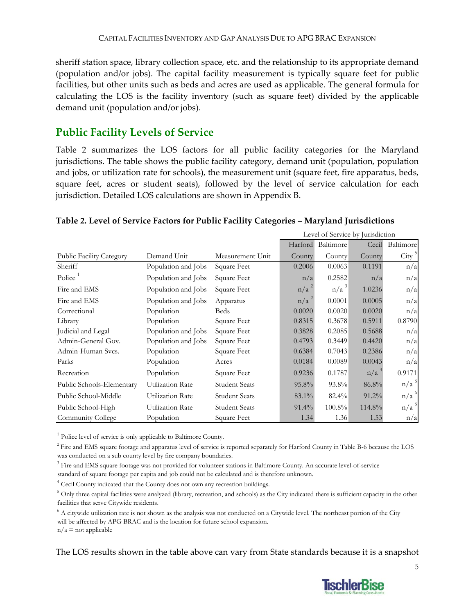sheriff station space, library collection space, etc. and the relationship to its appropriate demand (population and/or jobs). The capital facility measurement is typically square feet for public facilities, but other units such as beds and acres are used as applicable. The general formula for calculating the LOS is the facility inventory (such as square feet) divided by the applicable demand unit (population and/or jobs).

# **Public Facility Levels of Service**

Table 2 summarizes the LOS factors for all public facility categories for the Maryland jurisdictions. The table shows the public facility category, demand unit (population, population and jobs, or utilization rate for schools), the measurement unit (square feet, fire apparatus, beds, square feet, acres or student seats), followed by the level of service calculation for each jurisdiction. Detailed LOS calculations are shown in Appendix B.

### **Table 2. Level of Service Factors for Public Facility Categories – Maryland Jurisdictions**

|                                 |                         |                      | Level of Service by Jurisdiction |                  |                  |                    |
|---------------------------------|-------------------------|----------------------|----------------------------------|------------------|------------------|--------------------|
|                                 |                         |                      | Harford                          | Baltimore        | Cecil            | Baltimore          |
| <b>Public Facility Category</b> | Demand Unit             | Measurement Unit     | County                           | County           | County           | City <sup>5</sup>  |
| Sheriff                         | Population and Jobs     | Square Feet          | 0.2006                           | 0.0063           | 0.1191           | n/a                |
| Police                          | Population and Jobs     | Square Feet          | n/a                              | 0.2582           | n/a              | n/a                |
| Fire and EMS                    | Population and Jobs     | Square Feet          | $n/a^2$                          | n/a <sup>3</sup> | 1.0236           | n/a                |
| Fire and EMS                    | Population and Jobs     | Apparatus            | $n/a^2$                          | 0.0001           | 0.0005           | n/a                |
| Correctional                    | Population              | <b>Beds</b>          | 0.0020                           | 0.0020           | 0.0020           | n/a                |
| Library                         | Population              | Square Feet          | 0.8315                           | 0.3678           | 0.5911           | 0.8790             |
| Judicial and Legal              | Population and Jobs     | Square Feet          | 0.3828                           | 0.2085           | 0.5688           | n/a                |
| Admin-General Gov.              | Population and Jobs     | Square Feet          | 0.4793                           | 0.3449           | 0.4420           | n/a                |
| Admin-Human Svcs.               | Population              | Square Feet          | 0.6384                           | 0.7043           | 0.2386           | n/a                |
| Parks                           | Population              | Acres                | 0.0184                           | 0.0089           | 0.0043           | n/a                |
| Recreation                      | Population              | Square Feet          | 0.9236                           | 0.1787           | n/a <sup>4</sup> | 0.9171             |
| Public Schools-Elementary       | <b>Utilization Rate</b> | <b>Student Seats</b> | 95.8%                            | 93.8%            | 86.8%            | n/a <sup>6</sup>   |
| Public School-Middle            | Utilization Rate        | <b>Student Seats</b> | 83.1%                            | 82.4%            | $91.2\%$         | n/a <sup>6</sup>   |
| Public School-High              | Utilization Rate        | <b>Student Seats</b> | $91.4\%$                         | $100.8\%$        | 114.8%           | $n/a$ <sup>6</sup> |
| Community College               | Population              | Square Feet          | 1.34                             | 1.36             | 1.53             | n/a                |

<sup>1</sup> Police level of service is only applicable to Baltimore County.

 $2$  Fire and EMS square footage and apparatus level of service is reported separately for Harford County in Table B-6 because the LOS was conducted on a sub county level by fire company boundaries.

<sup>3</sup> Fire and EMS square footage was not provided for volunteer stations in Baltimore County. An accurate level-of-service

standard of square footage per capita and job could not be calculated and is therefore unknown.

<sup>4</sup> Cecil County indicated that the County does not own any recreation buildings.

 $5$  Only three capital facilities were analyzed (library, recreation, and schools) as the City indicated there is sufficient capacity in the other facilities that serve Citywide residents.

 $6$  A citywide utilization rate is not shown as the analysis was not conducted on a Citywide level. The northeast portion of the City will be affected by APG BRAC and is the location for future school expansion.

 $n/a$  = not applicable

The LOS results shown in the table above can vary from State standards because it is a snapshot

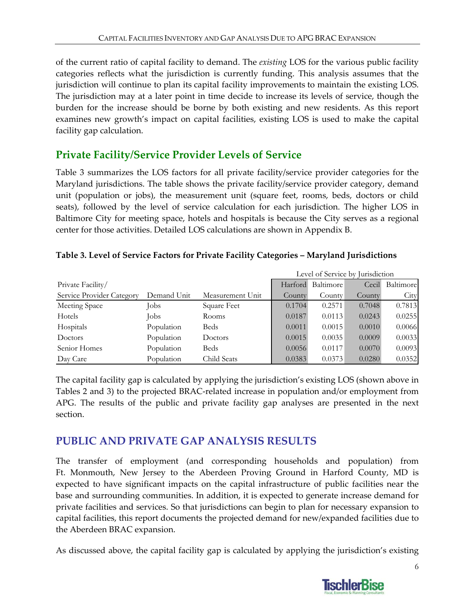of the current ratio of capital facility to demand. The *existing* LOS for the various public facility categories reflects what the jurisdiction is currently funding. This analysis assumes that the jurisdiction will continue to plan its capital facility improvements to maintain the existing LOS. The jurisdiction may at a later point in time decide to increase its levels of service, though the burden for the increase should be borne by both existing and new residents. As this report examines new growth's impact on capital facilities, existing LOS is used to make the capital facility gap calculation.

# **Private Facility/Service Provider Levels of Service**

Table 3 summarizes the LOS factors for all private facility/service provider categories for the Maryland jurisdictions. The table shows the private facility/service provider category, demand unit (population or jobs), the measurement unit (square feet, rooms, beds, doctors or child seats), followed by the level of service calculation for each jurisdiction. The higher LOS in Baltimore City for meeting space, hotels and hospitals is because the City serves as a regional center for those activities. Detailed LOS calculations are shown in Appendix B.

|                           |             |                  | Level of Service by Jurisdiction |           |        |           |
|---------------------------|-------------|------------------|----------------------------------|-----------|--------|-----------|
| Private Facility/         |             |                  | Harford                          | Baltimore | Cecil  | Baltimore |
| Service Provider Category | Demand Unit | Measurement Unit | County                           | County    | County | City      |
| Meeting Space             | Jobs        | Square Feet      | 0.1704                           | 0.2571    | 0.7048 | 0.7813    |
| Hotels                    | Jobs        | Rooms            | 0.0187                           | 0.0113    | 0.0243 | 0.0255    |
| Hospitals                 | Population  | <b>Beds</b>      | 0.0011                           | 0.0015    | 0.0010 | 0.0066    |
| Doctors                   | Population  | Doctors          | 0.0015                           | 0.0035    | 0.0009 | 0.0033    |
| Senior Homes              | Population  | <b>Beds</b>      | 0.0056                           | 0.0117    | 0.0070 | 0.0093    |
| Day Care                  | Population  | Child Seats      | 0.0383                           | 0.0373    | 0.0280 | 0.0352    |

### **Table 3. Level of Service Factors for Private Facility Categories – Maryland Jurisdictions**

The capital facility gap is calculated by applying the jurisdiction's existing LOS (shown above in Tables 2 and 3) to the projected BRAC‐related increase in population and/or employment from APG. The results of the public and private facility gap analyses are presented in the next section.

### **PUBLIC AND PRIVATE GAP ANALYSIS RESULTS**

The transfer of employment (and corresponding households and population) from Ft. Monmouth, New Jersey to the Aberdeen Proving Ground in Harford County, MD is expected to have significant impacts on the capital infrastructure of public facilities near the base and surrounding communities. In addition, it is expected to generate increase demand for private facilities and services. So that jurisdictions can begin to plan for necessary expansion to capital facilities, this report documents the projected demand for new/expanded facilities due to the Aberdeen BRAC expansion.

As discussed above, the capital facility gap is calculated by applying the jurisdiction's existing

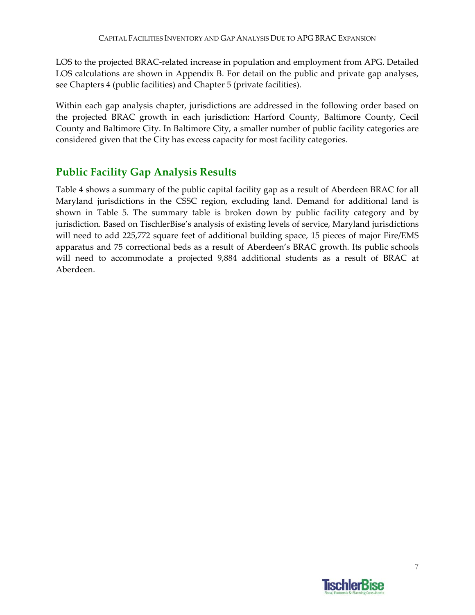LOS to the projected BRAC‐related increase in population and employment from APG. Detailed LOS calculations are shown in Appendix B. For detail on the public and private gap analyses, see Chapters 4 (public facilities) and Chapter 5 (private facilities).

Within each gap analysis chapter, jurisdictions are addressed in the following order based on the projected BRAC growth in each jurisdiction: Harford County, Baltimore County, Cecil County and Baltimore City. In Baltimore City, a smaller number of public facility categories are considered given that the City has excess capacity for most facility categories.

# **Public Facility Gap Analysis Results**

Table 4 shows a summary of the public capital facility gap as a result of Aberdeen BRAC for all Maryland jurisdictions in the CSSC region, excluding land. Demand for additional land is shown in Table 5. The summary table is broken down by public facility category and by jurisdiction. Based on TischlerBise's analysis of existing levels of service, Maryland jurisdictions will need to add 225,772 square feet of additional building space, 15 pieces of major Fire/EMS apparatus and 75 correctional beds as a result of Aberdeen's BRAC growth. Its public schools will need to accommodate a projected 9,884 additional students as a result of BRAC at Aberdeen.

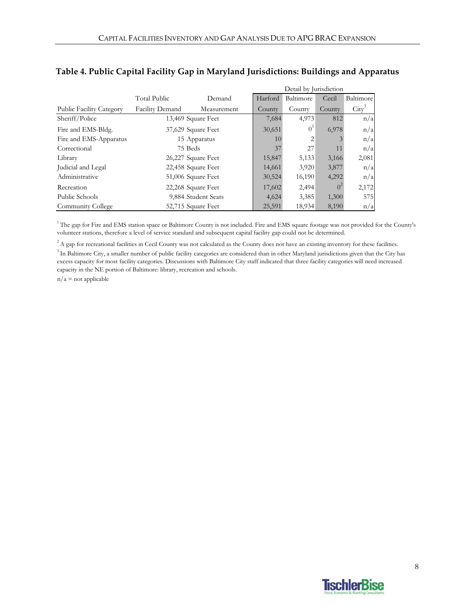|                                 |                 | Detail by Jurisdiction |         |           |                |                 |
|---------------------------------|-----------------|------------------------|---------|-----------|----------------|-----------------|
|                                 | Total Public    | Demand                 | Harford | Baltimore | Cecil          | Baltimore       |
| <b>Public Facility Category</b> | Facility Demand | Measurement            | County  | County    | County         | $\text{City}^3$ |
| Sheriff/Police                  |                 | 13,469 Square Feet     | 7,684   | 4,973     | 812            | n/a             |
| Fire and EMS-Bldg.              |                 | 37,629 Square Feet     | 30,651  | $0^1$     | 6,978          | n/a             |
| Fire and EMS-Apparatus          |                 | 15 Apparatus           | 10      | 2         |                | n/a             |
| Correctional                    |                 | 75 Beds                | 37      | 27        | 11             | n/a             |
| Library                         |                 | 26,227 Square Feet     | 15,847  | 5,133     | 3,166          | 2,081           |
| Judicial and Legal              |                 | 22,458 Square Feet     | 14,661  | 3,920     | 3,877          | n/a             |
| Administrative                  |                 | 51,006 Square Feet     | 30,524  | 16,190    | 4,292          | n/a             |
| Recreation                      |                 | 22,268 Square Feet     | 17,602  | 2,494     | 0 <sup>2</sup> | 2,172           |
| Public Schools                  |                 | 9,884 Student Seats    | 4,624   | 3,385     | 1,300          | 575             |
| Community College               |                 | 52,715 Square Feet     | 25,591  | 18,934    | 8,190          | n/a             |

### **Table 4. Public Capital Facility Gap in Maryland Jurisdictions: Buildings and Apparatus**

<sup>1</sup> The gap for Fire and EMS station space or Baltimore County is not included. Fire and EMS square footage was not provided for the County's volunteer stations, therefore a level of service standard and subsequent capital facility gap could not be determined.

 $2A$  gap for recreational facilities in Cecil County was not calculated as the County does not have an existing inventory for these facilities.

<sup>3</sup> In Baltimore City, a smaller number of public facility categories are considered than in other Maryland jurisdictions given that the City has excess capacity for most facility categories. Discussions with Baltimore City staff indicated that three facility categories will need increased capacity in the NE portion of Baltimore: library, recreation and schools.

 $n/a$  = not applicable

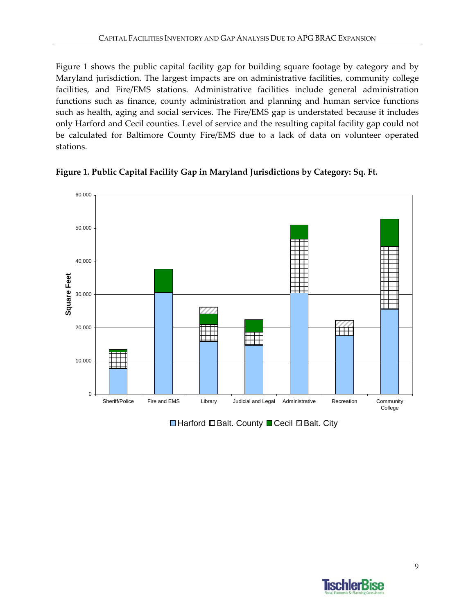Figure 1 shows the public capital facility gap for building square footage by category and by Maryland jurisdiction. The largest impacts are on administrative facilities, community college facilities, and Fire/EMS stations. Administrative facilities include general administration functions such as finance, county administration and planning and human service functions such as health, aging and social services. The Fire/EMS gap is understated because it includes only Harford and Cecil counties. Level of service and the resulting capital facility gap could not be calculated for Baltimore County Fire/EMS due to a lack of data on volunteer operated stations.





**■Harford ■Balt. County ■ Cecil ■Balt. City** 

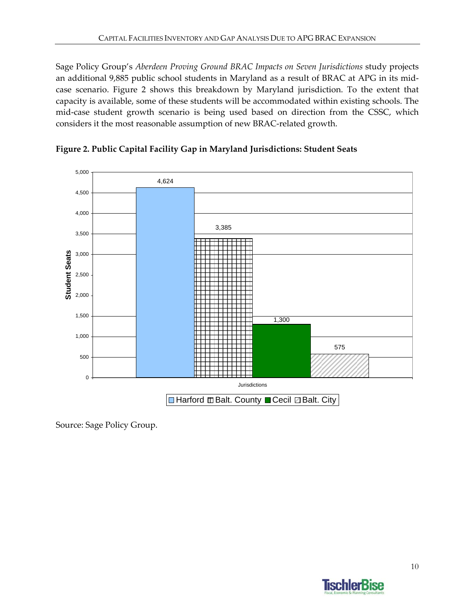Sage Policy Group's *Aberdeen Proving Ground BRAC Impacts on Seven Jurisdictions* study projects an additional 9,885 public school students in Maryland as a result of BRAC at APG in its midcase scenario. Figure 2 shows this breakdown by Maryland jurisdiction. To the extent that capacity is available, some of these students will be accommodated within existing schools. The mid-case student growth scenario is being used based on direction from the CSSC, which considers it the most reasonable assumption of new BRAC‐related growth.





Source: Sage Policy Group.

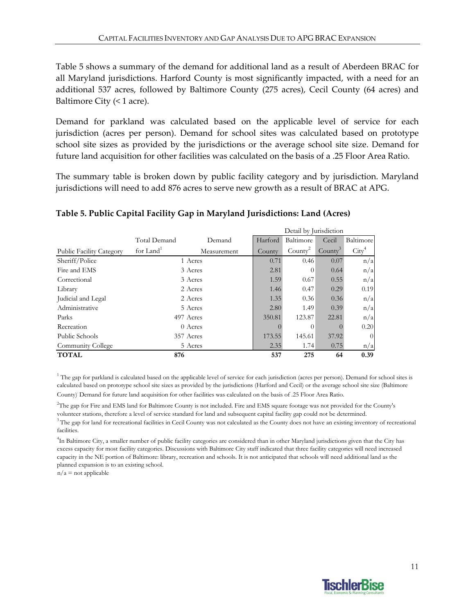Table 5 shows a summary of the demand for additional land as a result of Aberdeen BRAC for all Maryland jurisdictions. Harford County is most significantly impacted, with a need for an additional 537 acres, followed by Baltimore County (275 acres), Cecil County (64 acres) and Baltimore City  $($  < 1 acre).

Demand for parkland was calculated based on the applicable level of service for each jurisdiction (acres per person). Demand for school sites was calculated based on prototype school site sizes as provided by the jurisdictions or the average school site size. Demand for future land acquisition for other facilities was calculated on the basis of a .25 Floor Area Ratio.

The summary table is broken down by public facility category and by jurisdiction. Maryland jurisdictions will need to add 876 acres to serve new growth as a result of BRAC at APG.

Detail by Jurisdiction

| Public Schools           |                       | 357 Acres   | 173.55  | 145.61                 | 37.92               | $\overline{0}$    |
|--------------------------|-----------------------|-------------|---------|------------------------|---------------------|-------------------|
| Recreation               |                       | 0 Acres     |         | $\Omega$               |                     | n/a<br>0.20       |
| Parks                    |                       | 497 Acres   | 350.81  | 123.87                 | 22.81               |                   |
| Administrative           |                       | 5 Acres     | 2.80    | 1.49                   | 0.39                | n/a               |
| Judicial and Legal       |                       | 2 Acres     | 1.35    | 0.36                   | 0.36                | n/a               |
| Library                  |                       | 2 Acres     | 1.46    | 0.47                   | 0.29                | 0.19              |
| Correctional             |                       | 3 Acres     | 1.59    | 0.67                   | 0.55                | n/a               |
| Fire and EMS             |                       | 3 Acres     | 2.81    | $\theta$               | 0.64                | n/a               |
| Sheriff/Police           |                       | 1 Acres     | 0.71    | 0.46                   | 0.07                | n/a               |
| Public Facility Category | for Land <sup>1</sup> | Measurement | County  | County <sup>2</sup>    | County <sup>3</sup> | $\mathrm{City}^4$ |
|                          | Total Demand          | Demand      | Harford | Baltimore              | Cecil               | Baltimore         |
|                          |                       |             |         | Detail by jurisdiction |                     |                   |

### **Table 5. Public Capital Facility Gap in Maryland Jurisdictions: Land (Acres)**

<sup>1</sup> The gap for parkland is calculated based on the applicable level of service for each jurisdiction (acres per person). Demand for school sites is calculated based on prototype school site sizes as provided by the jurisdictions (Harford and Cecil) or the average school site size (Baltimore County). Demand for future land acquisition for other facilities was calculated on the basis of .25 Floor Area Ratio.

 $3$ The gap for land for recreational facilities in Cecil County was not calculated as the County does not have an existing inventory of recreational facilities. 2 The gap for Fire and EMS land for Baltimore County is not included. Fire and EMS square footage was not provided for the County's volunteer stations, therefore a level of service standard for land and subsequent capital facility gap could not be determined.

<sup>4</sup>In Baltimore City, a smaller number of public facility categories are considered than in other Maryland jurisdictions given that the City has excess capacity for most facility categories. Discussions with Baltimore City staff indicated that three facility categories will need increased capacity in the NE portion of Baltimore: library, recreation and schools. It is not anticipated that schools will need additional land as the planned expansion is to an existing school.

 $n/a$  = not applicable

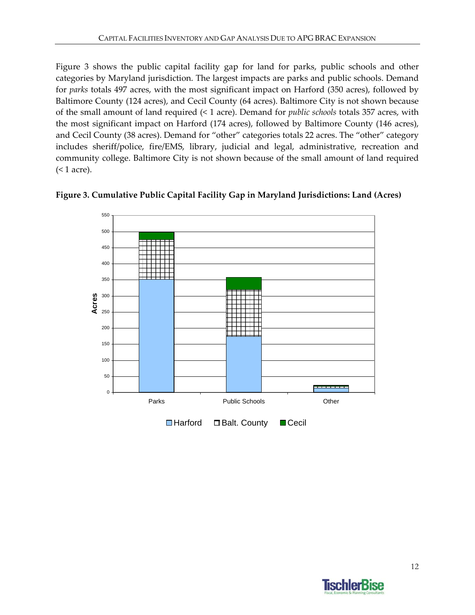Figure 3 shows the public capital facility gap for land for parks, public schools and other categories by Maryland jurisdiction. The largest impacts are parks and public schools. Demand for *parks* totals 497 acres, with the most significant impact on Harford (350 acres), followed by Baltimore County (124 acres), and Cecil County (64 acres). Baltimore City is not shown because of the small amount of land required (< 1 acre). Demand for *public schools* totals 357 acres, with the most significant impact on Harford (174 acres), followed by Baltimore County (146 acres), and Cecil County (38 acres). Demand for "other" categories totals 22 acres. The "other" category includes sheriff/police, fire/EMS, library, judicial and legal, administrative, recreation and community college. Baltimore City is not shown because of the small amount of land required (< 1 acre).





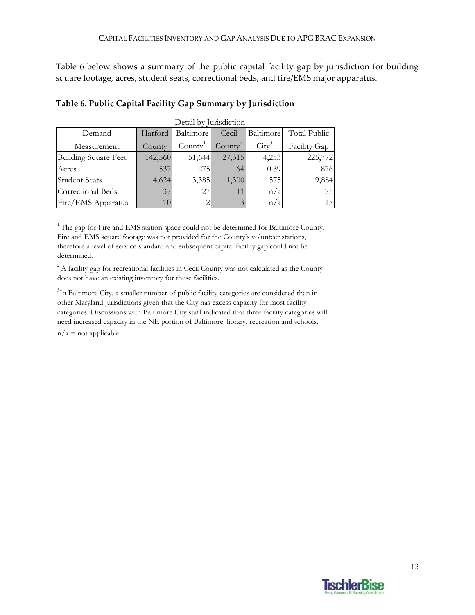Table 6 below shows a summary of the public capital facility gap by jurisdiction for building square footage, acres, student seats, correctional beds, and fire/EMS major apparatus.

| Detail by Jurisdiction      |         |                     |            |                 |                     |
|-----------------------------|---------|---------------------|------------|-----------------|---------------------|
| Demand                      | Harford | Baltimore           | Cecil      | Baltimore       | <b>Total Public</b> |
| Measurement                 | County  | Countv <sup>1</sup> | $Countv^2$ | $\text{City}^3$ | Facility Gap        |
| <b>Building Square Feet</b> | 142,560 | 51,644              | 27,315     | 4,253           | 225,772             |
| Acres                       | 537     | 275                 | 64         | 0.39            | 876                 |
| <b>Student Seats</b>        | 4,624   | 3,385               | 1,300      | 575             | 9,884               |
| Correctional Beds           | 37      | 27                  | 11         | n/a             | 75                  |
| Fire/EMS Apparatus          | 10      |                     | 3          | n/a             | 15                  |

#### **Table 6. Public Capital Facility Gap Summary by Jurisdiction**

 $1$ <sup>1</sup> The gap for Fire and EMS station space could not be determined for Baltimore County. Fire and EMS square footage was not provided for the County's volunteer stations, therefore a level of service standard and subsequent capital facility gap could not be determined.

 $2A$  facility gap for recreational facilities in Cecil County was not calculated as the County does not have an existing inventory for these facilities.

<sup>3</sup>In Baltimore City, a smaller number of public facility categories are considered than in other Maryland jurisdictions given that the City has excess capacity for most facility categories. Discussions with Baltimore City staff indicated that three facility categories will need increased capacity in the NE portion of Baltimore: library, recreation and schools.

 $n/a$  = not applicable

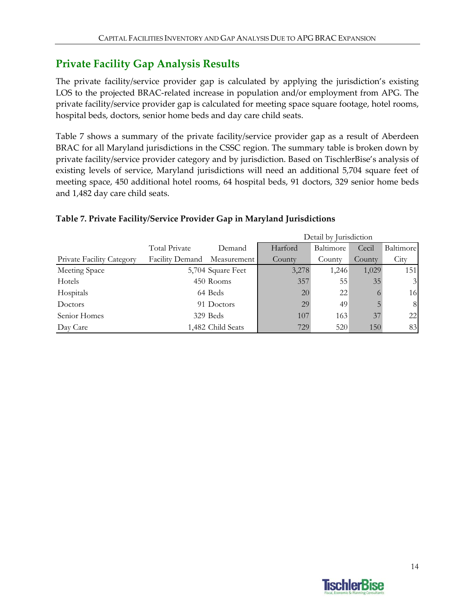# **Private Facility Gap Analysis Results**

The private facility/service provider gap is calculated by applying the jurisdiction's existing LOS to the projected BRAC‐related increase in population and/or employment from APG. The private facility/service provider gap is calculated for meeting space square footage, hotel rooms, hospital beds, doctors, senior home beds and day care child seats.

Table 7 shows a summary of the private facility/service provider gap as a result of Aberdeen BRAC for all Maryland jurisdictions in the CSSC region. The summary table is broken down by private facility/service provider category and by jurisdiction. Based on TischlerBise's analysis of existing levels of service, Maryland jurisdictions will need an additional 5,704 square feet of meeting space, 450 additional hotel rooms, 64 hospital beds, 91 doctors, 329 senior home beds and 1,482 day care child seats.

|                                  |                 |                   | Detail by Jurisdiction |           |         |                |
|----------------------------------|-----------------|-------------------|------------------------|-----------|---------|----------------|
|                                  | Total Private   | Demand            | Harford                | Baltimore | Cecil   | Baltimore      |
| <b>Private Facility Category</b> | Facility Demand | Measurement       | County                 | County    | County  | City           |
| Meeting Space                    |                 | 5,704 Square Feet | 3,278                  | 1,246     | 1,029   | 151            |
| Hotels                           |                 | 450 Rooms         | 357                    | 55        | 35      | 3 <sup>l</sup> |
| Hospitals                        |                 | 64 Beds           | 20                     | 22        | $\circ$ | 16             |
| Doctors                          |                 | 91 Doctors        | 29                     | 49        |         | 8              |
| Senior Homes                     |                 | 329 Beds          | 107                    | 163       | 37      | 22             |
| Day Care                         |                 | 1,482 Child Seats | 729                    | 520       | 150     | 83             |

### **Table 7. Private Facility/Service Provider Gap in Maryland Jurisdictions**

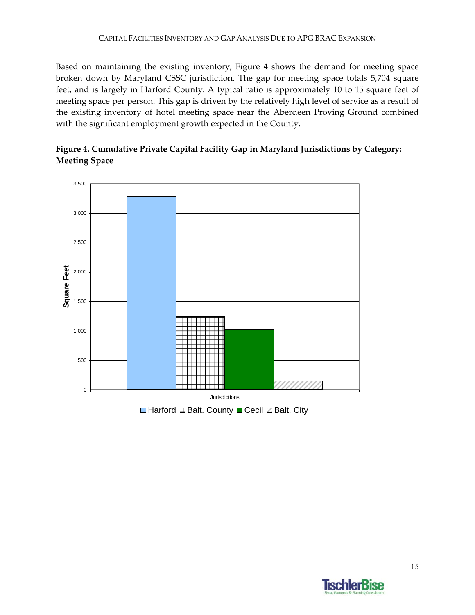Based on maintaining the existing inventory, Figure 4 shows the demand for meeting space broken down by Maryland CSSC jurisdiction. The gap for meeting space totals 5,704 square feet, and is largely in Harford County. A typical ratio is approximately 10 to 15 square feet of meeting space per person. This gap is driven by the relatively high level of service as a result of the existing inventory of hotel meeting space near the Aberdeen Proving Ground combined with the significant employment growth expected in the County.

**Figure 4. Cumulative Private Capital Facility Gap in Maryland Jurisdictions by Category: Meeting Space**



 $\Box$  Harford  $\Box$  Balt. County  $\Box$  Cecil  $\Box$  Balt. City

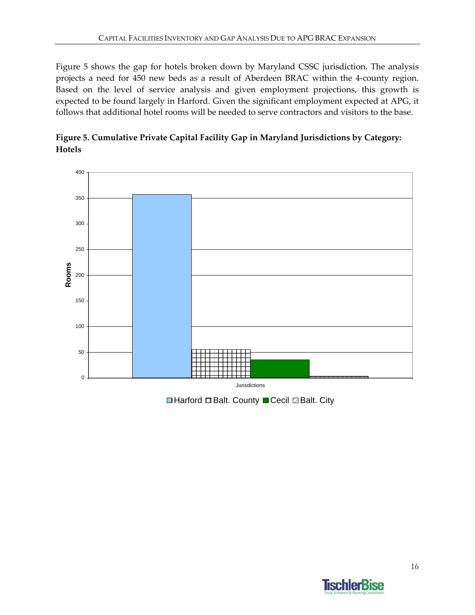Figure 5 shows the gap for hotels broken down by Maryland CSSC jurisdiction. The analysis projects a need for 450 new beds as a result of Aberdeen BRAC within the 4‐county region. Based on the level of service analysis and given employment projections, this growth is expected to be found largely in Harford. Given the significant employment expected at APG, it follows that additional hotel rooms will be needed to serve contractors and visitors to the base.





**■Harford ■Balt. County ■ Cecil ■Balt. City** 

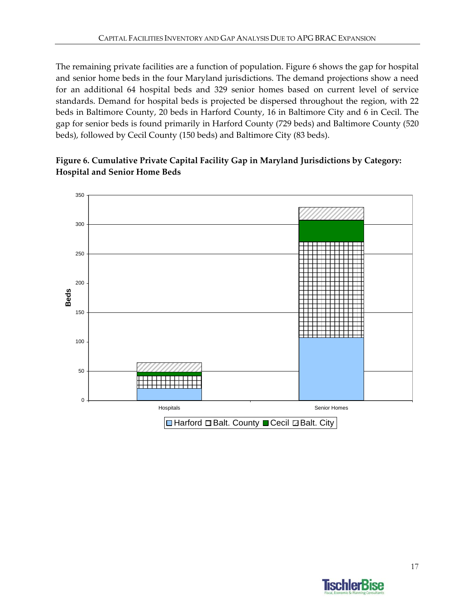The remaining private facilities are a function of population. Figure 6 shows the gap for hospital and senior home beds in the four Maryland jurisdictions. The demand projections show a need for an additional 64 hospital beds and 329 senior homes based on current level of service standards. Demand for hospital beds is projected be dispersed throughout the region, with 22 beds in Baltimore County, 20 beds in Harford County, 16 in Baltimore City and 6 in Cecil. The gap for senior beds is found primarily in Harford County (729 beds) and Baltimore County (520 beds), followed by Cecil County (150 beds) and Baltimore City (83 beds).

### **Figure 6. Cumulative Private Capital Facility Gap in Maryland Jurisdictions by Category: Hospital and Senior Home Beds**



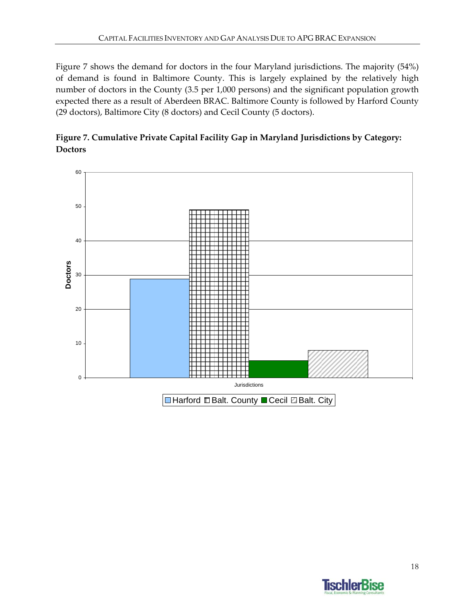Figure 7 shows the demand for doctors in the four Maryland jurisdictions. The majority (54%) of demand is found in Baltimore County. This is largely explained by the relatively high number of doctors in the County (3.5 per 1,000 persons) and the significant population growth expected there as a result of Aberdeen BRAC. Baltimore County is followed by Harford County (29 doctors), Baltimore City (8 doctors) and Cecil County (5 doctors).





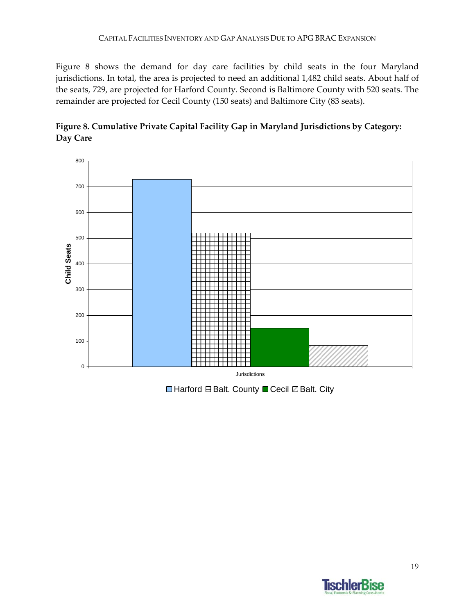Figure 8 shows the demand for day care facilities by child seats in the four Maryland jurisdictions. In total, the area is projected to need an additional 1,482 child seats. About half of the seats, 729, are projected for Harford County. Second is Baltimore County with 520 seats. The remainder are projected for Cecil County (150 seats) and Baltimore City (83 seats).





**■Harford BBalt. County ■Cecil ■Balt. City** 

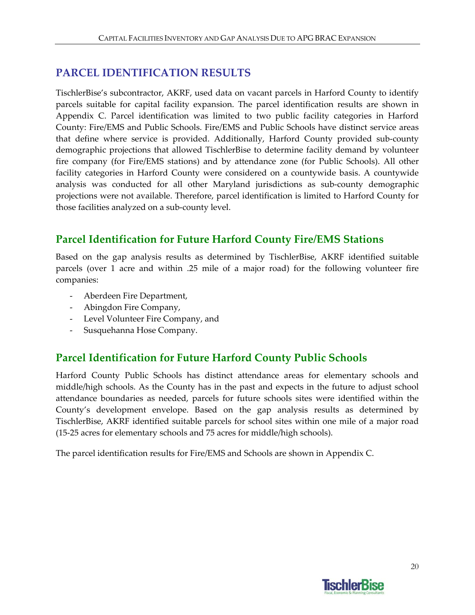# **PARCEL IDENTIFICATION RESULTS**

TischlerBise's subcontractor, AKRF, used data on vacant parcels in Harford County to identify parcels suitable for capital facility expansion. The parcel identification results are shown in Appendix C. Parcel identification was limited to two public facility categories in Harford County: Fire/EMS and Public Schools. Fire/EMS and Public Schools have distinct service areas that define where service is provided. Additionally, Harford County provided sub‐county demographic projections that allowed TischlerBise to determine facility demand by volunteer fire company (for Fire/EMS stations) and by attendance zone (for Public Schools). All other facility categories in Harford County were considered on a countywide basis. A countywide analysis was conducted for all other Maryland jurisdictions as sub‐county demographic projections were not available. Therefore, parcel identification is limited to Harford County for those facilities analyzed on a sub‐county level.

# **Parcel Identification for Future Harford County Fire/EMS Stations**

Based on the gap analysis results as determined by TischlerBise, AKRF identified suitable parcels (over 1 acre and within .25 mile of a major road) for the following volunteer fire companies:

- ‐ Aberdeen Fire Department,
- ‐ Abingdon Fire Company,
- ‐ Level Volunteer Fire Company, and
- ‐ Susquehanna Hose Company.

### **Parcel Identification for Future Harford County Public Schools**

Harford County Public Schools has distinct attendance areas for elementary schools and middle/high schools. As the County has in the past and expects in the future to adjust school attendance boundaries as needed, parcels for future schools sites were identified within the County's development envelope. Based on the gap analysis results as determined by TischlerBise, AKRF identified suitable parcels for school sites within one mile of a major road (15‐25 acres for elementary schools and 75 acres for middle/high schools).

The parcel identification results for Fire/EMS and Schools are shown in Appendix C.

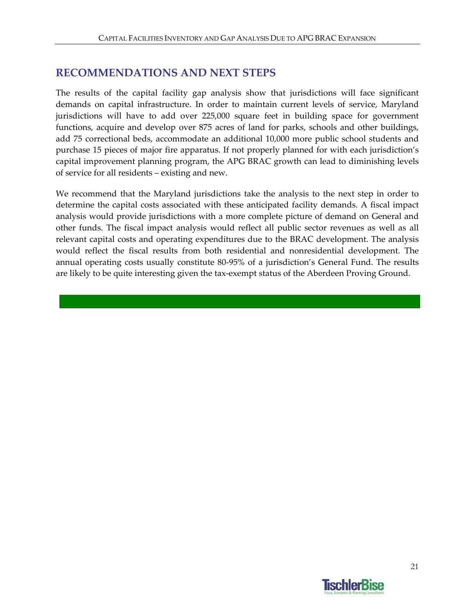# **RECOMMENDATIONS AND NEXT STEPS**

The results of the capital facility gap analysis show that jurisdictions will face significant demands on capital infrastructure. In order to maintain current levels of service, Maryland jurisdictions will have to add over 225,000 square feet in building space for government functions, acquire and develop over 875 acres of land for parks, schools and other buildings, add 75 correctional beds, accommodate an additional 10,000 more public school students and purchase 15 pieces of major fire apparatus. If not properly planned for with each jurisdiction's capital improvement planning program, the APG BRAC growth can lead to diminishing levels of service for all residents – existing and new.

We recommend that the Maryland jurisdictions take the analysis to the next step in order to determine the capital costs associated with these anticipated facility demands. A fiscal impact analysis would provide jurisdictions with a more complete picture of demand on General and other funds. The fiscal impact analysis would reflect all public sector revenues as well as all relevant capital costs and operating expenditures due to the BRAC development. The analysis would reflect the fiscal results from both residential and nonresidential development. The annual operating costs usually constitute 80‐95% of a jurisdiction's General Fund. The results are likely to be quite interesting given the tax-exempt status of the Aberdeen Proving Ground.

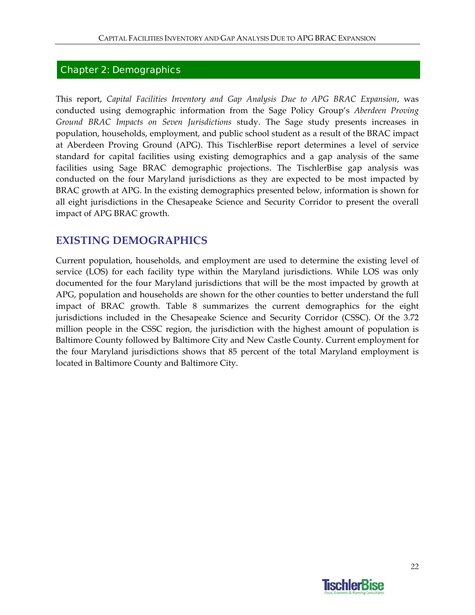#### Chapter 2: Demographics

This report, *Capital Facilities Inventory and Gap Analysis Due to APG BRAC Expansion*, was conducted using demographic information from the Sage Policy Group's *Aberdeen Proving Ground BRAC Impacts on Seven Jurisdictions* study. The Sage study presents increases in population, households, employment, and public school student as a result of the BRAC impact at Aberdeen Proving Ground (APG). This TischlerBise report determines a level of service standard for capital facilities using existing demographics and a gap analysis of the same facilities using Sage BRAC demographic projections. The TischlerBise gap analysis was conducted on the four Maryland jurisdictions as they are expected to be most impacted by BRAC growth at APG. In the existing demographics presented below, information is shown for all eight jurisdictions in the Chesapeake Science and Security Corridor to present the overall impact of APG BRAC growth.

### **EXISTING DEMOGRAPHICS**

Current population, households, and employment are used to determine the existing level of service (LOS) for each facility type within the Maryland jurisdictions. While LOS was only documented for the four Maryland jurisdictions that will be the most impacted by growth at APG, population and households are shown for the other counties to better understand the full impact of BRAC growth. Table 8 summarizes the current demographics for the eight jurisdictions included in the Chesapeake Science and Security Corridor (CSSC). Of the 3.72 million people in the CSSC region, the jurisdiction with the highest amount of population is Baltimore County followed by Baltimore City and New Castle County. Current employment for the four Maryland jurisdictions shows that 85 percent of the total Maryland employment is located in Baltimore County and Baltimore City.

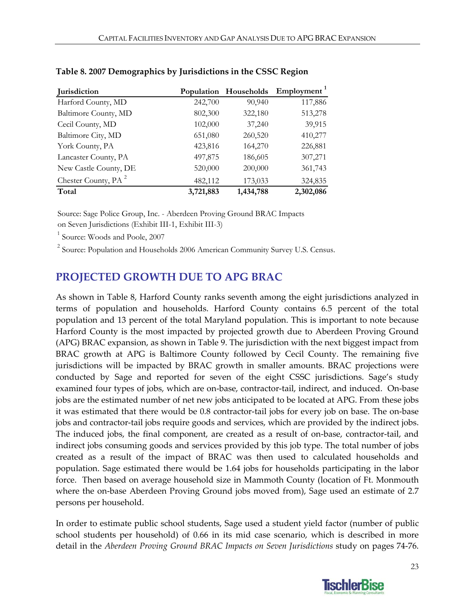| Jurisdiction                    | Population | Households | Employment <sup>1</sup> |
|---------------------------------|------------|------------|-------------------------|
| Harford County, MD              | 242,700    | 90,940     | 117,886                 |
| Baltimore County, MD            | 802,300    | 322,180    | 513,278                 |
| Cecil County, MD                | 102,000    | 37,240     | 39,915                  |
| Baltimore City, MD              | 651,080    | 260,520    | 410,277                 |
| York County, PA                 | 423,816    | 164,270    | 226,881                 |
| Lancaster County, PA            | 497,875    | 186,605    | 307,271                 |
| New Castle County, DE           | 520,000    | 200,000    | 361,743                 |
| Chester County, PA <sup>2</sup> | 482,112    | 173,033    | 324,835                 |
| Total                           | 3,721,883  | 1,434,788  | 2,302,086               |

#### **Table 8. 2007 Demographics by Jurisdictions in the CSSC Region**

Source: Sage Police Group, Inc. - Aberdeen Proving Ground BRAC Impacts

on Seven Jurisdictions (Exhibit III-1, Exhibit III-3)

<sup>1</sup> Source: Woods and Poole, 2007

<sup>2</sup> Source: Population and Households 2006 American Community Survey U.S. Census.

# **PROJECTED GROWTH DUE TO APG BRAC**

As shown in Table 8, Harford County ranks seventh among the eight jurisdictions analyzed in terms of population and households. Harford County contains 6.5 percent of the total population and 13 percent of the total Maryland population. This is important to note because Harford County is the most impacted by projected growth due to Aberdeen Proving Ground (APG) BRAC expansion, as shown in Table 9. The jurisdiction with the next biggest impact from BRAC growth at APG is Baltimore County followed by Cecil County. The remaining five jurisdictions will be impacted by BRAC growth in smaller amounts. BRAC projections were conducted by Sage and reported for seven of the eight CSSC jurisdictions. Sage's study examined four types of jobs, which are on-base, contractor-tail, indirect, and induced. On-base jobs are the estimated number of net new jobs anticipated to be located at APG. From these jobs it was estimated that there would be 0.8 contractor-tail jobs for every job on base. The on-base jobs and contractor-tail jobs require goods and services, which are provided by the indirect jobs. The induced jobs, the final component, are created as a result of on-base, contractor-tail, and indirect jobs consuming goods and services provided by this job type. The total number of jobs created as a result of the impact of BRAC was then used to calculated households and population. Sage estimated there would be 1.64 jobs for households participating in the labor force. Then based on average household size in Mammoth County (location of Ft. Monmouth where the on-base Aberdeen Proving Ground jobs moved from), Sage used an estimate of 2.7 persons per household.

In order to estimate public school students, Sage used a student yield factor (number of public school students per household) of 0.66 in its mid case scenario, which is described in more detail in the *Aberdeen Proving Ground BRAC Impacts on Seven Jurisdictions* study on pages 74‐76.

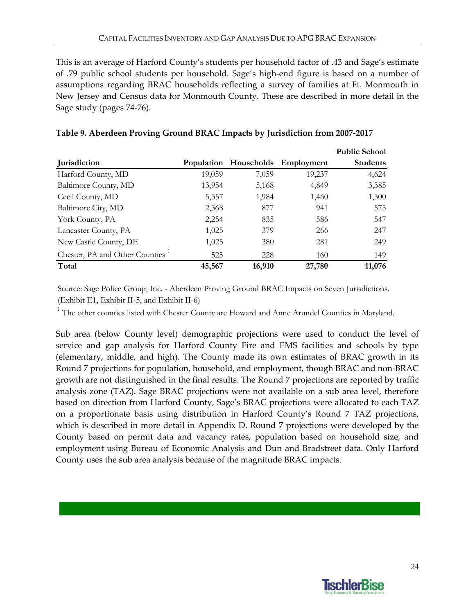This is an average of Harford County's students per household factor of .43 and Sage's estimate of .79 public school students per household. Sage's high‐end figure is based on a number of assumptions regarding BRAC households reflecting a survey of families at Ft. Monmouth in New Jersey and Census data for Monmouth County. These are described in more detail in the Sage study (pages 74‐76).

|                                |        |        |                                  | <b>Public School</b> |
|--------------------------------|--------|--------|----------------------------------|----------------------|
| Jurisdiction                   |        |        | Population Households Employment | <b>Students</b>      |
| Harford County, MD             | 19,059 | 7,059  | 19,237                           | 4,624                |
| Baltimore County, MD           | 13,954 | 5,168  | 4,849                            | 3,385                |
| Cecil County, MD               | 5,357  | 1,984  | 1,460                            | 1,300                |
| Baltimore City, MD             | 2,368  | 877    | 941                              | 575                  |
| York County, PA                | 2,254  | 835    | 586                              | 547                  |
| Lancaster County, PA           | 1,025  | 379    | 266                              | 247                  |
| New Castle County, DE          | 1,025  | 380    | 281                              | 249                  |
| Chester, PA and Other Counties | 525    | 228    | 160                              | 149                  |
| Total                          | 45,567 | 16,910 | 27,780                           | 11,076               |

Source: Sage Police Group, Inc. - Aberdeen Proving Ground BRAC Impacts on Seven Jurisdictions. (Exhibit E1, Exhibit II-5, and Exhibit II-6)

<sup>1</sup> The other counties listed with Chester County are Howard and Anne Arundel Counties in Maryland.

Sub area (below County level) demographic projections were used to conduct the level of service and gap analysis for Harford County Fire and EMS facilities and schools by type (elementary, middle, and high). The County made its own estimates of BRAC growth in its Round 7 projections for population, household, and employment, though BRAC and non‐BRAC growth are not distinguished in the final results. The Round 7 projections are reported by traffic analysis zone (TAZ). Sage BRAC projections were not available on a sub area level, therefore based on direction from Harford County, Sage's BRAC projections were allocated to each TAZ on a proportionate basis using distribution in Harford County's Round 7 TAZ projections, which is described in more detail in Appendix D. Round 7 projections were developed by the County based on permit data and vacancy rates, population based on household size, and employment using Bureau of Economic Analysis and Dun and Bradstreet data. Only Harford County uses the sub area analysis because of the magnitude BRAC impacts.

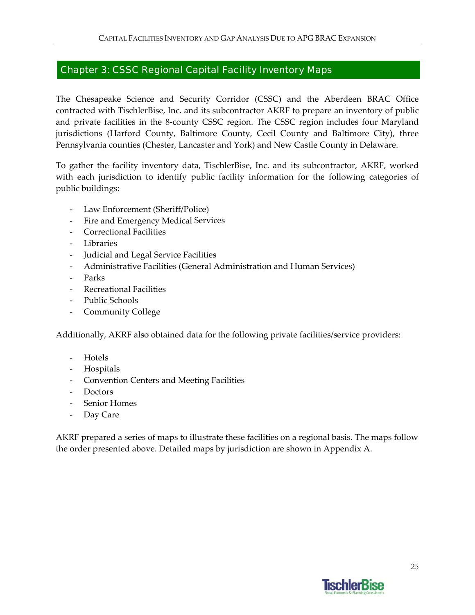### Chapter 3: CSSC Regional Capital Facility Inventory Maps

The Chesapeake Science and Security Corridor (CSSC) and the Aberdeen BRAC Office contracted with TischlerBise, Inc. and its subcontractor AKRF to prepare an inventory of public and private facilities in the 8‐county CSSC region. The CSSC region includes four Maryland jurisdictions (Harford County, Baltimore County, Cecil County and Baltimore City), three Pennsylvania counties (Chester, Lancaster and York) and New Castle County in Delaware.

To gather the facility inventory data, TischlerBise, Inc. and its subcontractor, AKRF, worked with each jurisdiction to identify public facility information for the following categories of public buildings:

- ‐ Law Enforcement (Sheriff/Police)
- ‐ Fire and Emergency Medical Services
- ‐ Correctional Facilities
- ‐ Libraries
- ‐ Judicial and Legal Service Facilities
- ‐ Administrative Facilities (General Administration and Human Services)
- ‐ Parks
- ‐ Recreational Facilities
- ‐ Public Schools
- ‐ Community College

Additionally, AKRF also obtained data for the following private facilities/service providers:

- ‐ Hotels
- ‐ Hospitals
- ‐ Convention Centers and Meeting Facilities
- ‐ Doctors
- ‐ Senior Homes
- Day Care

AKRF prepared a series of maps to illustrate these facilities on a regional basis. The maps follow the order presented above. Detailed maps by jurisdiction are shown in Appendix A.

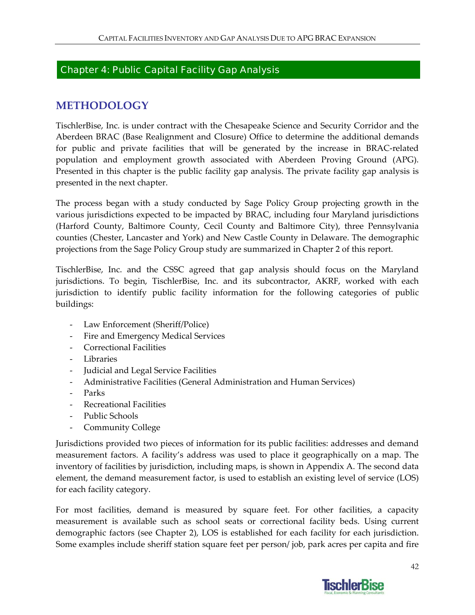### Chapter 4: Public Capital Facility Gap Analysis

# **METHODOLOGY**

TischlerBise, Inc. is under contract with the Chesapeake Science and Security Corridor and the Aberdeen BRAC (Base Realignment and Closure) Office to determine the additional demands for public and private facilities that will be generated by the increase in BRAC‐related population and employment growth associated with Aberdeen Proving Ground (APG). Presented in this chapter is the public facility gap analysis. The private facility gap analysis is presented in the next chapter.

The process began with a study conducted by Sage Policy Group projecting growth in the various jurisdictions expected to be impacted by BRAC, including four Maryland jurisdictions (Harford County, Baltimore County, Cecil County and Baltimore City), three Pennsylvania counties (Chester, Lancaster and York) and New Castle County in Delaware. The demographic projections from the Sage Policy Group study are summarized in Chapter 2 of this report.

TischlerBise, Inc. and the CSSC agreed that gap analysis should focus on the Maryland jurisdictions. To begin, TischlerBise, Inc. and its subcontractor, AKRF, worked with each jurisdiction to identify public facility information for the following categories of public buildings:

- ‐ Law Enforcement (Sheriff/Police)
- ‐ Fire and Emergency Medical Services
- ‐ Correctional Facilities
- ‐ Libraries
- ‐ Judicial and Legal Service Facilities
- ‐ Administrative Facilities (General Administration and Human Services)
- ‐ Parks
- ‐ Recreational Facilities
- ‐ Public Schools
- ‐ Community College

Jurisdictions provided two pieces of information for its public facilities: addresses and demand measurement factors. A facility's address was used to place it geographically on a map. The inventory of facilities by jurisdiction, including maps, is shown in Appendix A. The second data element, the demand measurement factor, is used to establish an existing level of service (LOS) for each facility category.

For most facilities, demand is measured by square feet. For other facilities, a capacity measurement is available such as school seats or correctional facility beds. Using current demographic factors (see Chapter 2), LOS is established for each facility for each jurisdiction. Some examples include sheriff station square feet per person/ job, park acres per capita and fire

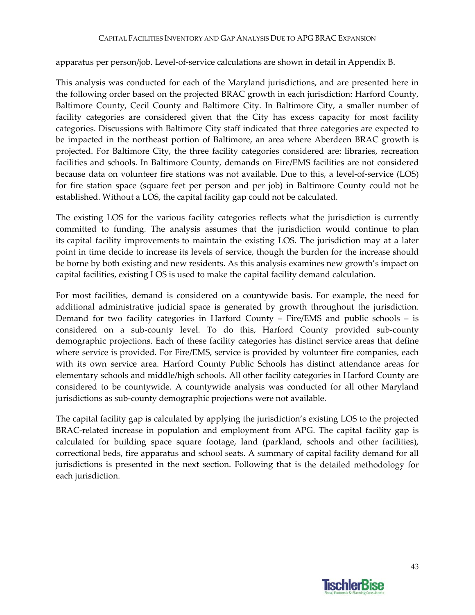apparatus per person/job. Level‐of‐service calculations are shown in detail in Appendix B.

This analysis was conducted for each of the Maryland jurisdictions, and are presented here in the following order based on the projected BRAC growth in each jurisdiction: Harford County, Baltimore County, Cecil County and Baltimore City. In Baltimore City, a smaller number of facility categories are considered given that the City has excess capacity for most facility categories. Discussions with Baltimore City staff indicated that three categories are expected to be impacted in the northeast portion of Baltimore, an area where Aberdeen BRAC growth is projected. For Baltimore City, the three facility categories considered are: libraries, recreation facilities and schools. In Baltimore County, demands on Fire/EMS facilities are not considered because data on volunteer fire stations was not available. Due to this, a level-of-service (LOS) for fire station space (square feet per person and per job) in Baltimore County could not be established. Without a LOS, the capital facility gap could not be calculated.

The existing LOS for the various facility categories reflects what the jurisdiction is currently committed to funding. The analysis assumes that the jurisdiction would continue to plan its capital facility improvements to maintain the existing LOS. The jurisdiction may at a later point in time decide to increase its levels of service, though the burden for the increase should be borne by both existing and new residents. As this analysis examines new growth's impact on capital facilities, existing LOS is used to make the capital facility demand calculation.

For most facilities, demand is considered on a countywide basis. For example, the need for additional administrative judicial space is generated by growth throughout the jurisdiction. Demand for two facility categories in Harford County – Fire/EMS and public schools – is considered on a sub‐county level. To do this, Harford County provided sub‐county demographic projections. Each of these facility categories has distinct service areas that define where service is provided. For Fire/EMS, service is provided by volunteer fire companies, each with its own service area. Harford County Public Schools has distinct attendance areas for elementary schools and middle/high schools. All other facility categories in Harford County are considered to be countywide. A countywide analysis was conducted for all other Maryland jurisdictions as sub-county demographic projections were not available.

The capital facility gap is calculated by applying the jurisdiction's existing LOS to the projected BRAC-related increase in population and employment from APG. The capital facility gap is calculated for building space square footage, land (parkland, schools and other facilities), correctional beds, fire apparatus and school seats. A summary of capital facility demand for all jurisdictions is presented in the next section. Following that is the detailed methodology for each jurisdiction.

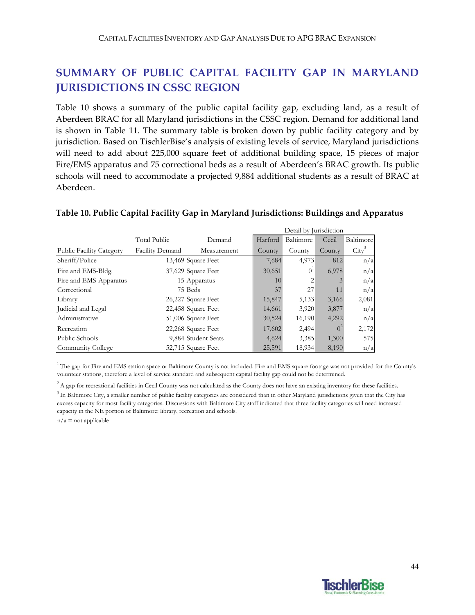# **SUMMARY OF PUBLIC CAPITAL FACILITY GAP IN MARYLAND JURISDICTIONS IN CSSC REGION**

Table 10 shows a summary of the public capital facility gap, excluding land, as a result of Aberdeen BRAC for all Maryland jurisdictions in the CSSC region. Demand for additional land is shown in Table 11. The summary table is broken down by public facility category and by jurisdiction. Based on TischlerBise's analysis of existing levels of service, Maryland jurisdictions will need to add about 225,000 square feet of additional building space, 15 pieces of major Fire/EMS apparatus and 75 correctional beds as a result of Aberdeen's BRAC growth. Its public schools will need to accommodate a projected 9,884 additional students as a result of BRAC at Aberdeen.

|                                 |                     |                    | Detail by Jurisdiction |                |                |           |  |
|---------------------------------|---------------------|--------------------|------------------------|----------------|----------------|-----------|--|
|                                 | <b>Total Public</b> | Demand             | Harford                | Baltimore      | Cecil          | Baltimore |  |
| <b>Public Facility Category</b> | Facility Demand     | Measurement        | County                 | County         | County         | $City^3$  |  |
| Sheriff/Police                  | 13,469 Square Feet  |                    | 7,684                  | 4,973          | 812            | n/a       |  |
| Fire and EMS-Bldg.              | 37,629 Square Feet  |                    | 30,651                 | $0^1$          | 6,978          | n/a       |  |
| Fire and EMS-Apparatus          | 15 Apparatus        |                    | 10                     | $\overline{2}$ |                | n/a       |  |
| Correctional                    | 75 Beds             |                    | 37                     | 27             | 11             | n/a       |  |
| Library                         | 26,227 Square Feet  |                    | 15,847                 | 5,133          | 3,166          | 2,081     |  |
| Judicial and Legal              | 22,458 Square Feet  |                    | 14,661                 | 3,920          | 3,877          | n/a       |  |
| Administrative                  |                     | 51,006 Square Feet | 30,524                 | 16,190         | 4,292          | n/a       |  |
| Recreation                      |                     | 22,268 Square Feet | 17,602                 | 2,494          | 0 <sup>2</sup> | 2,172     |  |
| Public Schools                  | 9,884 Student Seats |                    | 4,624                  | 3,385          | 1,300          | 575       |  |
| Community College               | 52,715 Square Feet  |                    | 25,591                 | 18,934         | 8,190          | n/a       |  |

#### **Table 10. Public Capital Facility Gap in Maryland Jurisdictions: Buildings and Apparatus**

1 The gap for Fire and EMS station space or Baltimore County is not included. Fire and EMS square footage was not provided for the County's volunteer stations, therefore a level of service standard and subsequent capital facility gap could not be determined.

 $n/a$  = not applicable  ${}^{2}$ A gap for recreational facilities in Cecil County was not calculated as the County does not have an existing inventory for these facilities.  $3$  In Baltimore City, a smaller number of public facility categories are considered than in other Maryland jurisdictions given that the City has excess capacity for most facility categories. Discussions with Baltimore City staff indicated that three facility categories will need increased capacity in the NE portion of Baltimore: library, recreation and schools.

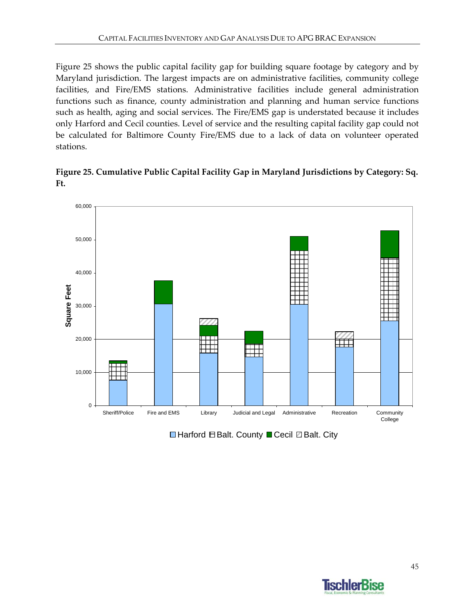Figure 25 shows the public capital facility gap for building square footage by category and by Maryland jurisdiction. The largest impacts are on administrative facilities, community college facilities, and Fire/EMS stations. Administrative facilities include general administration functions such as finance, county administration and planning and human service functions such as health, aging and social services. The Fire/EMS gap is understated because it includes only Harford and Cecil counties. Level of service and the resulting capital facility gap could not be calculated for Baltimore County Fire/EMS due to a lack of data on volunteer operated stations.

**Figure 25. Cumulative Public Capital Facility Gap in Maryland Jurisdictions by Category: Sq. Ft.**



 $\Box$  Harford  $\boxplus$  Balt. County  $\Box$  Cecil  $\Box$  Balt. City

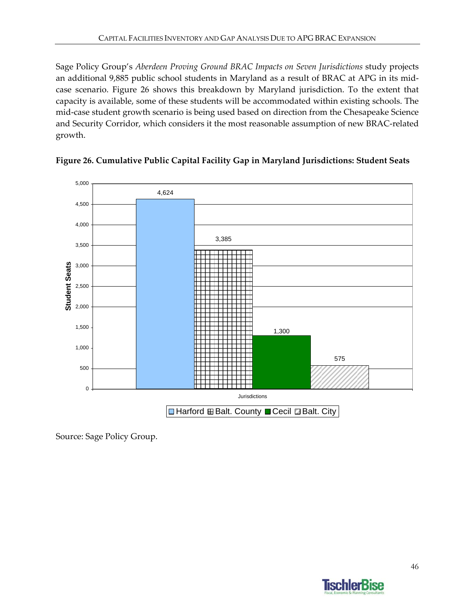Sage Policy Group's *Aberdeen Proving Ground BRAC Impacts on Seven Jurisdictions* study projects an additional 9,885 public school students in Maryland as a result of BRAC at APG in its midcase scenario. Figure 26 shows this breakdown by Maryland jurisdiction. To the extent that capacity is available, some of these students will be accommodated within existing schools. The mid-case student growth scenario is being used based on direction from the Chesapeake Science and Security Corridor, which considers it the most reasonable assumption of new BRAC‐related growth.





Source: Sage Policy Group.

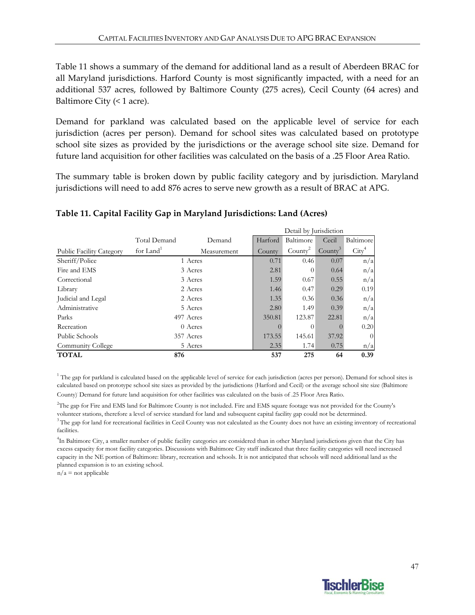Table 11 shows a summary of the demand for additional land as a result of Aberdeen BRAC for all Maryland jurisdictions. Harford County is most significantly impacted, with a need for an additional 537 acres, followed by Baltimore County (275 acres), Cecil County (64 acres) and Baltimore City  $($  < 1 acre).

Demand for parkland was calculated based on the applicable level of service for each jurisdiction (acres per person). Demand for school sites was calculated based on prototype school site sizes as provided by the jurisdictions or the average school site size. Demand for future land acquisition for other facilities was calculated on the basis of a .25 Floor Area Ratio.

The summary table is broken down by public facility category and by jurisdiction. Maryland jurisdictions will need to add 876 acres to serve new growth as a result of BRAC at APG.

|                                 |                       |             | Detail by Jurisdiction |            |                     |                   |  |
|---------------------------------|-----------------------|-------------|------------------------|------------|---------------------|-------------------|--|
|                                 | Total Demand          | Demand      | Harford                | Baltimore  | Cecil               | Baltimore         |  |
| <b>Public Facility Category</b> | for Land <sup>1</sup> | Measurement | County                 | $Countv^2$ | County <sup>3</sup> | $\mathrm{City}^4$ |  |
| Sheriff/Police                  | 1 Acres               |             | 0.71                   | 0.46       | 0.07                | n/a               |  |
| Fire and EMS                    | 3 Acres               |             | 2.81                   | $\theta$   | 0.64                | n/a               |  |
| Correctional                    | 3 Acres               |             | 1.59                   | 0.67       | 0.55                | n/a               |  |
| Library                         | 2 Acres               |             | 1.46                   | 0.47       | 0.29                | 0.19              |  |
| Judicial and Legal              | 2 Acres               |             | 1.35                   | 0.36       | 0.36                | n/a               |  |
| Administrative                  | 5 Acres               |             | 2.80                   | 1.49       | 0.39                | n/a               |  |
| Parks                           | 497 Acres             |             | 350.81                 | 123.87     | 22.81               | n/a               |  |
| Recreation                      | 0 Acres               |             |                        | $\theta$   |                     | 0.20              |  |
| Public Schools                  | 357 Acres             |             | 173.55                 | 145.61     | 37.92               | $\overline{0}$    |  |
| Community College               | 5 Acres               |             | 2.35                   | 1.74       | 0.75                | n/a               |  |
| <b>TOTAL</b>                    | 876                   |             | 537                    | 275        | 64                  | 0.39              |  |

### **Table 11. Capital Facility Gap in Maryland Jurisdictions: Land (Acres)**

<sup>1</sup> The gap for parkland is calculated based on the applicable level of service for each jurisdiction (acres per person). Demand for school sites is calculated based on prototype school site sizes as provided by the jurisdictions (Harford and Cecil) or the average school site size (Baltimore County). Demand for future land acquisition for other facilities was calculated on the basis of .25 Floor Area Ratio.

 $3$ The gap for land for recreational facilities in Cecil County was not calculated as the County does not have an existing inventory of recreational facilities. 2 The gap for Fire and EMS land for Baltimore County is not included. Fire and EMS square footage was not provided for the County's volunteer stations, therefore a level of service standard for land and subsequent capital facility gap could not be determined.

<sup>4</sup>In Baltimore City, a smaller number of public facility categories are considered than in other Maryland jurisdictions given that the City has excess capacity for most facility categories. Discussions with Baltimore City staff indicated that three facility categories will need increased capacity in the NE portion of Baltimore: library, recreation and schools. It is not anticipated that schools will need additional land as the planned expansion is to an existing school.

 $n/a$  = not applicable

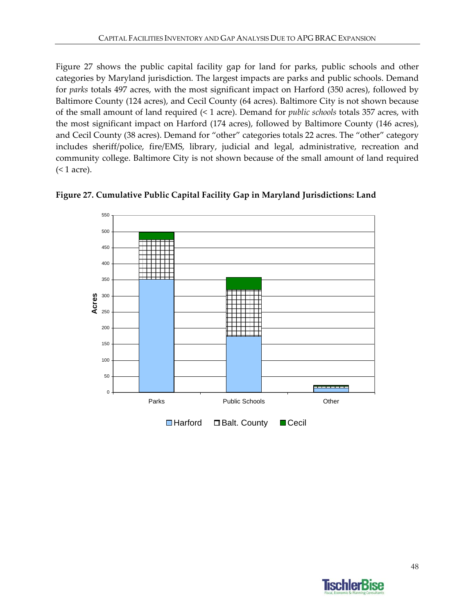Figure 27 shows the public capital facility gap for land for parks, public schools and other categories by Maryland jurisdiction. The largest impacts are parks and public schools. Demand for *parks* totals 497 acres, with the most significant impact on Harford (350 acres), followed by Baltimore County (124 acres), and Cecil County (64 acres). Baltimore City is not shown because of the small amount of land required (< 1 acre). Demand for *public schools* totals 357 acres, with the most significant impact on Harford (174 acres), followed by Baltimore County (146 acres), and Cecil County (38 acres). Demand for "other" categories totals 22 acres. The "other" category includes sheriff/police, fire/EMS, library, judicial and legal, administrative, recreation and community college. Baltimore City is not shown because of the small amount of land required (< 1 acre).





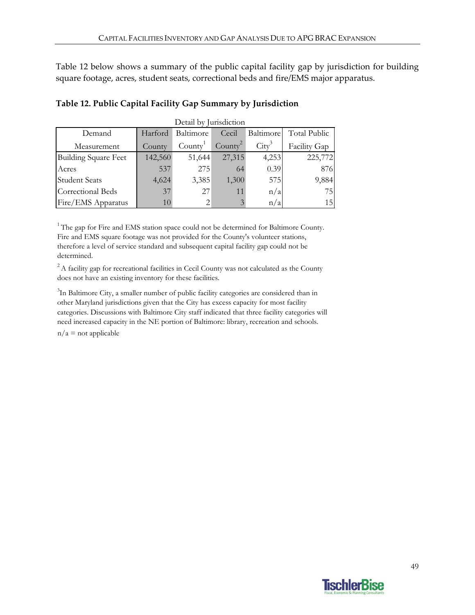Table 12 below shows a summary of the public capital facility gap by jurisdiction for building square footage, acres, student seats, correctional beds and fire/EMS major apparatus.

| Detail by Jurisdiction      |         |                     |            |                         |                     |
|-----------------------------|---------|---------------------|------------|-------------------------|---------------------|
| Demand                      | Harford | Baltimore           | Cecil      | Baltimore               | <b>Total Public</b> |
| Measurement                 | County  | Countv <sup>1</sup> | $Countv^2$ | $\operatorname{City}^3$ | Facility Gap        |
| <b>Building Square Feet</b> | 142,560 | 51,644              | 27,315     | 4,253                   | 225,772             |
| Acres                       | 537     | 275                 | 64         | 0.39                    | 876                 |
| <b>Student Seats</b>        | 4,624   | 3,385               | 1,300      | 575                     | 9,884               |
| Correctional Beds           | 37      | 27                  | 11         | n/a                     | 75                  |
| Fire/EMS Apparatus          | 10      |                     | 3          | n/a                     | 15                  |

#### **Table 12. Public Capital Facility Gap Summary by Jurisdiction**

 $1$ <sup>1</sup> The gap for Fire and EMS station space could not be determined for Baltimore County. Fire and EMS square footage was not provided for the County's volunteer stations, therefore a level of service standard and subsequent capital facility gap could not be determined.

 $2A$  facility gap for recreational facilities in Cecil County was not calculated as the County does not have an existing inventory for these facilities.

<sup>3</sup>In Baltimore City, a smaller number of public facility categories are considered than in other Maryland jurisdictions given that the City has excess capacity for most facility categories. Discussions with Baltimore City staff indicated that three facility categories will need increased capacity in the NE portion of Baltimore: library, recreation and schools.

 $n/a$  = not applicable

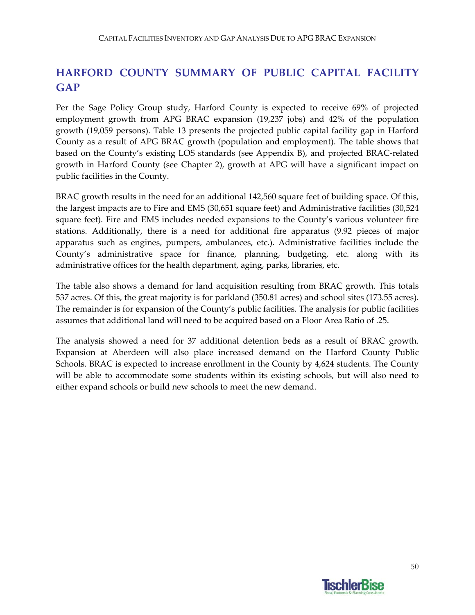# **HARFORD COUNTY SUMMARY OF PUBLIC CAPITAL FACILITY GAP**

Per the Sage Policy Group study, Harford County is expected to receive 69% of projected employment growth from APG BRAC expansion (19,237 jobs) and 42% of the population growth (19,059 persons). Table 13 presents the projected public capital facility gap in Harford County as a result of APG BRAC growth (population and employment). The table shows that based on the County's existing LOS standards (see Appendix B), and projected BRAC‐related growth in Harford County (see Chapter 2), growth at APG will have a significant impact on public facilities in the County.

BRAC growth results in the need for an additional 142,560 square feet of building space. Of this, the largest impacts are to Fire and EMS (30,651 square feet) and Administrative facilities (30,524 square feet). Fire and EMS includes needed expansions to the County's various volunteer fire stations. Additionally, there is a need for additional fire apparatus (9.92 pieces of major apparatus such as engines, pumpers, ambulances, etc.). Administrative facilities include the County's administrative space for finance, planning, budgeting, etc. along with its administrative offices for the health department, aging, parks, libraries, etc.

The table also shows a demand for land acquisition resulting from BRAC growth. This totals 537 acres. Of this, the great majority is for parkland (350.81 acres) and school sites (173.55 acres). The remainder is for expansion of the County's public facilities. The analysis for public facilities assumes that additional land will need to be acquired based on a Floor Area Ratio of .25.

The analysis showed a need for 37 additional detention beds as a result of BRAC growth. Expansion at Aberdeen will also place increased demand on the Harford County Public Schools. BRAC is expected to increase enrollment in the County by 4,624 students. The County will be able to accommodate some students within its existing schools, but will also need to either expand schools or build new schools to meet the new demand.

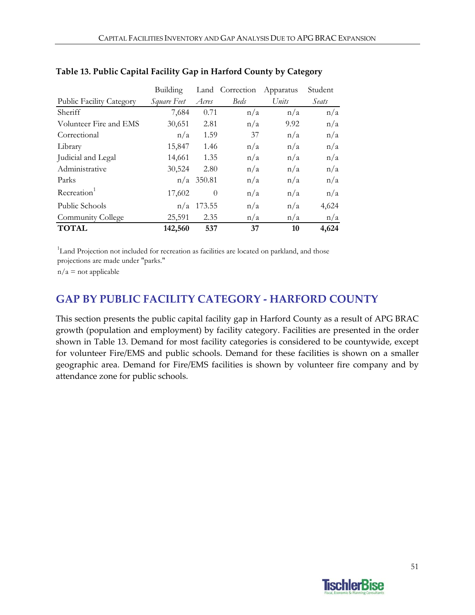|                                 | Building    |              | Land Correction | Apparatus | Student |
|---------------------------------|-------------|--------------|-----------------|-----------|---------|
| <b>Public Facility Category</b> | Square Feet | Acres        | <b>Beds</b>     | Units     | Seats   |
| Sheriff                         | 7,684       | 0.71         | n/a             | n/a       | n/a     |
| Volunteer Fire and EMS          | 30,651      | 2.81         | n/a             | 9.92      | n/a     |
| Correctional                    | n/a         | 1.59         | 37              | n/a       | n/a     |
| Library                         | 15,847      | 1.46         | n/a             | n/a       | n/a     |
| Judicial and Legal              | 14,661      | 1.35         | n/a             | n/a       | n/a     |
| Administrative                  | 30,524      | 2.80         | n/a             | n/a       | n/a     |
| Parks                           |             | $n/a$ 350.81 | n/a             | n/a       | n/a     |
| Recreation <sup>1</sup>         | 17,602      | $\theta$     | n/a             | n/a       | n/a     |
| Public Schools                  | n/a         | 173.55       | n/a             | n/a       | 4,624   |
| Community College               | 25,591      | 2.35         | n/a             | n/a       | n/a     |
| <b>TOTAL</b>                    | 142,560     | 537          | 37              | 10        | 4,624   |

#### **Table 13. Public Capital Facility Gap in Harford County by Category**

<sup>1</sup>Land Projection not included for recreation as facilities are located on parkland, and those

projections are made under "parks."

 $n/a$  = not applicable

## **GAP BY PUBLIC FACILITY CATEGORY ‐ HARFORD COUNTY**

This section presents the public capital facility gap in Harford County as a result of APG BRAC growth (population and employment) by facility category. Facilities are presented in the order shown in Table 13. Demand for most facility categories is considered to be countywide, except for volunteer Fire/EMS and public schools. Demand for these facilities is shown on a smaller geographic area. Demand for Fire/EMS facilities is shown by volunteer fire company and by attendance zone for public schools.

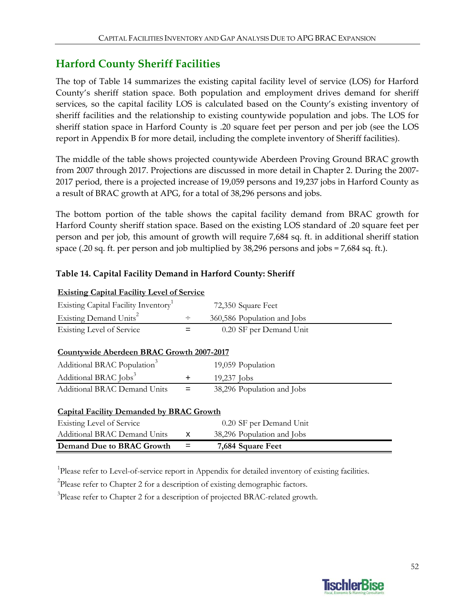## **Harford County Sheriff Facilities**

The top of Table 14 summarizes the existing capital facility level of service (LOS) for Harford County's sheriff station space. Both population and employment drives demand for sheriff services, so the capital facility LOS is calculated based on the County's existing inventory of sheriff facilities and the relationship to existing countywide population and jobs. The LOS for sheriff station space in Harford County is .20 square feet per person and per job (see the LOS report in Appendix B for more detail, including the complete inventory of Sheriff facilities).

The middle of the table shows projected countywide Aberdeen Proving Ground BRAC growth from 2007 through 2017. Projections are discussed in more detail in Chapter 2. During the 2007‐ 2017 period, there is a projected increase of 19,059 persons and 19,237 jobs in Harford County as a result of BRAC growth at APG, for a total of 38,296 persons and jobs.

The bottom portion of the table shows the capital facility demand from BRAC growth for Harford County sheriff station space. Based on the existing LOS standard of .20 square feet per person and per job, this amount of growth will require 7,684 sq. ft. in additional sheriff station space (.20 sq. ft. per person and job multiplied by 38,296 persons and jobs = 7,684 sq. ft.).

| <b>Existing Capital Facility Level of Service</b> |                             |
|---------------------------------------------------|-----------------------------|
| Existing Capital Facility Inventory <sup>1</sup>  | 72,350 Square Feet          |
| Existing Demand Units <sup>2</sup>                | 360,586 Population and Jobs |
| Existing Level of Service                         | 0.20 SF per Demand Unit     |

#### **Table 14. Capital Facility Demand in Harford County: Sheriff**

#### **Countywide Aberdeen BRAC Growth 2007-2017**

| Additional BRAC Population <sup>3</sup> |          | 19,059 Population          |
|-----------------------------------------|----------|----------------------------|
| Additional BRAC Jobs <sup>3</sup>       |          | $19,237$ Jobs              |
| <b>Additional BRAC Demand Units</b>     | $\equiv$ | 38,296 Population and Jobs |

#### **Capital Facility Demanded by BRAC Growth**

| Existing Level of Service    |              | 0.20 SF per Demand Unit    |
|------------------------------|--------------|----------------------------|
| Additional BRAC Demand Units | $\mathbf{X}$ | 38,296 Population and Jobs |
| Demand Due to BRAC Growth    | $=$ $-$      | 7,684 Square Feet          |

<sup>1</sup>Please refer to Level-of-service report in Appendix for detailed inventory of existing facilities.

 $2$ Please refer to Chapter 2 for a description of existing demographic factors.

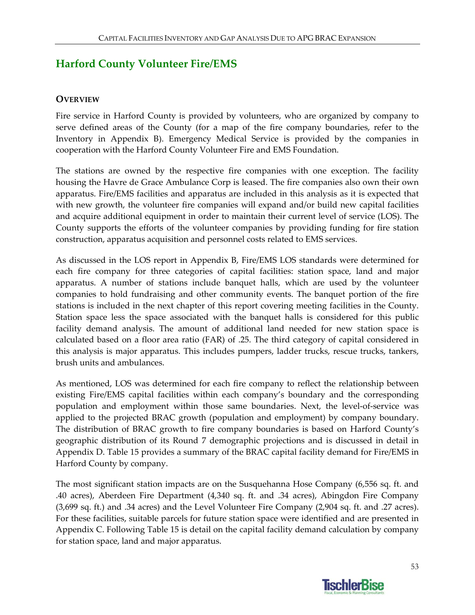# **Harford County Volunteer Fire/EMS**

### **OVERVIEW**

Fire service in Harford County is provided by volunteers, who are organized by company to serve defined areas of the County (for a map of the fire company boundaries, refer to the Inventory in Appendix B). Emergency Medical Service is provided by the companies in cooperation with the Harford County Volunteer Fire and EMS Foundation.

The stations are owned by the respective fire companies with one exception. The facility housing the Havre de Grace Ambulance Corp is leased. The fire companies also own their own apparatus. Fire/EMS facilities and apparatus are included in this analysis as it is expected that with new growth, the volunteer fire companies will expand and/or build new capital facilities and acquire additional equipment in order to maintain their current level of service (LOS). The County supports the efforts of the volunteer companies by providing funding for fire station construction, apparatus acquisition and personnel costs related to EMS services.

As discussed in the LOS report in Appendix B, Fire/EMS LOS standards were determined for each fire company for three categories of capital facilities: station space, land and major apparatus. A number of stations include banquet halls, which are used by the volunteer companies to hold fundraising and other community events. The banquet portion of the fire stations is included in the next chapter of this report covering meeting facilities in the County. Station space less the space associated with the banquet halls is considered for this public facility demand analysis. The amount of additional land needed for new station space is calculated based on a floor area ratio (FAR) of .25. The third category of capital considered in this analysis is major apparatus. This includes pumpers, ladder trucks, rescue trucks, tankers, brush units and ambulances.

As mentioned, LOS was determined for each fire company to reflect the relationship between existing Fire/EMS capital facilities within each company's boundary and the corresponding population and employment within those same boundaries. Next, the level-of-service was applied to the projected BRAC growth (population and employment) by company boundary. The distribution of BRAC growth to fire company boundaries is based on Harford County's geographic distribution of its Round 7 demographic projections and is discussed in detail in Appendix D. Table 15 provides a summary of the BRAC capital facility demand for Fire/EMS in Harford County by company.

The most significant station impacts are on the Susquehanna Hose Company (6,556 sq. ft. and .40 acres), Aberdeen Fire Department (4,340 sq. ft. and .34 acres), Abingdon Fire Company (3,699 sq. ft.) and .34 acres) and the Level Volunteer Fire Company (2,904 sq. ft. and .27 acres). For these facilities, suitable parcels for future station space were identified and are presented in Appendix C. Following Table 15 is detail on the capital facility demand calculation by company for station space, land and major apparatus.

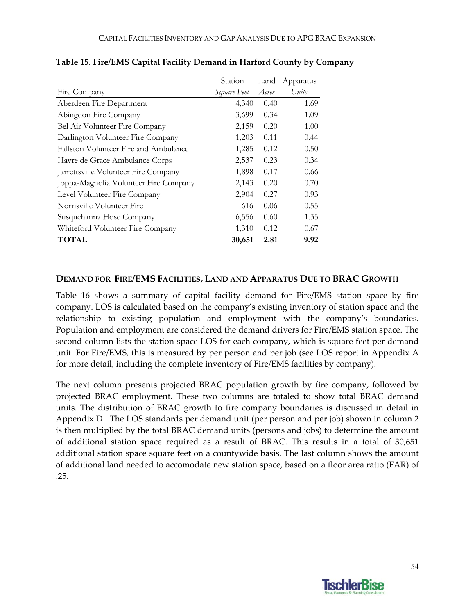|                                       | Station     | Land  | Apparatus |
|---------------------------------------|-------------|-------|-----------|
| Fire Company                          | Square Feet | Acres | Units     |
| Aberdeen Fire Department              | 4,340       | 0.40  | 1.69      |
| Abingdon Fire Company                 | 3,699       | 0.34  | 1.09      |
| Bel Air Volunteer Fire Company        | 2,159       | 0.20  | 1.00      |
| Darlington Volunteer Fire Company     | 1,203       | 0.11  | 0.44      |
| Fallston Volunteer Fire and Ambulance | 1,285       | 0.12  | 0.50      |
| Havre de Grace Ambulance Corps        | 2,537       | 0.23  | 0.34      |
| Jarrettsville Volunteer Fire Company  | 1,898       | 0.17  | 0.66      |
| Joppa-Magnolia Volunteer Fire Company | 2,143       | 0.20  | 0.70      |
| Level Volunteer Fire Company          | 2,904       | 0.27  | 0.93      |
| Norrisville Volunteer Fire            | 616         | 0.06  | 0.55      |
| Susquehanna Hose Company              | 6,556       | 0.60  | 1.35      |
| Whiteford Volunteer Fire Company      | 1,310       | 0.12  | 0.67      |
| <b>TOTAL</b>                          | 30,651      | 2.81  | 9.92      |

### **Table 15. Fire/EMS Capital Facility Demand in Harford County by Company**

#### **DEMAND FOR FIRE/EMS FACILITIES, LAND AND APPARATUS DUE TO BRAC GROWTH**

Table 16 shows a summary of capital facility demand for Fire/EMS station space by fire company. LOS is calculated based on the company's existing inventory of station space and the relationship to existing population and employment with the company's boundaries. Population and employment are considered the demand drivers for Fire/EMS station space. The second column lists the station space LOS for each company, which is square feet per demand unit. For Fire/EMS, this is measured by per person and per job (see LOS report in Appendix A for more detail, including the complete inventory of Fire/EMS facilities by company).

The next column presents projected BRAC population growth by fire company, followed by projected BRAC employment. These two columns are totaled to show total BRAC demand units. The distribution of BRAC growth to fire company boundaries is discussed in detail in Appendix D. The LOS standards per demand unit (per person and per job) shown in column 2 is then multiplied by the total BRAC demand units (persons and jobs) to determine the amount of additional station space required as a result of BRAC. This results in a total of 30,651 additional station space square feet on a countywide basis. The last column shows the amount of additional land needed to accomodate new station space, based on a floor area ratio (FAR) of .25.

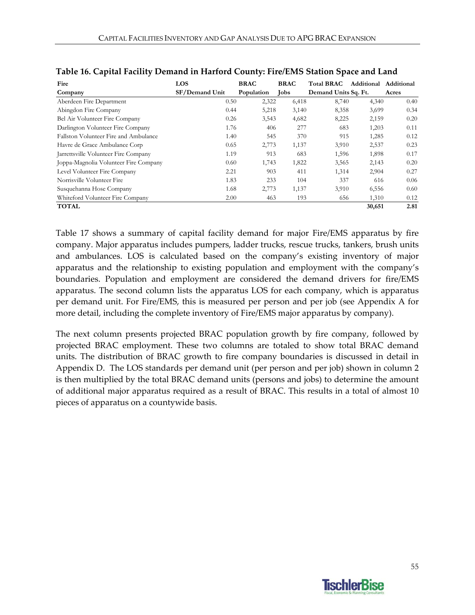| Fire                                  | <b>LOS</b>     | <b>BRAC</b> | <b>BRAC</b> | <b>Total BRAC</b>    | Additional | Additional |
|---------------------------------------|----------------|-------------|-------------|----------------------|------------|------------|
| Company                               | SF/Demand Unit | Population  | <b>Tobs</b> | Demand Units Sq. Ft. |            | Acres      |
| Aberdeen Fire Department              | 0.50           | 2,322       | 6,418       | 8,740                | 4,340      | 0.40       |
| Abingdon Fire Company                 | 0.44           | 5,218       | 3,140       | 8,358                | 3,699      | 0.34       |
| Bel Air Volunteer Fire Company        | 0.26           | 3,543       | 4,682       | 8,225                | 2,159      | 0.20       |
| Darlington Volunteer Fire Company     | 1.76           | 406         | 277         | 683                  | 1,203      | 0.11       |
| Fallston Volunteer Fire and Ambulance | 1.40           | 545         | 370         | 915                  | 1,285      | 0.12       |
| Havre de Grace Ambulance Corp         | 0.65           | 2,773       | 1,137       | 3,910                | 2,537      | 0.23       |
| Jarrettsville Volunteer Fire Company  | 1.19           | 913         | 683         | 1,596                | 1,898      | 0.17       |
| Joppa-Magnolia Volunteer Fire Company | 0.60           | 1,743       | 1,822       | 3,565                | 2,143      | 0.20       |
| Level Volunteer Fire Company          | 2.21           | 903         | 411         | 1,314                | 2,904      | 0.27       |
| Norrisville Volunteer Fire            | 1.83           | 233         | 104         | 337                  | 616        | 0.06       |
| Susquehanna Hose Company              | 1.68           | 2,773       | 1,137       | 3,910                | 6,556      | 0.60       |
| Whiteford Volunteer Fire Company      | 2.00           | 463         | 193         | 656                  | 1,310      | 0.12       |
| <b>TOTAL</b>                          |                |             |             |                      | 30,651     | 2.81       |

|  |  | Table 16. Capital Facility Demand in Harford County: Fire/EMS Station Space and Land |
|--|--|--------------------------------------------------------------------------------------|
|  |  |                                                                                      |

Table 17 shows a summary of capital facility demand for major Fire/EMS apparatus by fire company. Major apparatus includes pumpers, ladder trucks, rescue trucks, tankers, brush units and ambulances. LOS is calculated based on the company's existing inventory of major apparatus and the relationship to existing population and employment with the company's boundaries. Population and employment are considered the demand drivers for fire/EMS apparatus. The second column lists the apparatus LOS for each company, which is apparatus per demand unit. For Fire/EMS, this is measured per person and per job (see Appendix A for more detail, including the complete inventory of Fire/EMS major apparatus by company).

The next column presents projected BRAC population growth by fire company, followed by projected BRAC employment. These two columns are totaled to show total BRAC demand units. The distribution of BRAC growth to fire company boundaries is discussed in detail in Appendix D. The LOS standards per demand unit (per person and per job) shown in column 2 is then multiplied by the total BRAC demand units (persons and jobs) to determine the amount of additional major apparatus required as a result of BRAC. This results in a total of almost 10 pieces of apparatus on a countywide basis.

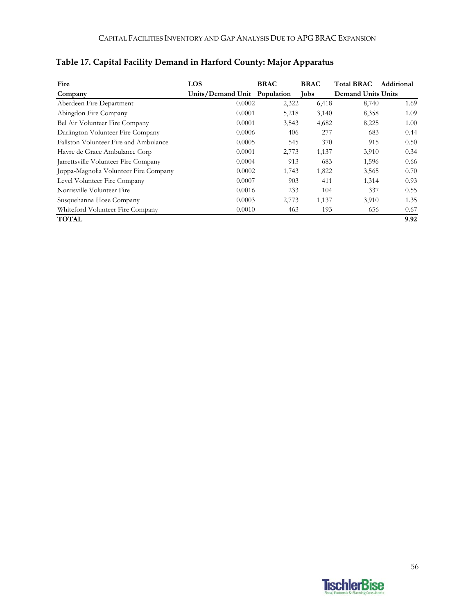| Fire                                  | LOS                          | <b>BRAC</b> | <b>BRAC</b> | <b>Total BRAC</b>         | Additional |
|---------------------------------------|------------------------------|-------------|-------------|---------------------------|------------|
| Company                               | Units/Demand Unit Population |             | <b>Jobs</b> | <b>Demand Units Units</b> |            |
| Aberdeen Fire Department              | 0.0002                       | 2,322       | 6,418       | 8,740                     | 1.69       |
| Abingdon Fire Company                 | 0.0001                       | 5,218       | 3,140       | 8,358                     | 1.09       |
| Bel Air Volunteer Fire Company        | 0.0001                       | 3,543       | 4,682       | 8,225                     | 1.00       |
| Darlington Volunteer Fire Company     | 0.0006                       | 406         | 277         | 683                       | 0.44       |
| Fallston Volunteer Fire and Ambulance | 0.0005                       | 545         | 370         | 915                       | 0.50       |
| Havre de Grace Ambulance Corp         | 0.0001                       | 2,773       | 1,137       | 3,910                     | 0.34       |
| Jarrettsville Volunteer Fire Company  | 0.0004                       | 913         | 683         | 1,596                     | 0.66       |
| Joppa-Magnolia Volunteer Fire Company | 0.0002                       | 1,743       | 1,822       | 3,565                     | 0.70       |
| Level Volunteer Fire Company          | 0.0007                       | 903         | 411         | 1,314                     | 0.93       |
| Norrisville Volunteer Fire            | 0.0016                       | 233         | 104         | 337                       | 0.55       |
| Susquehanna Hose Company              | 0.0003                       | 2,773       | 1,137       | 3,910                     | 1.35       |
| Whiteford Volunteer Fire Company      | 0.0010                       | 463         | 193         | 656                       | 0.67       |
| <b>TOTAL</b>                          |                              |             |             |                           | 9.92       |

# **Table 17. Capital Facility Demand in Harford County: Major Apparatus**

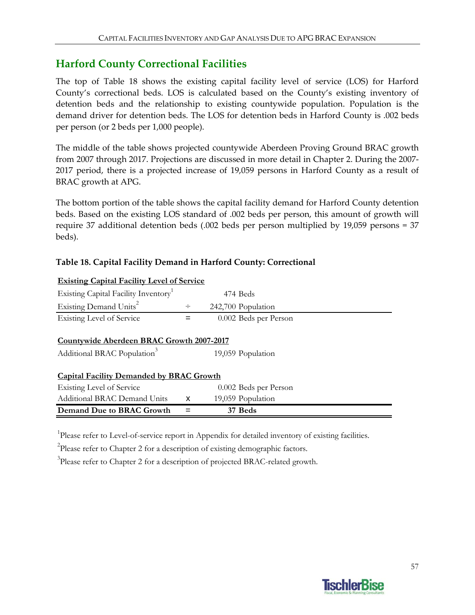## **Harford County Correctional Facilities**

The top of Table 18 shows the existing capital facility level of service (LOS) for Harford County's correctional beds. LOS is calculated based on the County's existing inventory of detention beds and the relationship to existing countywide population. Population is the demand driver for detention beds. The LOS for detention beds in Harford County is .002 beds per person (or 2 beds per 1,000 people).

The middle of the table shows projected countywide Aberdeen Proving Ground BRAC growth from 2007 through 2017. Projections are discussed in more detail in Chapter 2. During the 2007‐ 2017 period, there is a projected increase of 19,059 persons in Harford County as a result of BRAC growth at APG.

The bottom portion of the table shows the capital facility demand for Harford County detention beds. Based on the existing LOS standard of .002 beds per person, this amount of growth will require 37 additional detention beds (.002 beds per person multiplied by 19,059 persons = 37 beds).

#### **Table 18. Capital Facility Demand in Harford County: Correctional**

| <u>Existing Capital Pacility Level of Service</u>                                    |                           |                       |  |
|--------------------------------------------------------------------------------------|---------------------------|-----------------------|--|
| Existing Capital Facility Inventory                                                  |                           | 474 Beds              |  |
| Existing Demand Units <sup>2</sup>                                                   | $\div$                    | 242,700 Population    |  |
| <b>Existing Level of Service</b>                                                     |                           | 0.002 Beds per Person |  |
| Countywide Aberdeen BRAC Growth 2007-2017<br>Additional BRAC Population <sup>3</sup> |                           | 19,059 Population     |  |
|                                                                                      |                           |                       |  |
| <b>Capital Facility Demanded by BRAC Growth</b>                                      |                           |                       |  |
| Existing Level of Service                                                            |                           | 0.002 Beds per Person |  |
| <b>Additional BRAC Demand Units</b>                                                  | $\boldsymbol{\mathsf{x}}$ | 19,059 Population     |  |
| Demand Due to BRAC Growth                                                            |                           | 37 Beds               |  |

#### **Existing Capital Facility Level of Service**

<sup>1</sup>Please refer to Level-of-service report in Appendix for detailed inventory of existing facilities.

<sup>2</sup>Please refer to Chapter 2 for a description of existing demographic factors.

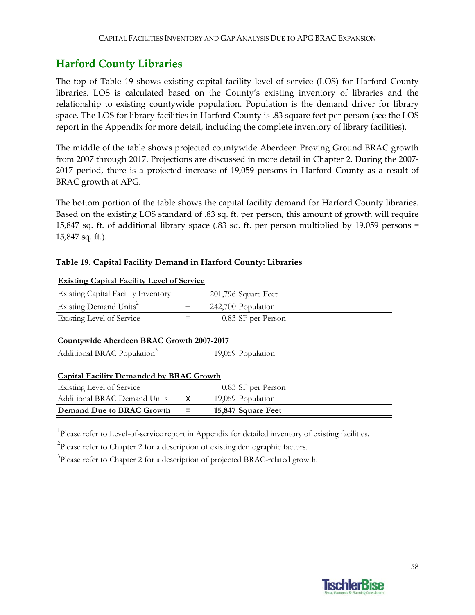## **Harford County Libraries**

The top of Table 19 shows existing capital facility level of service (LOS) for Harford County libraries. LOS is calculated based on the County's existing inventory of libraries and the relationship to existing countywide population. Population is the demand driver for library space. The LOS for library facilities in Harford County is .83 square feet per person (see the LOS report in the Appendix for more detail, including the complete inventory of library facilities).

The middle of the table shows projected countywide Aberdeen Proving Ground BRAC growth from 2007 through 2017. Projections are discussed in more detail in Chapter 2. During the 2007‐ 2017 period, there is a projected increase of 19,059 persons in Harford County as a result of BRAC growth at APG.

The bottom portion of the table shows the capital facility demand for Harford County libraries. Based on the existing LOS standard of .83 sq. ft. per person, this amount of growth will require 15,847 sq. ft. of additional library space (.83 sq. ft. per person multiplied by 19,059 persons = 15,847 sq. ft.).

#### **Table 19. Capital Facility Demand in Harford County: Libraries**

| Existing Capital Facility Inventory <sup>1</sup> |              | 201,796 Square Feet |  |
|--------------------------------------------------|--------------|---------------------|--|
| Existing Demand Units <sup>2</sup>               | $\div$       | 242,700 Population  |  |
| Existing Level of Service                        |              | 0.83 SF per Person  |  |
|                                                  |              |                     |  |
| <b>Countywide Aberdeen BRAC Growth 2007-2017</b> |              |                     |  |
| Additional BRAC Population <sup>3</sup>          |              | 19,059 Population   |  |
|                                                  |              |                     |  |
| <b>Capital Facility Demanded by BRAC Growth</b>  |              |                     |  |
| Existing Level of Service                        |              | 0.83 SF per Person  |  |
| <b>Additional BRAC Demand Units</b>              | $\mathsf{x}$ | 19,059 Population   |  |
| Demand Due to BRAC Growth                        |              | 15,847 Square Feet  |  |

#### **Existing Capital Facility Level of Service**

<sup>1</sup>Please refer to Level-of-service report in Appendix for detailed inventory of existing facilities.

 $2$ Please refer to Chapter 2 for a description of existing demographic factors.

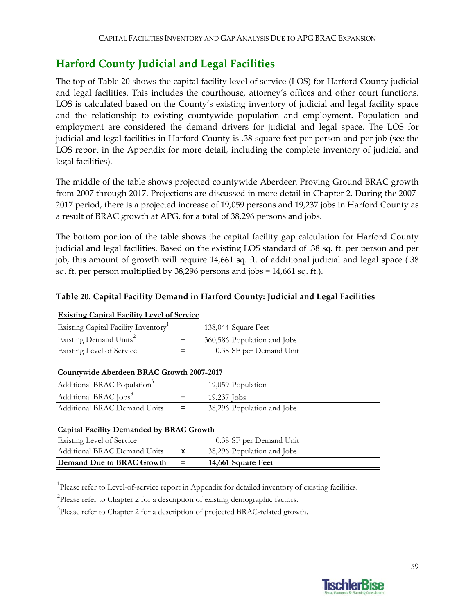# **Harford County Judicial and Legal Facilities**

The top of Table 20 shows the capital facility level of service (LOS) for Harford County judicial and legal facilities. This includes the courthouse, attorney's offices and other court functions. LOS is calculated based on the County's existing inventory of judicial and legal facility space and the relationship to existing countywide population and employment. Population and employment are considered the demand drivers for judicial and legal space. The LOS for judicial and legal facilities in Harford County is .38 square feet per person and per job (see the LOS report in the Appendix for more detail, including the complete inventory of judicial and legal facilities).

The middle of the table shows projected countywide Aberdeen Proving Ground BRAC growth from 2007 through 2017. Projections are discussed in more detail in Chapter 2. During the 2007‐ 2017 period, there is a projected increase of 19,059 persons and 19,237 jobs in Harford County as a result of BRAC growth at APG, for a total of 38,296 persons and jobs.

The bottom portion of the table shows the capital facility gap calculation for Harford County judicial and legal facilities. Based on the existing LOS standard of .38 sq. ft. per person and per job, this amount of growth will require 14,661 sq. ft. of additional judicial and legal space (.38 sq. ft. per person multiplied by 38,296 persons and jobs = 14,661 sq. ft.).

| <b>Existing Capital Facility Level of Service</b> |       |                             |
|---------------------------------------------------|-------|-----------------------------|
| Existing Capital Facility Inventory               |       | 138,044 Square Feet         |
| Existing Demand Units <sup>2</sup>                | ÷     | 360,586 Population and Jobs |
| Existing Level of Service                         |       | 0.38 SF per Demand Unit     |
|                                                   |       |                             |
| Countywide Aberdeen BRAC Growth 2007-2017         |       |                             |
| Additional BRAC Population <sup>3</sup>           |       | 19,059 Population           |
| Additional BRAC Jobs <sup>3</sup>                 | $\pm$ | 19,237 Jobs                 |
| Additional BRAC Demand Units                      | $=$   | 38,296 Population and Jobs  |
|                                                   |       |                             |
| <b>Capital Facility Demanded by BRAC Growth</b>   |       |                             |
| Existing Level of Service                         |       | 0.38 SF per Demand Unit     |
| Additional BRAC Demand Units                      | X     | 38,296 Population and Jobs  |
| Demand Due to BRAC Growth                         |       | 14,661 Square Feet          |

### **Table 20. Capital Facility Demand in Harford County: Judicial and Legal Facilities**

<sup>1</sup>Please refer to Level-of-service report in Appendix for detailed inventory of existing facilities.

<sup>2</sup>Please refer to Chapter 2 for a description of existing demographic factors.

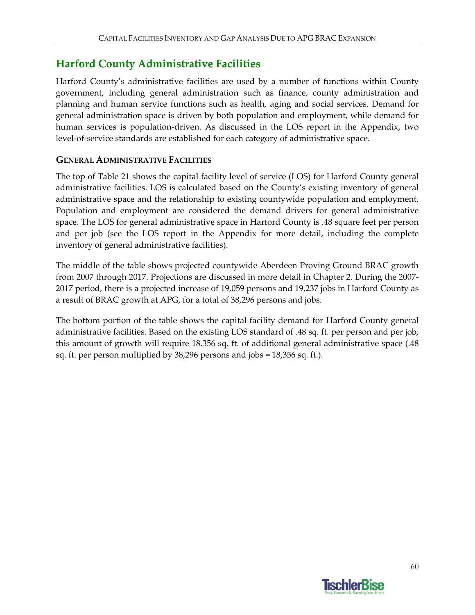# **Harford County Administrative Facilities**

Harford County's administrative facilities are used by a number of functions within County government, including general administration such as finance, county administration and planning and human service functions such as health, aging and social services. Demand for general administration space is driven by both population and employment, while demand for human services is population-driven. As discussed in the LOS report in the Appendix, two level‐of‐service standards are established for each category of administrative space.

### **GENERAL ADMINISTRATIVE FACILITIES**

The top of Table 21 shows the capital facility level of service (LOS) for Harford County general administrative facilities. LOS is calculated based on the County's existing inventory of general administrative space and the relationship to existing countywide population and employment. Population and employment are considered the demand drivers for general administrative space. The LOS for general administrative space in Harford County is .48 square feet per person and per job (see the LOS report in the Appendix for more detail, including the complete inventory of general administrative facilities).

The middle of the table shows projected countywide Aberdeen Proving Ground BRAC growth from 2007 through 2017. Projections are discussed in more detail in Chapter 2. During the 2007‐ 2017 period, there is a projected increase of 19,059 persons and 19,237 jobs in Harford County as a result of BRAC growth at APG, for a total of 38,296 persons and jobs.

The bottom portion of the table shows the capital facility demand for Harford County general administrative facilities. Based on the existing LOS standard of .48 sq. ft. per person and per job, this amount of growth will require 18,356 sq. ft. of additional general administrative space (.48 sq. ft. per person multiplied by 38,296 persons and jobs = 18,356 sq. ft.).

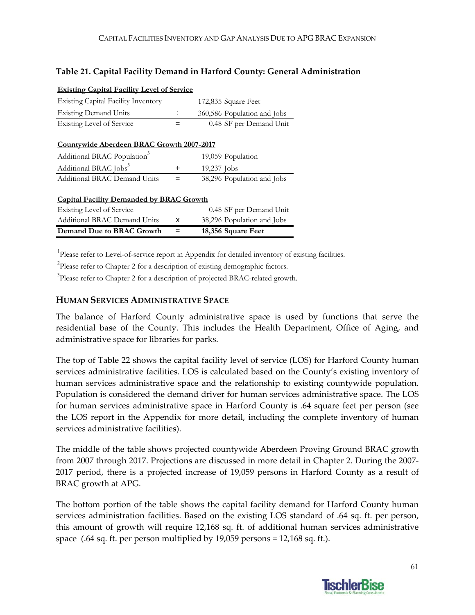#### **Table 21. Capital Facility Demand in Harford County: General Administration**

| <b>Existing Capital Facility Level of Service</b> |   |                             |
|---------------------------------------------------|---|-----------------------------|
| <b>Existing Capital Facility Inventory</b>        |   | 172,835 Square Feet         |
| <b>Existing Demand Units</b>                      | ÷ | 360,586 Population and Jobs |
| <b>Existing Level of Service</b>                  |   | 0.48 SF per Demand Unit     |
|                                                   |   |                             |
| Countywide Aberdeen BRAC Growth 2007-2017         |   |                             |
| Additional BRAC Population <sup>3</sup>           |   | 19,059 Population           |
| Additional BRAC Jobs <sup>3</sup>                 | ÷ | 19,237 Jobs                 |
| Additional BRAC Demand Units                      | = | 38,296 Population and Jobs  |
|                                                   |   |                             |
| <b>Capital Facility Demanded by BRAC Growth</b>   |   |                             |
| Existing Level of Service                         |   | 0.48 SF per Demand Unit     |
| <b>Additional BRAC Demand Units</b>               | x | 38,296 Population and Jobs  |
| Demand Due to BRAC Growth                         |   | 18,356 Square Feet          |

<sup>1</sup>Please refer to Level-of-service report in Appendix for detailed inventory of existing facilities.

<sup>2</sup>Please refer to Chapter 2 for a description of existing demographic factors.

<sup>3</sup>Please refer to Chapter 2 for a description of projected BRAC-related growth.

#### **HUMAN SERVICES ADMINISTRATIVE SPACE**

The balance of Harford County administrative space is used by functions that serve the residential base of the County. This includes the Health Department, Office of Aging, and administrative space for libraries for parks.

The top of Table 22 shows the capital facility level of service (LOS) for Harford County human services administrative facilities. LOS is calculated based on the County's existing inventory of human services administrative space and the relationship to existing countywide population. Population is considered the demand driver for human services administrative space. The LOS for human services administrative space in Harford County is .64 square feet per person (see the LOS report in the Appendix for more detail, including the complete inventory of human services administrative facilities).

The middle of the table shows projected countywide Aberdeen Proving Ground BRAC growth from 2007 through 2017. Projections are discussed in more detail in Chapter 2. During the 2007‐ 2017 period, there is a projected increase of 19,059 persons in Harford County as a result of BRAC growth at APG.

The bottom portion of the table shows the capital facility demand for Harford County human services administration facilities. Based on the existing LOS standard of .64 sq. ft. per person, this amount of growth will require 12,168 sq. ft. of additional human services administrative space (.64 sq. ft. per person multiplied by 19,059 persons = 12,168 sq. ft.).

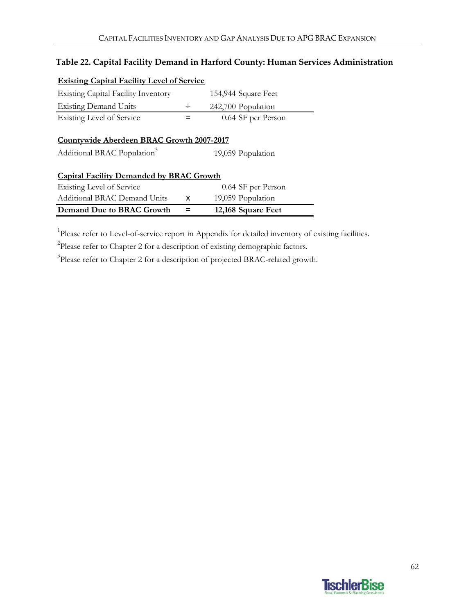### **Table 22. Capital Facility Demand in Harford County: Human Services Administration**

| <b>Existing Capital Facility Level of Service</b>                                    |   |                     |
|--------------------------------------------------------------------------------------|---|---------------------|
| <b>Existing Capital Facility Inventory</b>                                           |   | 154,944 Square Feet |
| <b>Existing Demand Units</b>                                                         | ÷ | 242,700 Population  |
| <b>Existing Level of Service</b>                                                     |   | 0.64 SF per Person  |
| Countywide Aberdeen BRAC Growth 2007-2017<br>Additional BRAC Population <sup>3</sup> |   | 19,059 Population   |
| <b>Capital Facility Demanded by BRAC Growth</b>                                      |   |                     |
| <b>Existing Level of Service</b>                                                     |   | 0.64 SF per Person  |
| <b>Additional BRAC Demand Units</b>                                                  | x | 19,059 Population   |
| Demand Due to BRAC Growth                                                            |   | 12,168 Square Feet  |
|                                                                                      |   |                     |

<sup>1</sup>Please refer to Level-of-service report in Appendix for detailed inventory of existing facilities.

 $2$ Please refer to Chapter 2 for a description of existing demographic factors.

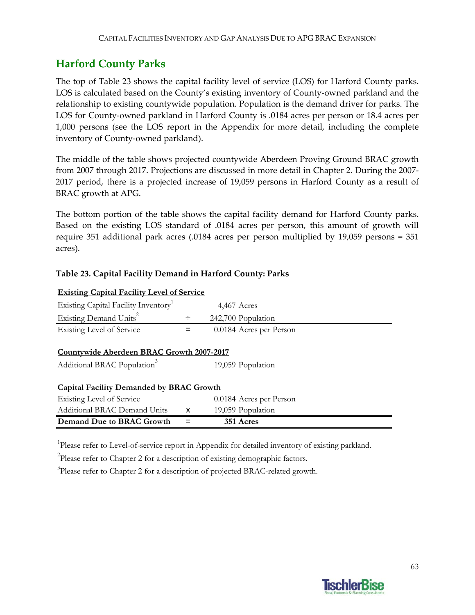## **Harford County Parks**

The top of Table 23 shows the capital facility level of service (LOS) for Harford County parks. LOS is calculated based on the County's existing inventory of County-owned parkland and the relationship to existing countywide population. Population is the demand driver for parks. The LOS for County‐owned parkland in Harford County is .0184 acres per person or 18.4 acres per 1,000 persons (see the LOS report in the Appendix for more detail, including the complete inventory of County‐owned parkland).

The middle of the table shows projected countywide Aberdeen Proving Ground BRAC growth from 2007 through 2017. Projections are discussed in more detail in Chapter 2. During the 2007‐ 2017 period, there is a projected increase of 19,059 persons in Harford County as a result of BRAC growth at APG.

The bottom portion of the table shows the capital facility demand for Harford County parks. Based on the existing LOS standard of .0184 acres per person, this amount of growth will require 351 additional park acres (.0184 acres per person multiplied by 19,059 persons = 351 acres).

### **Table 23. Capital Facility Demand in Harford County: Parks**

| <b>Existing Capital Facility Level of Service</b>            |        |                         |  |  |  |  |
|--------------------------------------------------------------|--------|-------------------------|--|--|--|--|
| Existing Capital Facility Inventory                          |        | $4,467$ Acres           |  |  |  |  |
| Existing Demand Units <sup>2</sup>                           | $\div$ | 242,700 Population      |  |  |  |  |
| Existing Level of Service                                    | $=$    | 0.0184 Acres per Person |  |  |  |  |
| Countywide Aberdeen BRAC Growth 2007-2017                    |        |                         |  |  |  |  |
| Additional BRAC Population <sup>3</sup><br>19,059 Population |        |                         |  |  |  |  |
| <b>Capital Facility Demanded by BRAC Growth</b>              |        |                         |  |  |  |  |
| Existing Level of Service                                    |        | 0.0184 Acres per Person |  |  |  |  |
| Additional BRAC Demand Units                                 | x      | 19,059 Population       |  |  |  |  |
| Demand Due to BRAC Growth                                    |        | 351 Acres               |  |  |  |  |

<sup>1</sup>Please refer to Level-of-service report in Appendix for detailed inventory of existing parkland.

 $2$ Please refer to Chapter 2 for a description of existing demographic factors.

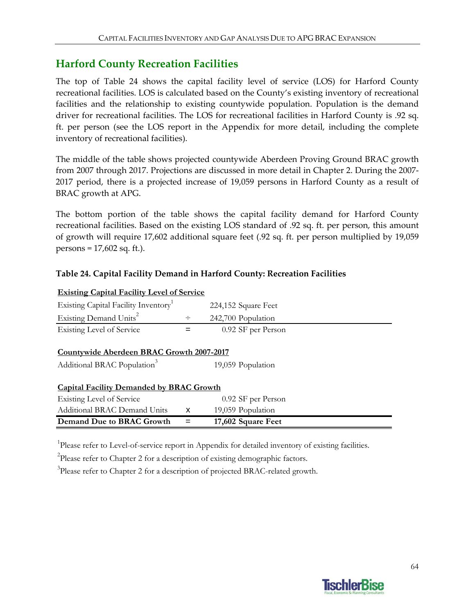## **Harford County Recreation Facilities**

The top of Table 24 shows the capital facility level of service (LOS) for Harford County recreational facilities. LOS is calculated based on the County's existing inventory of recreational facilities and the relationship to existing countywide population. Population is the demand driver for recreational facilities. The LOS for recreational facilities in Harford County is .92 sq. ft. per person (see the LOS report in the Appendix for more detail, including the complete inventory of recreational facilities).

The middle of the table shows projected countywide Aberdeen Proving Ground BRAC growth from 2007 through 2017. Projections are discussed in more detail in Chapter 2. During the 2007‐ 2017 period, there is a projected increase of 19,059 persons in Harford County as a result of BRAC growth at APG.

The bottom portion of the table shows the capital facility demand for Harford County recreational facilities. Based on the existing LOS standard of .92 sq. ft. per person, this amount of growth will require 17,602 additional square feet (.92 sq. ft. per person multiplied by 19,059 persons = 17,602 sq. ft.).

#### **Table 24. Capital Facility Demand in Harford County: Recreation Facilities**

| Demand Due to BRAC Growth                         |        | 17,602 Square Feet  |  |  |  |  |
|---------------------------------------------------|--------|---------------------|--|--|--|--|
| <b>Additional BRAC Demand Units</b>               | X      | 19,059 Population   |  |  |  |  |
| Existing Level of Service                         |        | 0.92 SF per Person  |  |  |  |  |
| <b>Capital Facility Demanded by BRAC Growth</b>   |        |                     |  |  |  |  |
| Additional BRAC Population <sup>3</sup>           |        | 19,059 Population   |  |  |  |  |
|                                                   |        |                     |  |  |  |  |
| Countywide Aberdeen BRAC Growth 2007-2017         |        |                     |  |  |  |  |
| <b>Existing Level of Service</b>                  |        | 0.92 SF per Person  |  |  |  |  |
|                                                   |        |                     |  |  |  |  |
| Existing Demand Units <sup>2</sup>                | $\div$ | 242,700 Population  |  |  |  |  |
| Existing Capital Facility Inventory               |        | 224,152 Square Feet |  |  |  |  |
| <b>Existing Capital Facility Level of Service</b> |        |                     |  |  |  |  |

<sup>1</sup>Please refer to Level-of-service report in Appendix for detailed inventory of existing facilities.

 $2$ Please refer to Chapter 2 for a description of existing demographic factors.

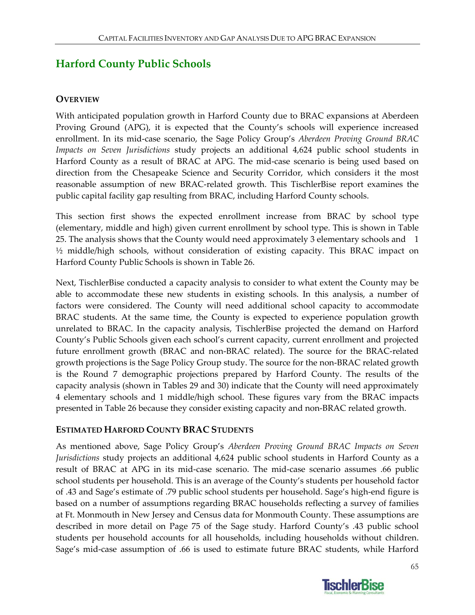# **Harford County Public Schools**

### **OVERVIEW**

With anticipated population growth in Harford County due to BRAC expansions at Aberdeen Proving Ground (APG), it is expected that the County's schools will experience increased enrollment. In its mid‐case scenario, the Sage Policy Group's *Aberdeen Proving Ground BRAC Impacts on Seven Jurisdictions* study projects an additional 4,624 public school students in Harford County as a result of BRAC at APG. The mid‐case scenario is being used based on direction from the Chesapeake Science and Security Corridor, which considers it the most reasonable assumption of new BRAC‐related growth. This TischlerBise report examines the public capital facility gap resulting from BRAC, including Harford County schools.

This section first shows the expected enrollment increase from BRAC by school type (elementary, middle and high) given current enrollment by school type. This is shown in Table 25. The analysis shows that the County would need approximately 3 elementary schools and 1 ½ middle/high schools, without consideration of existing capacity. This BRAC impact on Harford County Public Schools is shown in Table 26.

Next, TischlerBise conducted a capacity analysis to consider to what extent the County may be able to accommodate these new students in existing schools. In this analysis, a number of factors were considered. The County will need additional school capacity to accommodate BRAC students. At the same time, the County is expected to experience population growth unrelated to BRAC. In the capacity analysis, TischlerBise projected the demand on Harford County's Public Schools given each school's current capacity, current enrollment and projected future enrollment growth (BRAC and non‐BRAC related). The source for the BRAC‐related growth projections is the Sage Policy Group study. The source for the non‐BRAC related growth is the Round 7 demographic projections prepared by Harford County. The results of the capacity analysis (shown in Tables 29 and 30) indicate that the County will need approximately 4 elementary schools and 1 middle/high school. These figures vary from the BRAC impacts presented in Table 26 because they consider existing capacity and non‐BRAC related growth.

#### **ESTIMATED HARFORD COUNTY BRAC STUDENTS**

As mentioned above, Sage Policy Group's *Aberdeen Proving Ground BRAC Impacts on Seven Jurisdictions* study projects an additional 4,624 public school students in Harford County as a result of BRAC at APG in its mid‐case scenario. The mid‐case scenario assumes .66 public school students per household. This is an average of the County's students per household factor of .43 and Sage's estimate of .79 public school students per household. Sage's high‐end figure is based on a number of assumptions regarding BRAC households reflecting a survey of families at Ft. Monmouth in New Jersey and Census data for Monmouth County. These assumptions are described in more detail on Page 75 of the Sage study. Harford County's .43 public school students per household accounts for all households, including households without children. Sage's mid‐case assumption of .66 is used to estimate future BRAC students, while Harford

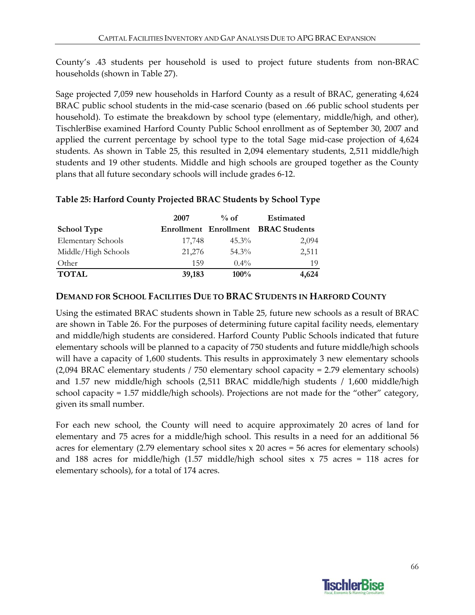County's .43 students per household is used to project future students from non‐BRAC households (shown in Table 27).

Sage projected 7,059 new households in Harford County as a result of BRAC, generating 4,624 BRAC public school students in the mid‐case scenario (based on .66 public school students per household). To estimate the breakdown by school type (elementary, middle/high, and other), TischlerBise examined Harford County Public School enrollment as of September 30, 2007 and applied the current percentage by school type to the total Sage mid‐case projection of 4,624 students. As shown in Table 25, this resulted in 2,094 elementary students, 2,511 middle/high students and 19 other students. Middle and high schools are grouped together as the County plans that all future secondary schools will include grades 6‐12.

#### **Table 25: Harford County Projected BRAC Students by School Type**

|                           | 2007   | $\%$ of  | <b>Estimated</b>                           |
|---------------------------|--------|----------|--------------------------------------------|
| <b>School Type</b>        |        |          | <b>Enrollment Enrollment BRAC Students</b> |
| <b>Elementary Schools</b> | 17,748 | $45.3\%$ | 2,094                                      |
| Middle/High Schools       | 21,276 | $54.3\%$ | 2,511                                      |
| Other                     | 159    | $0.4\%$  | 19                                         |
| <b>TOTAL</b>              | 39,183 | $100\%$  | 4,624                                      |

#### **DEMAND FOR SCHOOL FACILITIES DUE TO BRAC STUDENTS IN HARFORD COUNTY**

Using the estimated BRAC students shown in Table 25, future new schools as a result of BRAC are shown in Table 26. For the purposes of determining future capital facility needs, elementary and middle/high students are considered. Harford County Public Schools indicated that future elementary schools will be planned to a capacity of 750 students and future middle/high schools will have a capacity of 1,600 students. This results in approximately 3 new elementary schools (2,094 BRAC elementary students / 750 elementary school capacity = 2.79 elementary schools) and 1.57 new middle/high schools (2,511 BRAC middle/high students / 1,600 middle/high school capacity = 1.57 middle/high schools). Projections are not made for the "other" category, given its small number.

For each new school, the County will need to acquire approximately 20 acres of land for elementary and 75 acres for a middle/high school. This results in a need for an additional 56 acres for elementary (2.79 elementary school sites x 20 acres = 56 acres for elementary schools) and 188 acres for middle/high (1.57 middle/high school sites  $x$  75 acres = 118 acres for elementary schools), for a total of 174 acres.

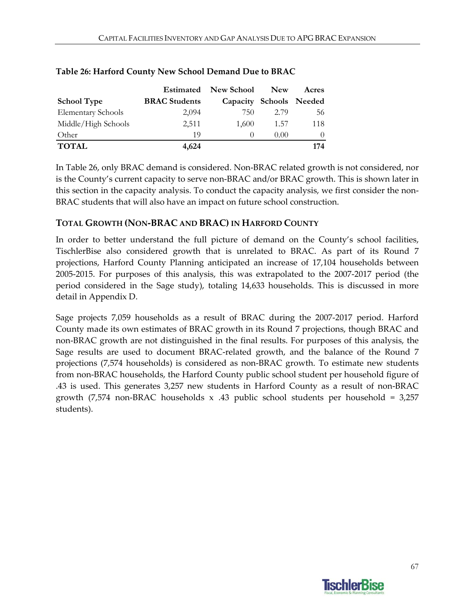|                           | Estimated            | <b>New School</b>       | <b>New</b> | Acres    |
|---------------------------|----------------------|-------------------------|------------|----------|
| <b>School Type</b>        | <b>BRAC</b> Students | Capacity Schools Needed |            |          |
| <b>Elementary Schools</b> | 2,094                | 750                     | 2.79       | 56       |
| Middle/High Schools       | 2,511                | 1,600                   | 1.57       | 118      |
| Other                     | 19                   | $\left( \right)$        | 0.00       | $\Omega$ |
| <b>TOTAL</b>              | 4,624                |                         |            | 174      |

#### **Table 26: Harford County New School Demand Due to BRAC**

In Table 26, only BRAC demand is considered. Non‐BRAC related growth is not considered, nor is the County's current capacity to serve non‐BRAC and/or BRAC growth. This is shown later in this section in the capacity analysis. To conduct the capacity analysis, we first consider the non‐ BRAC students that will also have an impact on future school construction.

#### **TOTAL GROWTH (NON‐BRAC AND BRAC) IN HARFORD COUNTY**

In order to better understand the full picture of demand on the County's school facilities, TischlerBise also considered growth that is unrelated to BRAC. As part of its Round 7 projections, Harford County Planning anticipated an increase of 17,104 households between 2005‐2015. For purposes of this analysis, this was extrapolated to the 2007‐2017 period (the period considered in the Sage study), totaling 14,633 households. This is discussed in more detail in Appendix D.

Sage projects 7,059 households as a result of BRAC during the 2007‐2017 period. Harford County made its own estimates of BRAC growth in its Round 7 projections, though BRAC and non‐BRAC growth are not distinguished in the final results. For purposes of this analysis, the Sage results are used to document BRAC‐related growth, and the balance of the Round 7 projections (7,574 households) is considered as non‐BRAC growth. To estimate new students from non‐BRAC households, the Harford County public school student per household figure of .43 is used. This generates 3,257 new students in Harford County as a result of non‐BRAC growth  $(7,574 \text{ non-BRAC households x .43 public school students per household = 3,257})$ students).

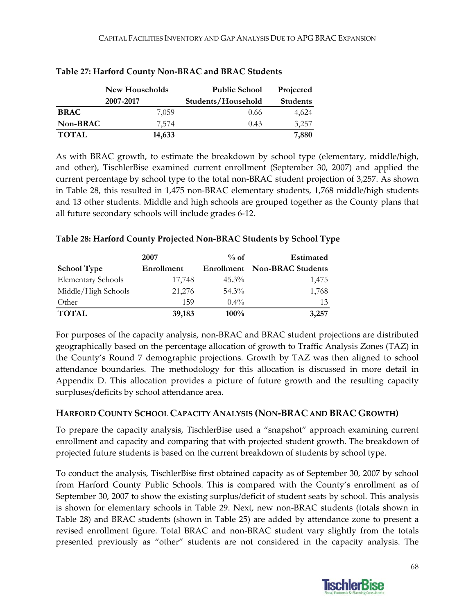|              | <b>New Households</b> | <b>Public School</b> | Projected       |  |
|--------------|-----------------------|----------------------|-----------------|--|
|              | 2007-2017             | Students/Household   | <b>Students</b> |  |
| <b>BRAC</b>  | 7.059                 | 0.66                 | 4,624           |  |
| Non-BRAC     | 7.574                 | 0.43                 | 3,257           |  |
| <b>TOTAL</b> | 14,633                |                      | 7,880           |  |

#### **Table 27: Harford County Non‐BRAC and BRAC Students**

As with BRAC growth, to estimate the breakdown by school type (elementary, middle/high, and other), TischlerBise examined current enrollment (September 30, 2007) and applied the current percentage by school type to the total non‐BRAC student projection of 3,257. As shown in Table 28, this resulted in 1,475 non‐BRAC elementary students, 1,768 middle/high students and 13 other students. Middle and high schools are grouped together as the County plans that all future secondary schools will include grades 6‐12.

#### **Table 28: Harford County Projected Non‐BRAC Students by School Type**

|                           | 2007       | $%$ of   | <b>Estimated</b>                    |
|---------------------------|------------|----------|-------------------------------------|
| <b>School Type</b>        | Enrollment |          | <b>Enrollment</b> Non-BRAC Students |
| <b>Elementary Schools</b> | 17,748     | $45.3\%$ | 1,475                               |
| Middle/High Schools       | 21,276     | $54.3\%$ | 1,768                               |
| Other                     | 159        | $0.4\%$  | 13                                  |
| <b>TOTAL</b>              | 39,183     | $100\%$  | 3,257                               |

For purposes of the capacity analysis, non‐BRAC and BRAC student projections are distributed geographically based on the percentage allocation of growth to Traffic Analysis Zones (TAZ) in the County's Round 7 demographic projections. Growth by TAZ was then aligned to school attendance boundaries. The methodology for this allocation is discussed in more detail in Appendix D. This allocation provides a picture of future growth and the resulting capacity surpluses/deficits by school attendance area.

#### **HARFORD COUNTY SCHOOL CAPACITY ANALYSIS (NON‐BRAC AND BRAC GROWTH)**

To prepare the capacity analysis, TischlerBise used a "snapshot" approach examining current enrollment and capacity and comparing that with projected student growth. The breakdown of projected future students is based on the current breakdown of students by school type.

To conduct the analysis, TischlerBise first obtained capacity as of September 30, 2007 by school from Harford County Public Schools. This is compared with the County's enrollment as of September 30, 2007 to show the existing surplus/deficit of student seats by school. This analysis is shown for elementary schools in Table 29. Next, new non‐BRAC students (totals shown in Table 28) and BRAC students (shown in Table 25) are added by attendance zone to present a revised enrollment figure. Total BRAC and non‐BRAC student vary slightly from the totals presented previously as "other" students are not considered in the capacity analysis. The

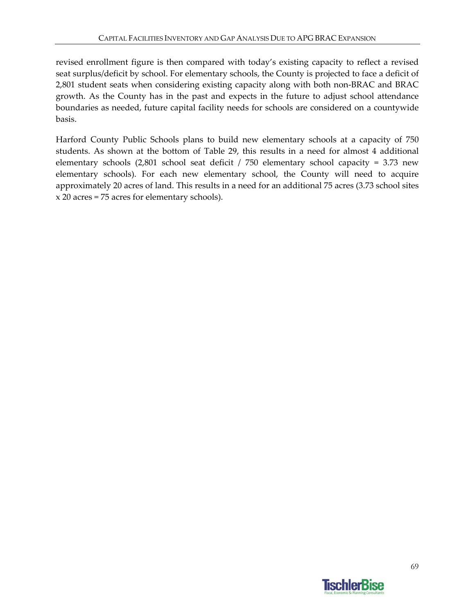revised enrollment figure is then compared with today's existing capacity to reflect a revised seat surplus/deficit by school. For elementary schools, the County is projected to face a deficit of 2,801 student seats when considering existing capacity along with both non‐BRAC and BRAC growth. As the County has in the past and expects in the future to adjust school attendance boundaries as needed, future capital facility needs for schools are considered on a countywide basis.

Harford County Public Schools plans to build new elementary schools at a capacity of 750 students. As shown at the bottom of Table 29, this results in a need for almost 4 additional elementary schools (2,801 school seat deficit / 750 elementary school capacity = 3.73 new elementary schools). For each new elementary school, the County will need to acquire approximately 20 acres of land. This results in a need for an additional 75 acres (3.73 school sites x 20 acres = 75 acres for elementary schools).

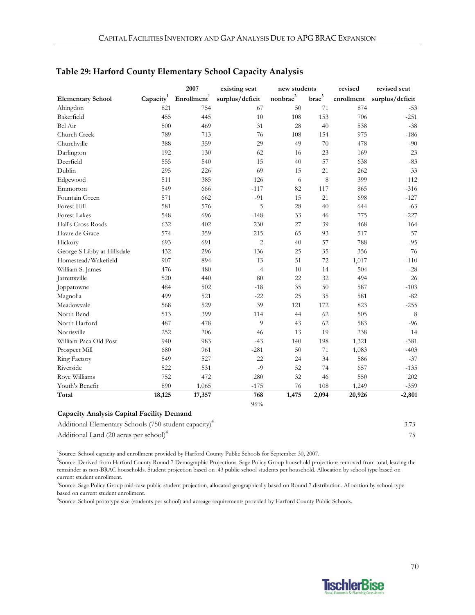|                                                                   |                       | 2007                    | existing seat   | new students       |                   | revised    | revised seat    |
|-------------------------------------------------------------------|-----------------------|-------------------------|-----------------|--------------------|-------------------|------------|-----------------|
| <b>Elementary School</b>                                          | Capacity <sup>1</sup> | Enrollment <sup>1</sup> | surplus/deficit | $\mbox{nonbrac}^2$ | brac <sup>3</sup> | enrollment | surplus/deficit |
| Abingdon                                                          | 821                   | 754                     | 67              | 50                 | 71                | 874        | $-53$           |
| Bakerfield                                                        | 455                   | 445                     | 10              | 108                | 153               | 706        | $-251$          |
| Bel Air                                                           | 500                   | 469                     | 31              | 28                 | 40                | 538        | $-38$           |
| Church Creek                                                      | 789                   | 713                     | 76              | 108                | 154               | 975        | $-186$          |
| Churchville                                                       | 388                   | 359                     | 29              | 49                 | 70                | 478        | $-90$           |
| Darlington                                                        | 192                   | 130                     | 62              | 16                 | 23                | 169        | 23              |
| Deerfield                                                         | 555                   | 540                     | 15              | 40                 | 57                | 638        | $-83$           |
| Dublin                                                            | 295                   | 226                     | 69              | 15                 | 21                | 262        | 33              |
| Edgewood                                                          | 511                   | 385                     | 126             | 6                  | 8                 | 399        | 112             |
| Emmorton                                                          | 549                   | 666                     | $-117$          | 82                 | 117               | 865        | $-316$          |
| Fountain Green                                                    | 571                   | 662                     | $-91$           | 15                 | 21                | 698        | $-127$          |
| Forest Hill                                                       | 581                   | 576                     | 5               | 28                 | 40                | 644        | $-63$           |
| <b>Forest Lakes</b>                                               | 548                   | 696                     | $-148$          | 33                 | 46                | 775        | $-227$          |
| Hall's Cross Roads                                                | 632                   | 402                     | 230             | 27                 | 39                | 468        | 164             |
| Havre de Grace                                                    | 574                   | 359                     | 215             | 65                 | 93                | 517        | 57              |
| Hickory                                                           | 693                   | 691                     | $\overline{c}$  | 40                 | 57                | 788        | $-95$           |
| George S Libby at Hillsdale                                       | 432                   | 296                     | 136             | 25                 | 35                | 356        | 76              |
| Homestead/Wakefield                                               | 907                   | 894                     | 13              | 51                 | 72                | 1,017      | $-110$          |
| William S. James                                                  | 476                   | 480                     | $-4$            | 10                 | 14                | 504        | $-28$           |
| Jarrettsville                                                     | 520                   | 440                     | 80              | 22                 | 32                | 494        | 26              |
| Joppatowne                                                        | 484                   | 502                     | $-18$           | 35                 | 50                | 587        | $-103$          |
| Magnolia                                                          | 499                   | 521                     | $-22$           | 25                 | 35                | 581        | $-82$           |
| Meadowvale                                                        | 568                   | 529                     | 39              | 121                | 172               | 823        | $-255$          |
| North Bend                                                        | 513                   | 399                     | 114             | 44                 | 62                | 505        | 8               |
| North Harford                                                     | 487                   | 478                     | 9               | 43                 | 62                | 583        | $-96$           |
| Norrisville                                                       | 252                   | 206                     | 46              | 13                 | 19                | 238        | 14              |
| William Paca Old Post                                             | 940                   | 983                     | $-43$           | 140                | 198               | 1,321      | $-381$          |
| Prospect Mill                                                     | 680                   | 961                     | $-281$          | 50                 | $71\,$            | 1,083      | $-403$          |
| <b>Ring Factory</b>                                               | 549                   | 527                     | 22              | 24                 | 34                | 586        | $-37$           |
| Riverside                                                         | 522                   | 531                     | $-9$            | 52                 | 74                | 657        | $-135$          |
| Roye Williams                                                     | 752                   | 472                     | 280             | 32                 | 46                | 550        | 202             |
| Youth's Benefit                                                   | 890                   | 1,065                   | $-175$          | 76                 | 108               | 1,249      | $-359$          |
| Total                                                             | 18,125                | 17,357                  | 768             | 1,475              | 2,094             | 20,926     | $-2,801$        |
|                                                                   |                       |                         | 96%             |                    |                   |            |                 |
| Capacity Analysis Capital Facility Demand                         |                       |                         |                 |                    |                   |            |                 |
| Additional Elementary Schools (750 student capacity) <sup>4</sup> |                       |                         |                 |                    |                   |            | 3.73            |

#### **Table 29: Harford County Elementary School Capacity Analysis**

| Additional Elementary Schools (750 student capacity) <sup>4</sup> |  |
|-------------------------------------------------------------------|--|
| Additional Land (20 acres per school) <sup>4</sup>                |  |

<sup>1</sup>Source: School capacity and enrollment provided by Harford County Public Schools for September 30, 2007.

2 Source: Derived from Harford County Round 7 Demographic Projections. Sage Policy Group household projections removed from total, leaving the remainder as non-BRAC households. Student projection based on .43 public school students per household. Allocation by school type based on current student enrollment.

<sup>3</sup>Source: Sage Policy Group mid-case public student projection, allocated geographically based on Round 7 distribution. Allocation by school type based on current student enrollment.

4 Source: School prototype size (students per school) and acreage requirements provided by Harford County Public Schools.

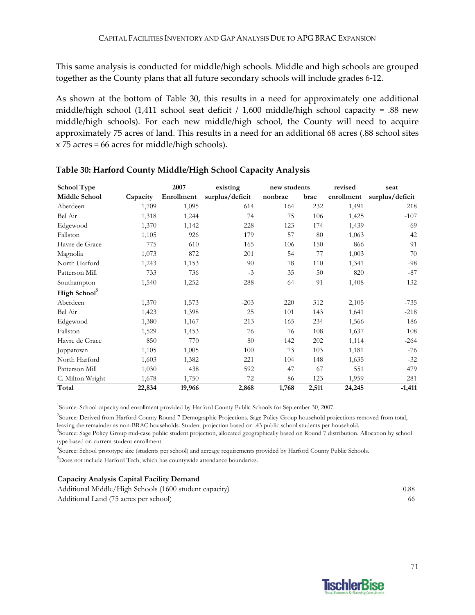This same analysis is conducted for middle/high schools. Middle and high schools are grouped together as the County plans that all future secondary schools will include grades 6‐12.

As shown at the bottom of Table 30, this results in a need for approximately one additional middle/high school (1,411 school seat deficit / 1,600 middle/high school capacity = .88 new middle/high schools). For each new middle/high school, the County will need to acquire approximately 75 acres of land. This results in a need for an additional 68 acres (.88 school sites x 75 acres = 66 acres for middle/high schools).

| <b>School Type</b>       |          | 2007       | existing        | new students |       | revised    | seat            |
|--------------------------|----------|------------|-----------------|--------------|-------|------------|-----------------|
| <b>Middle School</b>     | Capacity | Enrollment | surplus/deficit | nonbrac      | brac  | enrollment | surplus/deficit |
| Aberdeen                 | 1,709    | 1,095      | 614             | 164          | 232   | 1,491      | 218             |
| Bel Air                  | 1,318    | 1,244      | 74              | 75           | 106   | 1,425      | $-107$          |
| Edgewood                 | 1,370    | 1,142      | 228             | 123          | 174   | 1,439      | $-69$           |
| Fallston                 | 1,105    | 926        | 179             | 57           | 80    | 1,063      | 42              |
| Havre de Grace           | 775      | 610        | 165             | 106          | 150   | 866        | $-91$           |
| Magnolia                 | 1,073    | 872        | 201             | 54           | 77    | 1,003      | 70              |
| North Harford            | 1,243    | 1,153      | 90              | 78           | 110   | 1,341      | $-98$           |
| Patterson Mill           | 733      | 736        | $-3$            | 35           | 50    | 820        | $-87$           |
| Southampton              | 1,540    | 1,252      | 288             | 64           | 91    | 1,408      | 132             |
| High School <sup>5</sup> |          |            |                 |              |       |            |                 |
| Aberdeen                 | 1,370    | 1,573      | $-203$          | 220          | 312   | 2,105      | -735            |
| Bel Air                  | 1,423    | 1,398      | 25              | 101          | 143   | 1,641      | $-218$          |
| Edgewood                 | 1,380    | 1,167      | 213             | 165          | 234   | 1,566      | $-186$          |
| Fallston                 | 1,529    | 1,453      | 76              | 76           | 108   | 1,637      | $-108$          |
| Havre de Grace           | 850      | 770        | 80              | 142          | 202   | 1,114      | $-264$          |
| Joppatown                | 1,105    | 1,005      | 100             | 73           | 103   | 1,181      | $-76$           |
| North Harford            | 1,603    | 1,382      | 221             | 104          | 148   | 1,635      | $-32$           |
| Patterson Mill           | 1,030    | 438        | 592             | 47           | 67    | 551        | 479             |
| C. Milton Wright         | 1,678    | 1,750      | $-72$           | 86           | 123   | 1,959      | $-281$          |
| Total                    | 22,834   | 19,966     | 2,868           | 1,768        | 2,511 | 24,245     | $-1,411$        |

#### **Table 30: Harford County Middle/High School Capacity Analysis**

<sup>1</sup>Source: School capacity and enrollment provided by Harford County Public Schools for September 30, 2007.

2 Source: Derived from Harford County Round 7 Demographic Projections. Sage Policy Group household projections removed from total, leaving the remainder as non-BRAC households. Student projection based on .43 public school students per household.

3 Source: Sage Policy Group mid-case public student projection, allocated geographically based on Round 7 distribution. Allocation by school type based on current student enrollment.

4 Source: School prototype size (students per school) and acreage requirements provided by Harford County Public Schools.

<sup>5</sup>Does not include Harford Tech, which has countywide attendance boundaries.

#### **Capacity Analysis Capital Facility Demand**

| Additional Middle/High Schools (1600 student capacity) | 0.88 |
|--------------------------------------------------------|------|
| Additional Land (75 acres per school)                  | 66   |

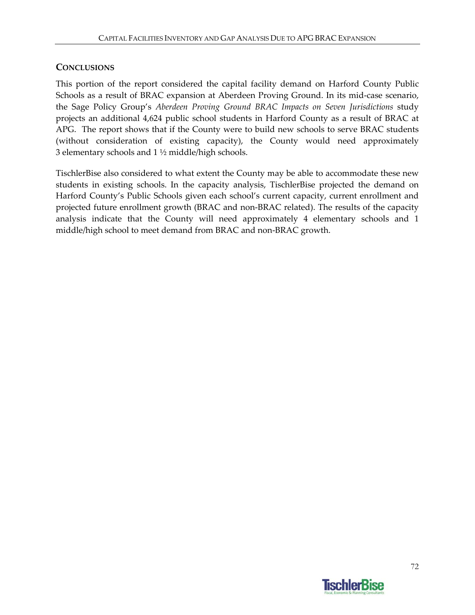#### **CONCLUSIONS**

This portion of the report considered the capital facility demand on Harford County Public Schools as a result of BRAC expansion at Aberdeen Proving Ground. In its mid‐case scenario, the Sage Policy Group's *Aberdeen Proving Ground BRAC Impacts on Seven Jurisdictions* study projects an additional 4,624 public school students in Harford County as a result of BRAC at APG. The report shows that if the County were to build new schools to serve BRAC students (without consideration of existing capacity), the County would need approximately 3 elementary schools and  $1\frac{1}{2}$  middle/high schools.

TischlerBise also considered to what extent the County may be able to accommodate these new students in existing schools. In the capacity analysis, TischlerBise projected the demand on Harford County's Public Schools given each school's current capacity, current enrollment and projected future enrollment growth (BRAC and non‐BRAC related). The results of the capacity analysis indicate that the County will need approximately 4 elementary schools and 1 middle/high school to meet demand from BRAC and non‐BRAC growth.

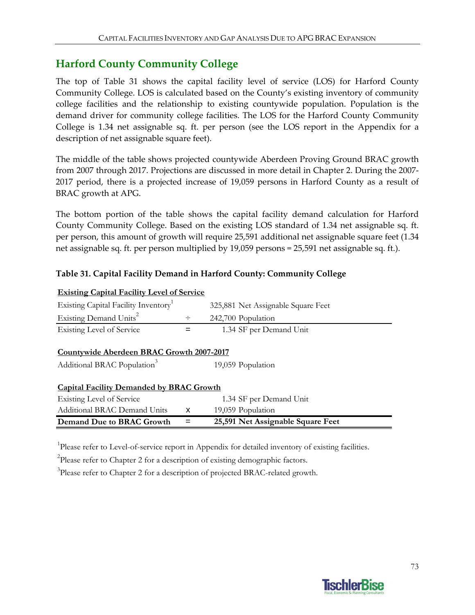## **Harford County Community College**

The top of Table 31 shows the capital facility level of service (LOS) for Harford County Community College. LOS is calculated based on the County's existing inventory of community college facilities and the relationship to existing countywide population. Population is the demand driver for community college facilities. The LOS for the Harford County Community College is 1.34 net assignable sq. ft. per person (see the LOS report in the Appendix for a description of net assignable square feet).

The middle of the table shows projected countywide Aberdeen Proving Ground BRAC growth from 2007 through 2017. Projections are discussed in more detail in Chapter 2. During the 2007‐ 2017 period, there is a projected increase of 19,059 persons in Harford County as a result of BRAC growth at APG.

The bottom portion of the table shows the capital facility demand calculation for Harford County Community College. Based on the existing LOS standard of 1.34 net assignable sq. ft. per person, this amount of growth will require 25,591 additional net assignable square feet (1.34 net assignable sq. ft. per person multiplied by 19,059 persons = 25,591 net assignable sq. ft.).

#### **Table 31. Capital Facility Demand in Harford County: Community College**

| <b>Existing Capital Facility Level of Service</b>                                                         |   |                                    |  |  |  |
|-----------------------------------------------------------------------------------------------------------|---|------------------------------------|--|--|--|
| Existing Capital Facility Inventory                                                                       |   | 325,881 Net Assignable Square Feet |  |  |  |
| Existing Demand Units <sup>2</sup>                                                                        | ÷ | 242,700 Population                 |  |  |  |
| Existing Level of Service                                                                                 |   | 1.34 SF per Demand Unit            |  |  |  |
| Countywide Aberdeen BRAC Growth 2007-2017<br>Additional BRAC Population <sup>3</sup><br>19,059 Population |   |                                    |  |  |  |
| <b>Capital Facility Demanded by BRAC Growth</b>                                                           |   |                                    |  |  |  |
| Existing Level of Service                                                                                 |   | 1.34 SF per Demand Unit            |  |  |  |
| <b>Additional BRAC Demand Units</b>                                                                       | x | 19,059 Population                  |  |  |  |
| Demand Due to BRAC Growth                                                                                 |   | 25,591 Net Assignable Square Feet  |  |  |  |

<sup>1</sup>Please refer to Level-of-service report in Appendix for detailed inventory of existing facilities.

 $2$ Please refer to Chapter 2 for a description of existing demographic factors.

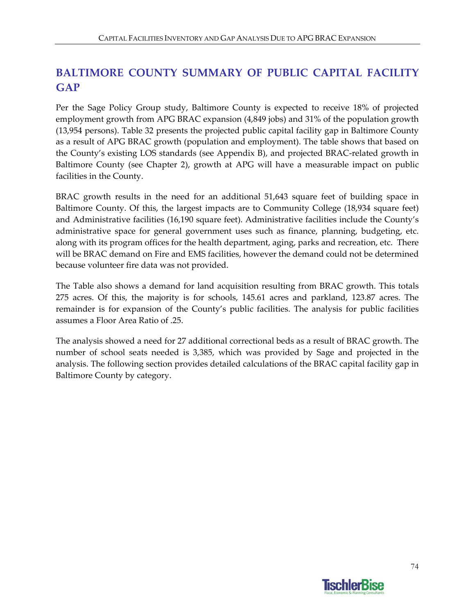# **BALTIMORE COUNTY SUMMARY OF PUBLIC CAPITAL FACILITY GAP**

Per the Sage Policy Group study, Baltimore County is expected to receive 18% of projected employment growth from APG BRAC expansion (4,849 jobs) and 31% of the population growth (13,954 persons). Table 32 presents the projected public capital facility gap in Baltimore County as a result of APG BRAC growth (population and employment). The table shows that based on the County's existing LOS standards (see Appendix B), and projected BRAC‐related growth in Baltimore County (see Chapter 2), growth at APG will have a measurable impact on public facilities in the County.

BRAC growth results in the need for an additional 51,643 square feet of building space in Baltimore County. Of this, the largest impacts are to Community College (18,934 square feet) and Administrative facilities (16,190 square feet). Administrative facilities include the County's administrative space for general government uses such as finance, planning, budgeting, etc. along with its program offices for the health department, aging, parks and recreation, etc. There will be BRAC demand on Fire and EMS facilities, however the demand could not be determined because volunteer fire data was not provided.

The Table also shows a demand for land acquisition resulting from BRAC growth. This totals 275 acres. Of this, the majority is for schools, 145.61 acres and parkland, 123.87 acres. The remainder is for expansion of the County's public facilities. The analysis for public facilities assumes a Floor Area Ratio of .25.

The analysis showed a need for 27 additional correctional beds as a result of BRAC growth. The number of school seats needed is 3,385, which was provided by Sage and projected in the analysis. The following section provides detailed calculations of the BRAC capital facility gap in Baltimore County by category.

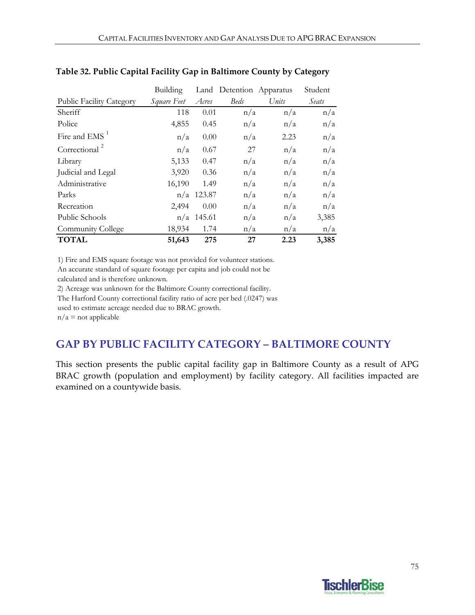|                                 | <b>Building</b> |              |             | Land Detention Apparatus | Student |
|---------------------------------|-----------------|--------------|-------------|--------------------------|---------|
| <b>Public Facility Category</b> | Square Feet     | Acres        | <b>Beds</b> | Units                    | Seats   |
| Sheriff                         | 118             | 0.01         | n/a         | n/a                      | n/a     |
| Police                          | 4,855           | 0.45         | n/a         | n/a                      | n/a     |
| Fire and $EMS1$                 | n/a             | 0.00         | n/a         | 2.23                     | n/a     |
| Correctional <sup>2</sup>       | n/a             | 0.67         | 27          | n/a                      | n/a     |
| Library                         | 5,133           | 0.47         | n/a         | n/a                      | n/a     |
| Judicial and Legal              | 3,920           | 0.36         | n/a         | n/a                      | n/a     |
| Administrative                  | 16,190          | 1.49         | n/a         | n/a                      | n/a     |
| Parks                           |                 | $n/a$ 123.87 | n/a         | n/a                      | n/a     |
| Recreation                      | 2,494           | 0.00         | n/a         | n/a                      | n/a     |
| Public Schools                  |                 | $n/a$ 145.61 | n/a         | n/a                      | 3,385   |
| Community College               | 18,934          | 1.74         | n/a         | n/a                      | n/a     |
| <b>TOTAL</b>                    | 51,643          | 275          | 27          | 2.23                     | 3,385   |

#### **Table 32. Public Capital Facility Gap in Baltimore County by Category**

1) Fire and EMS square footage was not provided for volunteer stations.

An accurate standard of square footage per capita and job could not be calculated and is therefore unknown.

2) Acreage was unknown for the Baltimore County correctional facility.

The Harford County correctional facility ratio of acre per bed (.0247) was

used to estimate acreage needed due to BRAC growth.

 $n/a$  = not applicable

### **GAP BY PUBLIC FACILITY CATEGORY – BALTIMORE COUNTY**

This section presents the public capital facility gap in Baltimore County as a result of APG BRAC growth (population and employment) by facility category. All facilities impacted are examined on a countywide basis.

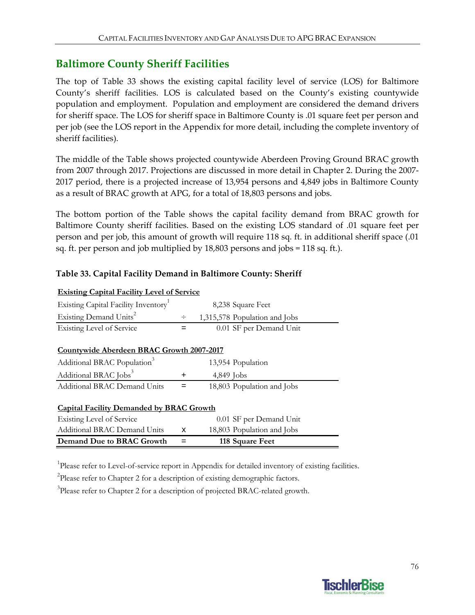## **Baltimore County Sheriff Facilities**

The top of Table 33 shows the existing capital facility level of service (LOS) for Baltimore County's sheriff facilities. LOS is calculated based on the County's existing countywide population and employment. Population and employment are considered the demand drivers for sheriff space. The LOS for sheriff space in Baltimore County is .01 square feet per person and per job (see the LOS report in the Appendix for more detail, including the complete inventory of sheriff facilities).

The middle of the Table shows projected countywide Aberdeen Proving Ground BRAC growth from 2007 through 2017. Projections are discussed in more detail in Chapter 2. During the 2007‐ 2017 period, there is a projected increase of 13,954 persons and 4,849 jobs in Baltimore County as a result of BRAC growth at APG, for a total of 18,803 persons and jobs.

The bottom portion of the Table shows the capital facility demand from BRAC growth for Baltimore County sheriff facilities. Based on the existing LOS standard of .01 square feet per person and per job, this amount of growth will require 118 sq. ft. in additional sheriff space (.01 sq. ft. per person and job multiplied by 18,803 persons and jobs = 118 sq. ft.).

#### **Table 33. Capital Facility Demand in Baltimore County: Sheriff**

| Demand Due to BRAC Growth                         | =   | 118 Square Feet               |  |  |  |
|---------------------------------------------------|-----|-------------------------------|--|--|--|
| Additional BRAC Demand Units                      | x   | 18,803 Population and Jobs    |  |  |  |
| Existing Level of Service                         |     | 0.01 SF per Demand Unit       |  |  |  |
| <b>Capital Facility Demanded by BRAC Growth</b>   |     |                               |  |  |  |
|                                                   |     |                               |  |  |  |
| <b>Additional BRAC Demand Units</b>               | $=$ | 18,803 Population and Jobs    |  |  |  |
| Additional BRAC Jobs <sup>3</sup>                 | +   | 4,849 Jobs                    |  |  |  |
| Additional BRAC Population <sup>3</sup>           |     | 13,954 Population             |  |  |  |
| Countywide Aberdeen BRAC Growth 2007-2017         |     |                               |  |  |  |
|                                                   |     |                               |  |  |  |
| Existing Level of Service                         |     | 0.01 SF per Demand Unit       |  |  |  |
| Existing Demand Units <sup>2</sup>                | ÷   | 1,315,578 Population and Jobs |  |  |  |
| Existing Capital Facility Inventory               |     | 8,238 Square Feet             |  |  |  |
| <u>Existing Capital Facility Level of Service</u> |     |                               |  |  |  |

### **Existing Capital Facility Level of Service**

<sup>1</sup>Please refer to Level-of-service report in Appendix for detailed inventory of existing facilities.

<sup>2</sup>Please refer to Chapter 2 for a description of existing demographic factors.

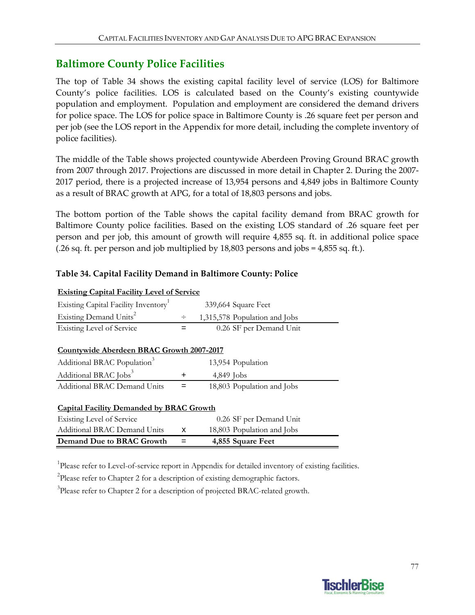### **Baltimore County Police Facilities**

The top of Table 34 shows the existing capital facility level of service (LOS) for Baltimore County's police facilities. LOS is calculated based on the County's existing countywide population and employment. Population and employment are considered the demand drivers for police space. The LOS for police space in Baltimore County is .26 square feet per person and per job (see the LOS report in the Appendix for more detail, including the complete inventory of police facilities).

The middle of the Table shows projected countywide Aberdeen Proving Ground BRAC growth from 2007 through 2017. Projections are discussed in more detail in Chapter 2. During the 2007‐ 2017 period, there is a projected increase of 13,954 persons and 4,849 jobs in Baltimore County as a result of BRAC growth at APG, for a total of 18,803 persons and jobs.

The bottom portion of the Table shows the capital facility demand from BRAC growth for Baltimore County police facilities. Based on the existing LOS standard of .26 square feet per person and per job, this amount of growth will require 4,855 sq. ft. in additional police space (.26 sq. ft. per person and job multiplied by 18,803 persons and jobs = 4,855 sq. ft.).

### **Table 34. Capital Facility Demand in Baltimore County: Police**

| <b>Existing Capital Facility Level of Service</b> |             |                               |  |  |  |
|---------------------------------------------------|-------------|-------------------------------|--|--|--|
| Existing Capital Facility Inventory               |             | 339,664 Square Feet           |  |  |  |
| Existing Demand Units <sup>2</sup>                | $\div$      | 1,315,578 Population and Jobs |  |  |  |
| <b>Existing Level of Service</b>                  | $=$         | 0.26 SF per Demand Unit       |  |  |  |
|                                                   |             |                               |  |  |  |
| Countywide Aberdeen BRAC Growth 2007-2017         |             |                               |  |  |  |
| Additional BRAC Population <sup>3</sup>           |             | 13,954 Population             |  |  |  |
| Additional BRAC Jobs <sup>3</sup>                 | $\mathbf +$ | $4,849$ Jobs                  |  |  |  |
| <b>Additional BRAC Demand Units</b>               | $=$         | 18,803 Population and Jobs    |  |  |  |
|                                                   |             |                               |  |  |  |
| <b>Capital Facility Demanded by BRAC Growth</b>   |             |                               |  |  |  |
| Existing Level of Service                         |             | 0.26 SF per Demand Unit       |  |  |  |
| <b>Additional BRAC Demand Units</b>               | x           | 18,803 Population and Jobs    |  |  |  |
| Demand Due to BRAC Growth                         |             | 4,855 Square Feet             |  |  |  |
|                                                   |             |                               |  |  |  |

<sup>1</sup>Please refer to Level-of-service report in Appendix for detailed inventory of existing facilities.

<sup>2</sup>Please refer to Chapter 2 for a description of existing demographic factors.

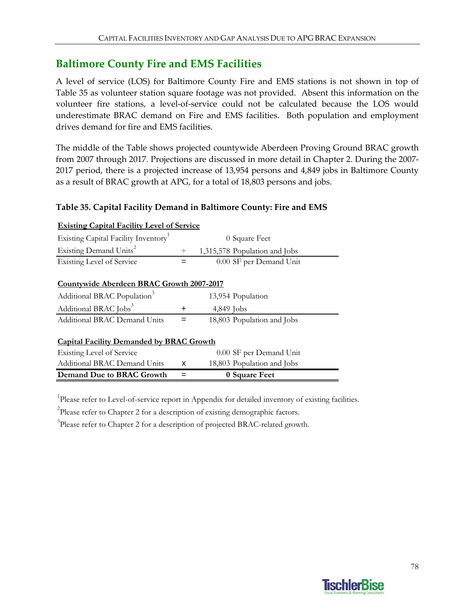## **Baltimore County Fire and EMS Facilities**

A level of service (LOS) for Baltimore County Fire and EMS stations is not shown in top of Table 35 as volunteer station square footage was not provided. Absent this information on the volunteer fire stations, a level‐of‐service could not be calculated because the LOS would underestimate BRAC demand on Fire and EMS facilities. Both population and employment drives demand for fire and EMS facilities.

The middle of the Table shows projected countywide Aberdeen Proving Ground BRAC growth from 2007 through 2017. Projections are discussed in more detail in Chapter 2. During the 2007‐ 2017 period, there is a projected increase of 13,954 persons and 4,849 jobs in Baltimore County as a result of BRAC growth at APG, for a total of 18,803 persons and jobs.

### **Table 35. Capital Facility Demand in Baltimore County: Fire and EMS**

| <u>Existing Capital Facility Level of Service</u> |             |                               |  |  |  |
|---------------------------------------------------|-------------|-------------------------------|--|--|--|
| Existing Capital Facility Inventory               |             | 0 Square Feet                 |  |  |  |
| Existing Demand Units <sup>2</sup>                | ÷           | 1,315,578 Population and Jobs |  |  |  |
| Existing Level of Service                         |             | 0.00 SF per Demand Unit       |  |  |  |
|                                                   |             |                               |  |  |  |
| Countywide Aberdeen BRAC Growth 2007-2017         |             |                               |  |  |  |
| Additional BRAC Population <sup>3</sup>           |             | 13,954 Population             |  |  |  |
| Additional BRAC Jobs <sup>3</sup>                 | $\mathbf +$ | $4,849$ Jobs                  |  |  |  |
| <b>Additional BRAC Demand Units</b>               |             | 18,803 Population and Jobs    |  |  |  |
|                                                   |             |                               |  |  |  |
| <b>Capital Facility Demanded by BRAC Growth</b>   |             |                               |  |  |  |
| Existing Level of Service                         |             | 0.00 SF per Demand Unit       |  |  |  |
| <b>Additional BRAC Demand Units</b>               | x           | 18,803 Population and Jobs    |  |  |  |
| Demand Due to BRAC Growth                         |             | 0 Square Feet                 |  |  |  |

### **Existing Capital Facility L**

<sup>1</sup>Please refer to Level-of-service report in Appendix for detailed inventory of existing facilities.

<sup>2</sup>Please refer to Chapter 2 for a description of existing demographic factors.

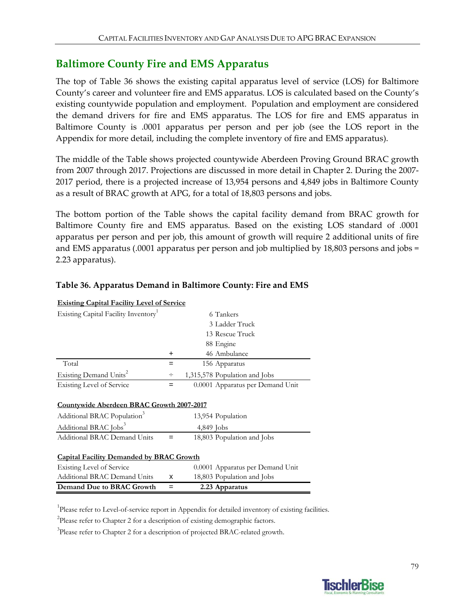## **Baltimore County Fire and EMS Apparatus**

The top of Table 36 shows the existing capital apparatus level of service (LOS) for Baltimore County's career and volunteer fire and EMS apparatus. LOS is calculated based on the County's existing countywide population and employment. Population and employment are considered the demand drivers for fire and EMS apparatus. The LOS for fire and EMS apparatus in Baltimore County is .0001 apparatus per person and per job (see the LOS report in the Appendix for more detail, including the complete inventory of fire and EMS apparatus).

The middle of the Table shows projected countywide Aberdeen Proving Ground BRAC growth from 2007 through 2017. Projections are discussed in more detail in Chapter 2. During the 2007‐ 2017 period, there is a projected increase of 13,954 persons and 4,849 jobs in Baltimore County as a result of BRAC growth at APG, for a total of 18,803 persons and jobs.

The bottom portion of the Table shows the capital facility demand from BRAC growth for Baltimore County fire and EMS apparatus. Based on the existing LOS standard of .0001 apparatus per person and per job, this amount of growth will require 2 additional units of fire and EMS apparatus (.0001 apparatus per person and job multiplied by 18,803 persons and jobs = 2.23 apparatus).

| <b>Existing Capital Facility Level of Service</b>                                                                                                                     |     |                                  |  |  |  |
|-----------------------------------------------------------------------------------------------------------------------------------------------------------------------|-----|----------------------------------|--|--|--|
| Existing Capital Facility Inventory <sup>1</sup>                                                                                                                      |     | 6 Tankers                        |  |  |  |
|                                                                                                                                                                       |     | 3 Ladder Truck                   |  |  |  |
|                                                                                                                                                                       |     | 13 Rescue Truck                  |  |  |  |
|                                                                                                                                                                       |     | 88 Engine                        |  |  |  |
|                                                                                                                                                                       | +   | 46 Ambulance                     |  |  |  |
| Total                                                                                                                                                                 | $=$ | 156 Apparatus                    |  |  |  |
| Existing Demand Units <sup>2</sup>                                                                                                                                    | ÷   | 1,315,578 Population and Jobs    |  |  |  |
| <b>Existing Level of Service</b>                                                                                                                                      | $=$ | 0.0001 Apparatus per Demand Unit |  |  |  |
| <b>Countywide Aberdeen BRAC Growth 2007-2017</b><br>Additional BRAC Population <sup>3</sup><br>13,954 Population<br>Additional BRAC Jobs <sup>3</sup><br>$4,849$ Jobs |     |                                  |  |  |  |
| <b>Additional BRAC Demand Units</b>                                                                                                                                   | =   | 18,803 Population and Jobs       |  |  |  |
| <b>Capital Facility Demanded by BRAC Growth</b>                                                                                                                       |     |                                  |  |  |  |
| <b>Existing Level of Service</b>                                                                                                                                      |     | 0.0001 Apparatus per Demand Unit |  |  |  |
| <b>Additional BRAC Demand Units</b>                                                                                                                                   | х   | 18,803 Population and Jobs       |  |  |  |
| Demand Due to BRAC Growth                                                                                                                                             | =   | 2.23 Apparatus                   |  |  |  |

#### **Table 36. Apparatus Demand in Baltimore County: Fire and EMS**

<sup>1</sup>Please refer to Level-of-service report in Appendix for detailed inventory of existing facilities.

<sup>2</sup>Please refer to Chapter 2 for a description of existing demographic factors.

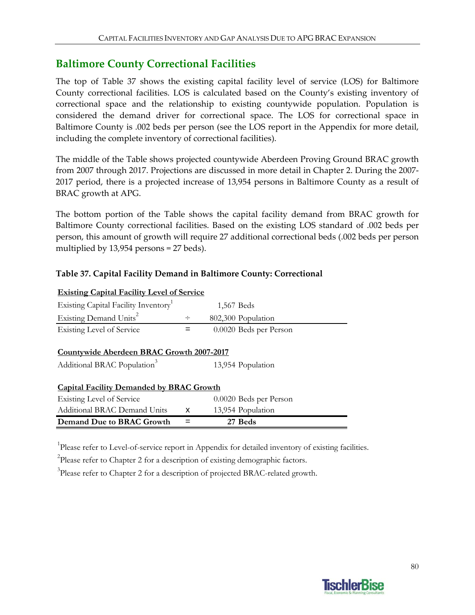## **Baltimore County Correctional Facilities**

The top of Table 37 shows the existing capital facility level of service (LOS) for Baltimore County correctional facilities. LOS is calculated based on the County's existing inventory of correctional space and the relationship to existing countywide population. Population is considered the demand driver for correctional space. The LOS for correctional space in Baltimore County is .002 beds per person (see the LOS report in the Appendix for more detail, including the complete inventory of correctional facilities).

The middle of the Table shows projected countywide Aberdeen Proving Ground BRAC growth from 2007 through 2017. Projections are discussed in more detail in Chapter 2. During the 2007‐ 2017 period, there is a projected increase of 13,954 persons in Baltimore County as a result of BRAC growth at APG.

The bottom portion of the Table shows the capital facility demand from BRAC growth for Baltimore County correctional facilities. Based on the existing LOS standard of .002 beds per person, this amount of growth will require 27 additional correctional beds (.002 beds per person multiplied by 13,954 persons = 27 beds).

#### **Table 37. Capital Facility Demand in Baltimore County: Correctional**

| <b>Existing Capital Facility Level of Service</b> |        |                        |  |
|---------------------------------------------------|--------|------------------------|--|
| Existing Capital Facility Inventory <sup>1</sup>  |        | 1,567 Beds             |  |
| Existing Demand Units <sup>2</sup>                | $\div$ | 802,300 Population     |  |
| <b>Existing Level of Service</b>                  | =      | 0.0020 Beds per Person |  |
|                                                   |        |                        |  |
| Countywide Aberdeen BRAC Growth 2007-2017         |        |                        |  |
| Additional BRAC Population <sup>3</sup>           |        | 13,954 Population      |  |
|                                                   |        |                        |  |
| <b>Capital Facility Demanded by BRAC Growth</b>   |        |                        |  |
| Existing Level of Service                         |        | 0.0020 Beds per Person |  |
| Additional BRAC Demand Units                      | x      | 13,954 Population      |  |
| Demand Due to BRAC Growth                         | $=$    | 27 Beds                |  |

<sup>1</sup>Please refer to Level-of-service report in Appendix for detailed inventory of existing facilities.

 $2$ Please refer to Chapter 2 for a description of existing demographic factors.

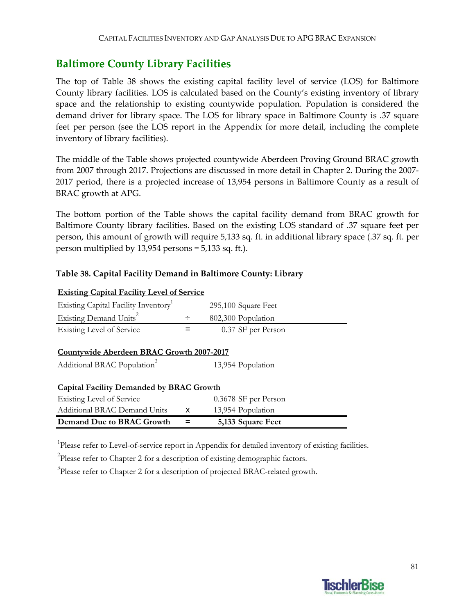## **Baltimore County Library Facilities**

The top of Table 38 shows the existing capital facility level of service (LOS) for Baltimore County library facilities. LOS is calculated based on the County's existing inventory of library space and the relationship to existing countywide population. Population is considered the demand driver for library space. The LOS for library space in Baltimore County is .37 square feet per person (see the LOS report in the Appendix for more detail, including the complete inventory of library facilities).

The middle of the Table shows projected countywide Aberdeen Proving Ground BRAC growth from 2007 through 2017. Projections are discussed in more detail in Chapter 2. During the 2007‐ 2017 period, there is a projected increase of 13,954 persons in Baltimore County as a result of BRAC growth at APG.

The bottom portion of the Table shows the capital facility demand from BRAC growth for Baltimore County library facilities. Based on the existing LOS standard of .37 square feet per person, this amount of growth will require 5,133 sq. ft. in additional library space (.37 sq. ft. per person multiplied by 13,954 persons = 5,133 sq. ft.).

#### **Table 38. Capital Facility Demand in Baltimore County: Library**

| <b>Existing Capital Facility Level of Service</b>                                                         |        |                      |  |  |  |
|-----------------------------------------------------------------------------------------------------------|--------|----------------------|--|--|--|
| Existing Capital Facility Inventory                                                                       |        | 295,100 Square Feet  |  |  |  |
| Existing Demand Units <sup>2</sup>                                                                        | $\div$ | 802,300 Population   |  |  |  |
| Existing Level of Service                                                                                 | =      | 0.37 SF per Person   |  |  |  |
| Countywide Aberdeen BRAC Growth 2007-2017<br>Additional BRAC Population <sup>3</sup><br>13,954 Population |        |                      |  |  |  |
| <b>Capital Facility Demanded by BRAC Growth</b>                                                           |        |                      |  |  |  |
| Existing Level of Service                                                                                 |        | 0.3678 SF per Person |  |  |  |
| Additional BRAC Demand Units                                                                              | x      | 13,954 Population    |  |  |  |
| Demand Due to BRAC Growth                                                                                 |        | 5,133 Square Feet    |  |  |  |

<sup>1</sup>Please refer to Level-of-service report in Appendix for detailed inventory of existing facilities.

 $2$ Please refer to Chapter 2 for a description of existing demographic factors.

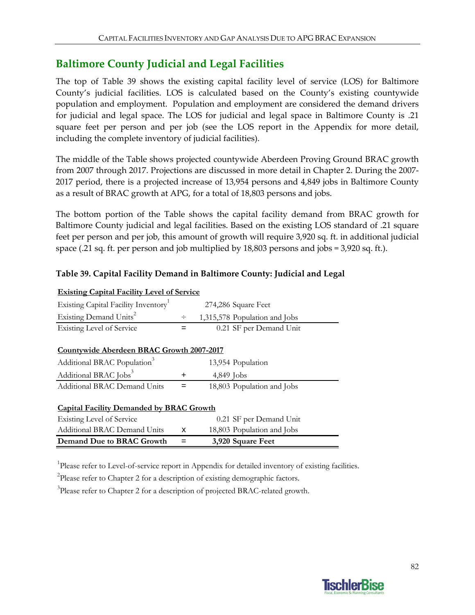## **Baltimore County Judicial and Legal Facilities**

The top of Table 39 shows the existing capital facility level of service (LOS) for Baltimore County's judicial facilities. LOS is calculated based on the County's existing countywide population and employment. Population and employment are considered the demand drivers for judicial and legal space. The LOS for judicial and legal space in Baltimore County is .21 square feet per person and per job (see the LOS report in the Appendix for more detail, including the complete inventory of judicial facilities).

The middle of the Table shows projected countywide Aberdeen Proving Ground BRAC growth from 2007 through 2017. Projections are discussed in more detail in Chapter 2. During the 2007‐ 2017 period, there is a projected increase of 13,954 persons and 4,849 jobs in Baltimore County as a result of BRAC growth at APG, for a total of 18,803 persons and jobs.

The bottom portion of the Table shows the capital facility demand from BRAC growth for Baltimore County judicial and legal facilities. Based on the existing LOS standard of .21 square feet per person and per job, this amount of growth will require 3,920 sq. ft. in additional judicial space (.21 sq. ft. per person and job multiplied by 18,803 persons and jobs = 3,920 sq. ft.).

### **Table 39. Capital Facility Demand in Baltimore County: Judicial and Legal**

| <b>Existing Capital Facility Level of Service</b> |             |              |                               |  |  |
|---------------------------------------------------|-------------|--------------|-------------------------------|--|--|
| Existing Capital Facility Inventory               |             |              | 274,286 Square Feet           |  |  |
| Existing Demand Units <sup>2</sup>                | ÷           |              | 1,315,578 Population and Jobs |  |  |
| <b>Existing Level of Service</b>                  | $=$         |              | 0.21 SF per Demand Unit       |  |  |
|                                                   |             |              |                               |  |  |
| Countywide Aberdeen BRAC Growth 2007-2017         |             |              |                               |  |  |
| Additional BRAC Population <sup>3</sup>           |             |              | 13,954 Population             |  |  |
| Additional BRAC Jobs <sup>3</sup>                 | $\mathbf +$ | $4,849$ Jobs |                               |  |  |
| <b>Additional BRAC Demand Units</b>               |             |              | 18,803 Population and Jobs    |  |  |
|                                                   |             |              |                               |  |  |
| <b>Capital Facility Demanded by BRAC Growth</b>   |             |              |                               |  |  |
| Existing Level of Service                         |             |              | 0.21 SF per Demand Unit       |  |  |
| <b>Additional BRAC Demand Units</b>               | x           |              | 18,803 Population and Jobs    |  |  |
| Demand Due to BRAC Growth                         |             |              | 3,920 Square Feet             |  |  |
|                                                   |             |              |                               |  |  |

<sup>1</sup>Please refer to Level-of-service report in Appendix for detailed inventory of existing facilities.

<sup>2</sup>Please refer to Chapter 2 for a description of existing demographic factors.

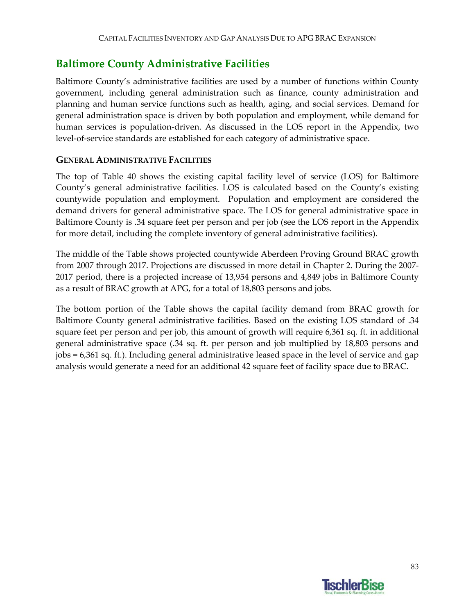## **Baltimore County Administrative Facilities**

Baltimore County's administrative facilities are used by a number of functions within County government, including general administration such as finance, county administration and planning and human service functions such as health, aging, and social services. Demand for general administration space is driven by both population and employment, while demand for human services is population-driven. As discussed in the LOS report in the Appendix, two level‐of‐service standards are established for each category of administrative space.

### **GENERAL ADMINISTRATIVE FACILITIES**

The top of Table 40 shows the existing capital facility level of service (LOS) for Baltimore County's general administrative facilities. LOS is calculated based on the County's existing countywide population and employment. Population and employment are considered the demand drivers for general administrative space. The LOS for general administrative space in Baltimore County is .34 square feet per person and per job (see the LOS report in the Appendix for more detail, including the complete inventory of general administrative facilities).

The middle of the Table shows projected countywide Aberdeen Proving Ground BRAC growth from 2007 through 2017. Projections are discussed in more detail in Chapter 2. During the 2007‐ 2017 period, there is a projected increase of 13,954 persons and 4,849 jobs in Baltimore County as a result of BRAC growth at APG, for a total of 18,803 persons and jobs.

The bottom portion of the Table shows the capital facility demand from BRAC growth for Baltimore County general administrative facilities. Based on the existing LOS standard of .34 square feet per person and per job, this amount of growth will require 6,361 sq. ft. in additional general administrative space (.34 sq. ft. per person and job multiplied by 18,803 persons and jobs = 6,361 sq. ft.). Including general administrative leased space in the level of service and gap analysis would generate a need for an additional 42 square feet of facility space due to BRAC.

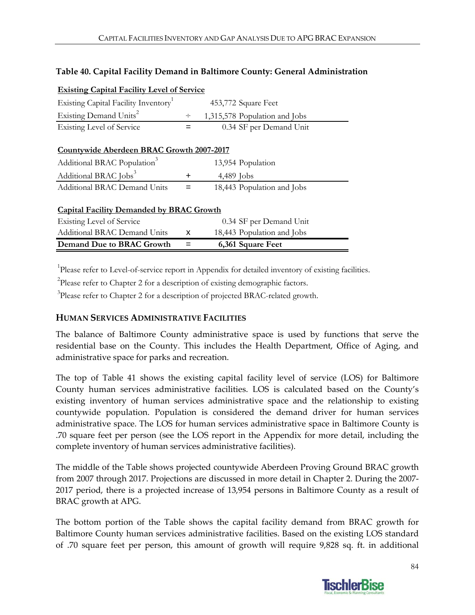#### **Table 40. Capital Facility Demand in Baltimore County: General Administration**

| <u>Existing Capital Facility Level of Service</u> |     |                               |  |  |  |  |
|---------------------------------------------------|-----|-------------------------------|--|--|--|--|
| Existing Capital Facility Inventory               |     | 453,772 Square Feet           |  |  |  |  |
| Existing Demand Units <sup>2</sup>                | ÷   | 1,315,578 Population and Jobs |  |  |  |  |
| <b>Existing Level of Service</b>                  | $=$ | 0.34 SF per Demand Unit       |  |  |  |  |
| Countywide Aberdeen BRAC Growth 2007-2017         |     |                               |  |  |  |  |
| Additional BRAC Population <sup>3</sup>           |     | 13,954 Population             |  |  |  |  |
| Additional BRAC Jobs <sup>3</sup>                 | +   | 4,489 Jobs                    |  |  |  |  |
| <b>Additional BRAC Demand Units</b>               | =   | 18,443 Population and Jobs    |  |  |  |  |
| <b>Capital Facility Demanded by BRAC Growth</b>   |     |                               |  |  |  |  |
| Existing Level of Service                         |     | 0.34 SF per Demand Unit       |  |  |  |  |
| Additional BRAC Demand Units                      | X   | 18,443 Population and Jobs    |  |  |  |  |
| <b>Demand Due to BRAC Growth</b>                  |     | 6,361 Square Feet             |  |  |  |  |

#### **Existing Capital Facility Level of Service**

<sup>1</sup>Please refer to Level-of-service report in Appendix for detailed inventory of existing facilities.

 $2$ Please refer to Chapter 2 for a description of existing demographic factors.

<sup>3</sup>Please refer to Chapter 2 for a description of projected BRAC-related growth.

#### **HUMAN SERVICES ADMINISTRATIVE FACILITIES**

The balance of Baltimore County administrative space is used by functions that serve the residential base on the County. This includes the Health Department, Office of Aging, and administrative space for parks and recreation.

The top of Table 41 shows the existing capital facility level of service (LOS) for Baltimore County human services administrative facilities. LOS is calculated based on the County's existing inventory of human services administrative space and the relationship to existing countywide population. Population is considered the demand driver for human services administrative space. The LOS for human services administrative space in Baltimore County is .70 square feet per person (see the LOS report in the Appendix for more detail, including the complete inventory of human services administrative facilities).

The middle of the Table shows projected countywide Aberdeen Proving Ground BRAC growth from 2007 through 2017. Projections are discussed in more detail in Chapter 2. During the 2007‐ 2017 period, there is a projected increase of 13,954 persons in Baltimore County as a result of BRAC growth at APG.

The bottom portion of the Table shows the capital facility demand from BRAC growth for Baltimore County human services administrative facilities. Based on the existing LOS standard of .70 square feet per person, this amount of growth will require 9,828 sq. ft. in additional

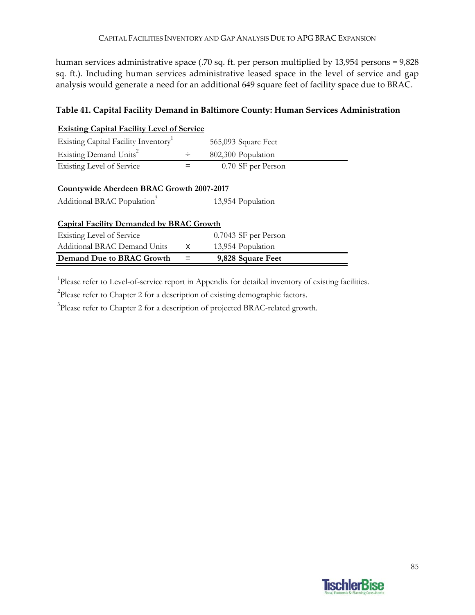human services administrative space (.70 sq. ft. per person multiplied by 13,954 persons = 9,828 sq. ft.). Including human services administrative leased space in the level of service and gap analysis would generate a need for an additional 649 square feet of facility space due to BRAC.

#### **Table 41. Capital Facility Demand in Baltimore County: Human Services Administration**

| <b>Existing Capital Facility Level of Service</b>                                                    |        |                     |  |  |  |  |  |
|------------------------------------------------------------------------------------------------------|--------|---------------------|--|--|--|--|--|
| Existing Capital Facility Inventory                                                                  |        | 565,093 Square Feet |  |  |  |  |  |
| Existing Demand Units <sup>2</sup>                                                                   | $\div$ | 802,300 Population  |  |  |  |  |  |
| Existing Level of Service                                                                            |        | 0.70 SF per Person  |  |  |  |  |  |
| Countywide Aberdeen BRAC Growth 2007-2017<br>Additional BRAC Population <sup>3</sup>                 |        | 13,954 Population   |  |  |  |  |  |
| <b>Capital Facility Demanded by BRAC Growth</b><br>Existing Level of Service<br>0.7043 SF per Person |        |                     |  |  |  |  |  |
| <b>Additional BRAC Demand Units</b>                                                                  | x      | 13,954 Population   |  |  |  |  |  |
| Demand Due to BRAC Growth                                                                            |        | 9,828 Square Feet   |  |  |  |  |  |

<sup>1</sup>Please refer to Level-of-service report in Appendix for detailed inventory of existing facilities.

<sup>2</sup>Please refer to Chapter 2 for a description of existing demographic factors.

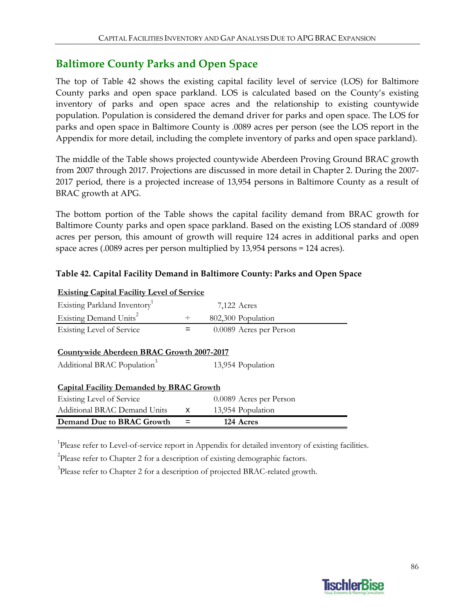## **Baltimore County Parks and Open Space**

The top of Table 42 shows the existing capital facility level of service (LOS) for Baltimore County parks and open space parkland. LOS is calculated based on the County's existing inventory of parks and open space acres and the relationship to existing countywide population. Population is considered the demand driver for parks and open space. The LOS for parks and open space in Baltimore County is .0089 acres per person (see the LOS report in the Appendix for more detail, including the complete inventory of parks and open space parkland).

The middle of the Table shows projected countywide Aberdeen Proving Ground BRAC growth from 2007 through 2017. Projections are discussed in more detail in Chapter 2. During the 2007‐ 2017 period, there is a projected increase of 13,954 persons in Baltimore County as a result of BRAC growth at APG.

The bottom portion of the Table shows the capital facility demand from BRAC growth for Baltimore County parks and open space parkland. Based on the existing LOS standard of .0089 acres per person, this amount of growth will require 124 acres in additional parks and open space acres (.0089 acres per person multiplied by 13,954 persons = 124 acres).

### **Table 42. Capital Facility Demand in Baltimore County: Parks and Open Space**

| <b>Existing Capital Facility Level of Service</b> |   |                         |  |
|---------------------------------------------------|---|-------------------------|--|
| Existing Parkland Inventory <sup>1</sup>          |   | 7,122 Acres             |  |
| Existing Demand Units <sup>2</sup>                | ÷ | 802,300 Population      |  |
| <b>Existing Level of Service</b>                  | = | 0.0089 Acres per Person |  |
|                                                   |   |                         |  |
| Countywide Aberdeen BRAC Growth 2007-2017         |   |                         |  |
| Additional BRAC Population <sup>3</sup>           |   | 13,954 Population       |  |
| <b>Capital Facility Demanded by BRAC Growth</b>   |   |                         |  |
| <b>Existing Level of Service</b>                  |   | 0.0089 Acres per Person |  |
| Additional BRAC Demand Units                      | x | 13,954 Population       |  |
| Demand Due to BRAC Growth                         |   | 124 Acres               |  |

<sup>1</sup>Please refer to Level-of-service report in Appendix for detailed inventory of existing facilities.

 $2$ Please refer to Chapter 2 for a description of existing demographic factors.

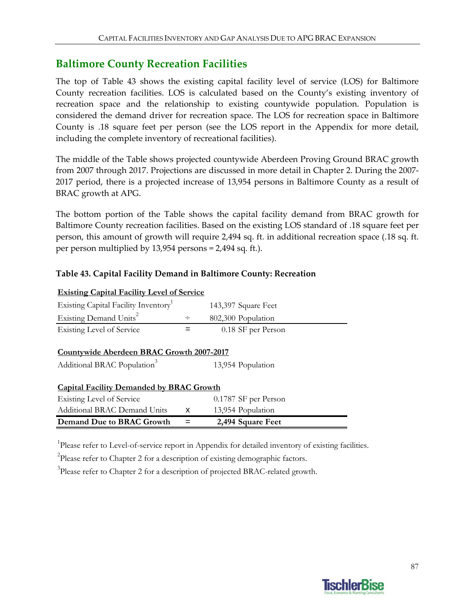### **Baltimore County Recreation Facilities**

The top of Table 43 shows the existing capital facility level of service (LOS) for Baltimore County recreation facilities. LOS is calculated based on the County's existing inventory of recreation space and the relationship to existing countywide population. Population is considered the demand driver for recreation space. The LOS for recreation space in Baltimore County is .18 square feet per person (see the LOS report in the Appendix for more detail, including the complete inventory of recreational facilities).

The middle of the Table shows projected countywide Aberdeen Proving Ground BRAC growth from 2007 through 2017. Projections are discussed in more detail in Chapter 2. During the 2007‐ 2017 period, there is a projected increase of 13,954 persons in Baltimore County as a result of BRAC growth at APG.

The bottom portion of the Table shows the capital facility demand from BRAC growth for Baltimore County recreation facilities. Based on the existing LOS standard of .18 square feet per person, this amount of growth will require 2,494 sq. ft. in additional recreation space (.18 sq. ft. per person multiplied by 13,954 persons = 2,494 sq. ft.).

### **Table 43. Capital Facility Demand in Baltimore County: Recreation**

| <b>Existing Capital Facility Level of Service</b>                                    |   |                      |  |
|--------------------------------------------------------------------------------------|---|----------------------|--|
| Existing Capital Facility Inventory                                                  |   | 143,397 Square Feet  |  |
| Existing Demand Units <sup>2</sup>                                                   | ÷ | 802,300 Population   |  |
| Existing Level of Service                                                            |   | 0.18 SF per Person   |  |
| Countywide Aberdeen BRAC Growth 2007-2017<br>Additional BRAC Population <sup>3</sup> |   | 13,954 Population    |  |
| <b>Capital Facility Demanded by BRAC Growth</b>                                      |   |                      |  |
| Existing Level of Service                                                            |   | 0.1787 SF per Person |  |
| Additional BRAC Demand Units                                                         | x | 13,954 Population    |  |
| Demand Due to BRAC Growth                                                            |   | 2,494 Square Feet    |  |

<sup>1</sup>Please refer to Level-of-service report in Appendix for detailed inventory of existing facilities.

 $2$ Please refer to Chapter 2 for a description of existing demographic factors.

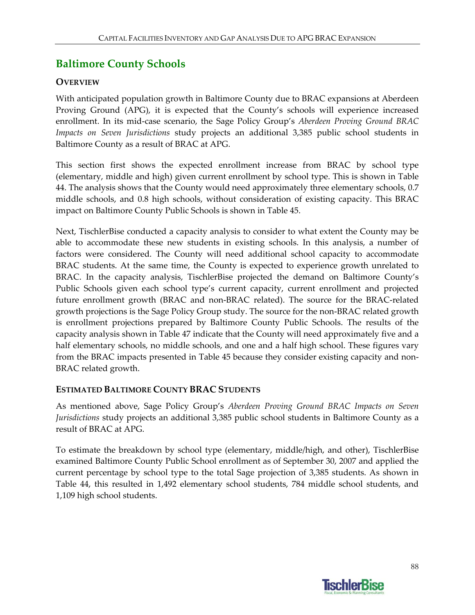# **Baltimore County Schools**

### **OVERVIEW**

With anticipated population growth in Baltimore County due to BRAC expansions at Aberdeen Proving Ground (APG), it is expected that the County's schools will experience increased enrollment. In its mid‐case scenario, the Sage Policy Group's *Aberdeen Proving Ground BRAC Impacts on Seven Jurisdictions* study projects an additional 3,385 public school students in Baltimore County as a result of BRAC at APG.

This section first shows the expected enrollment increase from BRAC by school type (elementary, middle and high) given current enrollment by school type. This is shown in Table 44. The analysis shows that the County would need approximately three elementary schools, 0.7 middle schools, and 0.8 high schools, without consideration of existing capacity. This BRAC impact on Baltimore County Public Schools is shown in Table 45.

Next, TischlerBise conducted a capacity analysis to consider to what extent the County may be able to accommodate these new students in existing schools. In this analysis, a number of factors were considered. The County will need additional school capacity to accommodate BRAC students. At the same time, the County is expected to experience growth unrelated to BRAC. In the capacity analysis, TischlerBise projected the demand on Baltimore County's Public Schools given each school type's current capacity, current enrollment and projected future enrollment growth (BRAC and non‐BRAC related). The source for the BRAC‐related growth projections is the Sage Policy Group study. The source for the non‐BRAC related growth is enrollment projections prepared by Baltimore County Public Schools. The results of the capacity analysis shown in Table 47 indicate that the County will need approximately five and a half elementary schools, no middle schools, and one and a half high school. These figures vary from the BRAC impacts presented in Table 45 because they consider existing capacity and non-BRAC related growth.

### **ESTIMATED BALTIMORE COUNTY BRAC STUDENTS**

As mentioned above, Sage Policy Group's *Aberdeen Proving Ground BRAC Impacts on Seven Jurisdictions* study projects an additional 3,385 public school students in Baltimore County as a result of BRAC at APG.

To estimate the breakdown by school type (elementary, middle/high, and other), TischlerBise examined Baltimore County Public School enrollment as of September 30, 2007 and applied the current percentage by school type to the total Sage projection of 3,385 students. As shown in Table 44, this resulted in 1,492 elementary school students, 784 middle school students, and 1,109 high school students.

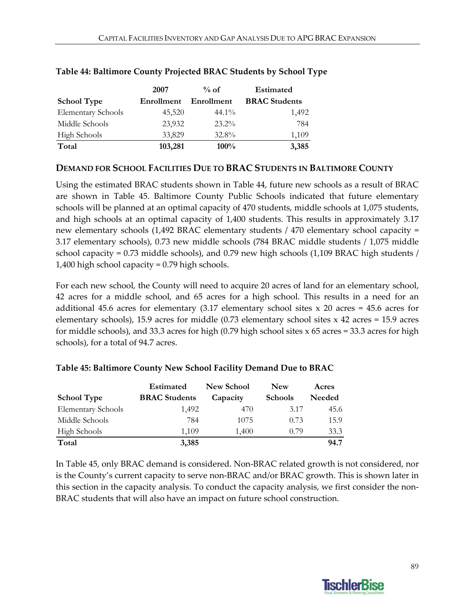|                           | 2007       | $%$ of     | <b>Estimated</b>     |
|---------------------------|------------|------------|----------------------|
| <b>School Type</b>        | Enrollment | Enrollment | <b>BRAC</b> Students |
| <b>Elementary Schools</b> | 45,520     | $44.1\%$   | 1,492                |
| Middle Schools            | 23,932     | $23.2\%$   | 784                  |
| <b>High Schools</b>       | 33,829     | $32.8\%$   | 1,109                |
| Total                     | 103,281    | $100\%$    | 3,385                |

#### **Table 44: Baltimore County Projected BRAC Students by School Type**

#### **DEMAND FOR SCHOOL FACILITIES DUE TO BRAC STUDENTS IN BALTIMORE COUNTY**

Using the estimated BRAC students shown in Table 44, future new schools as a result of BRAC are shown in Table 45. Baltimore County Public Schools indicated that future elementary schools will be planned at an optimal capacity of 470 students, middle schools at 1,075 students, and high schools at an optimal capacity of 1,400 students. This results in approximately 3.17 new elementary schools (1,492 BRAC elementary students / 470 elementary school capacity = 3.17 elementary schools), 0.73 new middle schools (784 BRAC middle students / 1,075 middle school capacity = 0.73 middle schools), and 0.79 new high schools (1,109 BRAC high students / 1,400 high school capacity = 0.79 high schools.

For each new school, the County will need to acquire 20 acres of land for an elementary school, 42 acres for a middle school, and 65 acres for a high school. This results in a need for an additional 45.6 acres for elementary  $(3.17)$  elementary school sites x 20 acres = 45.6 acres for elementary schools), 15.9 acres for middle (0.73 elementary school sites x 42 acres = 15.9 acres for middle schools), and 33.3 acres for high (0.79 high school sites  $\times$  65 acres = 33.3 acres for high schools), for a total of 94.7 acres.

|                           | <b>Estimated</b>     | <b>New School</b> | <b>New</b>     | Acres  |
|---------------------------|----------------------|-------------------|----------------|--------|
| <b>School Type</b>        | <b>BRAC</b> Students | Capacity          | <b>Schools</b> | Needed |
| <b>Elementary Schools</b> | 1,492                | 470               | 3.17           | 45.6   |
| Middle Schools            | 784                  | 1075              | 0.73           | 15.9   |
| <b>High Schools</b>       | 1.109                | 1,400             | 0.79           | 33.3   |
| Total                     | 3,385                |                   |                | 94.7   |

#### **Table 45: Baltimore County New School Facility Demand Due to BRAC**

In Table 45, only BRAC demand is considered. Non‐BRAC related growth is not considered, nor is the County's current capacity to serve non‐BRAC and/or BRAC growth. This is shown later in this section in the capacity analysis. To conduct the capacity analysis, we first consider the non‐ BRAC students that will also have an impact on future school construction.

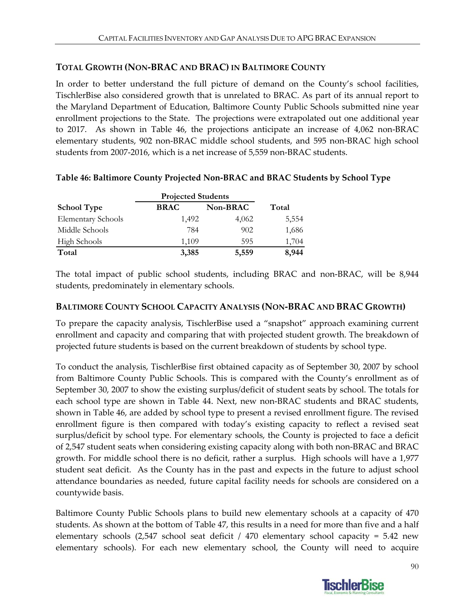### **TOTAL GROWTH (NON‐BRAC AND BRAC) IN BALTIMORE COUNTY**

In order to better understand the full picture of demand on the County's school facilities, TischlerBise also considered growth that is unrelated to BRAC. As part of its annual report to the Maryland Department of Education, Baltimore County Public Schools submitted nine year enrollment projections to the State. The projections were extrapolated out one additional year to 2017. As shown in Table 46, the projections anticipate an increase of 4,062 non-BRAC elementary students, 902 non‐BRAC middle school students, and 595 non‐BRAC high school students from 2007‐2016, which is a net increase of 5,559 non‐BRAC students.

| <b>Projected Students</b> |             |          |       |  |  |  |
|---------------------------|-------------|----------|-------|--|--|--|
| <b>School Type</b>        | <b>BRAC</b> | Non-BRAC | Total |  |  |  |
| <b>Elementary Schools</b> | 1,492       | 4,062    | 5,554 |  |  |  |
| Middle Schools            | 784         | 902      | 1,686 |  |  |  |
| <b>High Schools</b>       | 1,109       | 595      | 1,704 |  |  |  |
| Total                     | 3,385       | 5,559    | 8,944 |  |  |  |

### **Table 46: Baltimore County Projected Non‐BRAC and BRAC Students by School Type**

The total impact of public school students, including BRAC and non‐BRAC, will be 8,944 students, predominately in elementary schools.

### **BALTIMORE COUNTY SCHOOL CAPACITY ANALYSIS (NON‐BRAC AND BRAC GROWTH)**

To prepare the capacity analysis, TischlerBise used a "snapshot" approach examining current enrollment and capacity and comparing that with projected student growth. The breakdown of projected future students is based on the current breakdown of students by school type.

To conduct the analysis, TischlerBise first obtained capacity as of September 30, 2007 by school from Baltimore County Public Schools. This is compared with the County's enrollment as of September 30, 2007 to show the existing surplus/deficit of student seats by school. The totals for each school type are shown in Table 44. Next, new non-BRAC students and BRAC students, shown in Table 46, are added by school type to present a revised enrollment figure. The revised enrollment figure is then compared with today's existing capacity to reflect a revised seat surplus/deficit by school type. For elementary schools, the County is projected to face a deficit of 2,547 student seats when considering existing capacity along with both non‐BRAC and BRAC growth. For middle school there is no deficit, rather a surplus. High schools will have a 1,977 student seat deficit. As the County has in the past and expects in the future to adjust school attendance boundaries as needed, future capital facility needs for schools are considered on a countywide basis.

Baltimore County Public Schools plans to build new elementary schools at a capacity of 470 students. As shown at the bottom of Table 47, this results in a need for more than five and a half elementary schools (2,547 school seat deficit / 470 elementary school capacity = 5.42 new elementary schools). For each new elementary school, the County will need to acquire

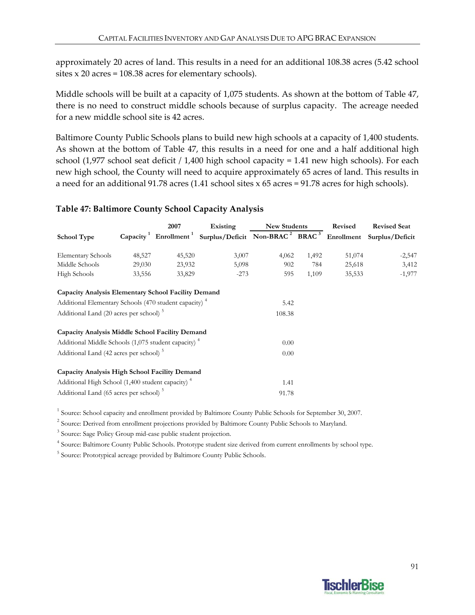approximately 20 acres of land. This results in a need for an additional 108.38 acres (5.42 school sites x 20 acres = 108.38 acres for elementary schools).

Middle schools will be built at a capacity of 1,075 students. As shown at the bottom of Table 47, there is no need to construct middle schools because of surplus capacity. The acreage needed for a new middle school site is 42 acres.

Baltimore County Public Schools plans to build new high schools at a capacity of 1,400 students. As shown at the bottom of Table 47, this results in a need for one and a half additional high school (1,977 school seat deficit / 1,400 high school capacity = 1.41 new high schools). For each new high school, the County will need to acquire approximately 65 acres of land. This results in a need for an additional 91.78 acres (1.41 school sites x 65 acres = 91.78 acres for high schools).

### **Table 47: Baltimore County School Capacity Analysis**

|                                                                   |        | 2007   | Existing                                                                                                                         | <b>New Students</b> |       | <b>Revised</b> | <b>Revised Seat</b> |
|-------------------------------------------------------------------|--------|--------|----------------------------------------------------------------------------------------------------------------------------------|---------------------|-------|----------------|---------------------|
| <b>School Type</b>                                                |        |        | Capacity <sup>1</sup> Enrollment <sup>1</sup> Surplus/Deficit Non-BRAC <sup>2</sup> BRAC <sup>3</sup> Enrollment Surplus/Deficit |                     |       |                |                     |
| <b>Elementary Schools</b>                                         | 48,527 | 45,520 | 3,007                                                                                                                            | 4,062               | 1,492 | 51,074         | $-2,547$            |
| Middle Schools                                                    | 29,030 | 23,932 | 5,098                                                                                                                            | 902                 | 784   | 25,618         | 3,412               |
| High Schools                                                      | 33,556 | 33,829 | $-273$                                                                                                                           | 595                 | 1,109 | 35,533         | $-1,977$            |
| Capacity Analysis Elementary School Facility Demand               |        |        |                                                                                                                                  |                     |       |                |                     |
| Additional Elementary Schools (470 student capacity) <sup>4</sup> |        |        |                                                                                                                                  | 5.42                |       |                |                     |
| Additional Land (20 acres per school) <sup>5</sup>                |        |        |                                                                                                                                  | 108.38              |       |                |                     |
| Capacity Analysis Middle School Facility Demand                   |        |        |                                                                                                                                  |                     |       |                |                     |
| Additional Middle Schools (1,075 student capacity) <sup>4</sup>   |        |        |                                                                                                                                  | 0.00                |       |                |                     |
| Additional Land (42 acres per school) <sup>5</sup>                |        |        |                                                                                                                                  | 0.00                |       |                |                     |
| Capacity Analysis High School Facility Demand                     |        |        |                                                                                                                                  |                     |       |                |                     |
| Additional High School (1,400 student capacity) <sup>4</sup>      |        |        |                                                                                                                                  | 1.41                |       |                |                     |
| Additional Land (65 acres per school) <sup>5</sup>                |        |        |                                                                                                                                  | 91.78               |       |                |                     |

<sup>1</sup> Source: School capacity and enrollment provided by Baltimore County Public Schools for September 30, 2007.

<sup>2</sup> Source: Derived from enrollment projections provided by Baltimore County Public Schools to Maryland.

<sup>3</sup> Source: Sage Policy Group mid-case public student projection.

<sup>4</sup> Source: Baltimore County Public Schools. Prototype student size derived from current enrollments by school type.

<sup>5</sup> Source: Prototypical acreage provided by Baltimore County Public Schools.

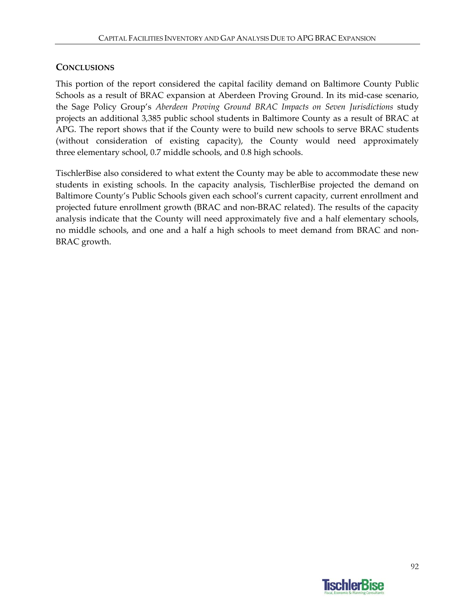### **CONCLUSIONS**

This portion of the report considered the capital facility demand on Baltimore County Public Schools as a result of BRAC expansion at Aberdeen Proving Ground. In its mid‐case scenario, the Sage Policy Group's *Aberdeen Proving Ground BRAC Impacts on Seven Jurisdictions* study projects an additional 3,385 public school students in Baltimore County as a result of BRAC at APG. The report shows that if the County were to build new schools to serve BRAC students (without consideration of existing capacity), the County would need approximately three elementary school, 0.7 middle schools, and 0.8 high schools.

TischlerBise also considered to what extent the County may be able to accommodate these new students in existing schools. In the capacity analysis, TischlerBise projected the demand on Baltimore County's Public Schools given each school's current capacity, current enrollment and projected future enrollment growth (BRAC and non‐BRAC related). The results of the capacity analysis indicate that the County will need approximately five and a half elementary schools, no middle schools, and one and a half a high schools to meet demand from BRAC and non-BRAC growth.

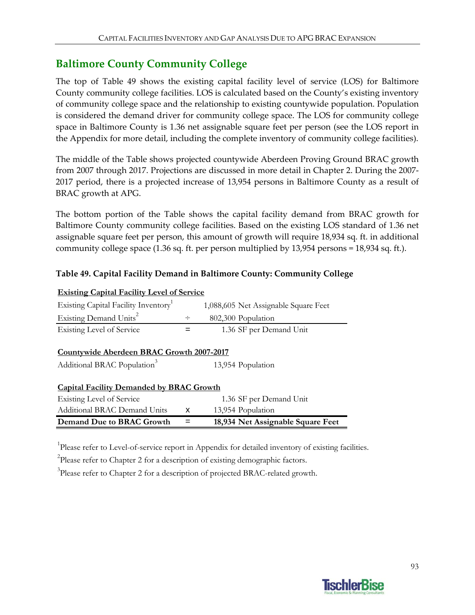## **Baltimore County Community College**

The top of Table 49 shows the existing capital facility level of service (LOS) for Baltimore County community college facilities. LOS is calculated based on the County's existing inventory of community college space and the relationship to existing countywide population. Population is considered the demand driver for community college space. The LOS for community college space in Baltimore County is 1.36 net assignable square feet per person (see the LOS report in the Appendix for more detail, including the complete inventory of community college facilities).

The middle of the Table shows projected countywide Aberdeen Proving Ground BRAC growth from 2007 through 2017. Projections are discussed in more detail in Chapter 2. During the 2007‐ 2017 period, there is a projected increase of 13,954 persons in Baltimore County as a result of BRAC growth at APG.

The bottom portion of the Table shows the capital facility demand from BRAC growth for Baltimore County community college facilities. Based on the existing LOS standard of 1.36 net assignable square feet per person, this amount of growth will require 18,934 sq. ft. in additional community college space (1.36 sq. ft. per person multiplied by 13,954 persons = 18,934 sq. ft.).

### **Table 49. Capital Facility Demand in Baltimore County: Community College**

| <b>Existing Capital Facility Level of Service</b>                                    |        |                                      |  |  |  |  |  |
|--------------------------------------------------------------------------------------|--------|--------------------------------------|--|--|--|--|--|
| Existing Capital Facility Inventory                                                  |        | 1,088,605 Net Assignable Square Feet |  |  |  |  |  |
| Existing Demand Units <sup>2</sup>                                                   | $\div$ | 802,300 Population                   |  |  |  |  |  |
| Existing Level of Service                                                            |        | 1.36 SF per Demand Unit              |  |  |  |  |  |
| Countywide Aberdeen BRAC Growth 2007-2017<br>Additional BRAC Population <sup>3</sup> |        | 13,954 Population                    |  |  |  |  |  |
| <b>Capital Facility Demanded by BRAC Growth</b>                                      |        |                                      |  |  |  |  |  |
| <b>Existing Level of Service</b>                                                     |        | 1.36 SF per Demand Unit              |  |  |  |  |  |
| Additional BRAC Demand Units                                                         | X      | 13,954 Population                    |  |  |  |  |  |
| Demand Due to BRAC Growth                                                            |        | 18,934 Net Assignable Square Feet    |  |  |  |  |  |

<sup>1</sup>Please refer to Level-of-service report in Appendix for detailed inventory of existing facilities.

 $2$ Please refer to Chapter 2 for a description of existing demographic factors.

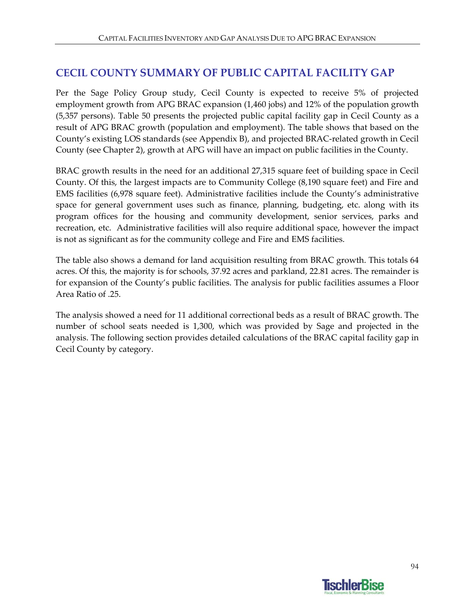## **CECIL COUNTY SUMMARY OF PUBLIC CAPITAL FACILITY GAP**

Per the Sage Policy Group study, Cecil County is expected to receive 5% of projected employment growth from APG BRAC expansion (1,460 jobs) and 12% of the population growth (5,357 persons). Table 50 presents the projected public capital facility gap in Cecil County as a result of APG BRAC growth (population and employment). The table shows that based on the County's existing LOS standards (see Appendix B), and projected BRAC‐related growth in Cecil County (see Chapter 2), growth at APG will have an impact on public facilities in the County.

BRAC growth results in the need for an additional 27,315 square feet of building space in Cecil County. Of this, the largest impacts are to Community College (8,190 square feet) and Fire and EMS facilities (6,978 square feet). Administrative facilities include the County's administrative space for general government uses such as finance, planning, budgeting, etc. along with its program offices for the housing and community development, senior services, parks and recreation, etc. Administrative facilities will also require additional space, however the impact is not as significant as for the community college and Fire and EMS facilities.

The table also shows a demand for land acquisition resulting from BRAC growth. This totals 64 acres. Of this, the majority is for schools, 37.92 acres and parkland, 22.81 acres. The remainder is for expansion of the County's public facilities. The analysis for public facilities assumes a Floor Area Ratio of .25.

The analysis showed a need for 11 additional correctional beds as a result of BRAC growth. The number of school seats needed is 1,300, which was provided by Sage and projected in the analysis. The following section provides detailed calculations of the BRAC capital facility gap in Cecil County by category.

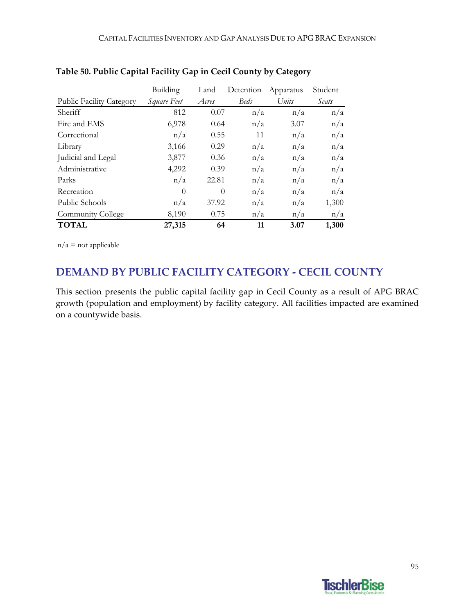|                                 | Building    | Land     | Detention   | Apparatus | Student |
|---------------------------------|-------------|----------|-------------|-----------|---------|
| <b>Public Facility Category</b> | Square Feet | Acres    | <b>Beds</b> | Units     | Seats   |
| Sheriff                         | 812         | 0.07     | n/a         | n/a       | n/a     |
| Fire and EMS                    | 6,978       | 0.64     | n/a         | 3.07      | n/a     |
| Correctional                    | n/a         | 0.55     | 11          | n/a       | n/a     |
| Library                         | 3,166       | 0.29     | n/a         | n/a       | n/a     |
| Judicial and Legal              | 3,877       | 0.36     | n/a         | n/a       | n/a     |
| Administrative                  | 4,292       | 0.39     | n/a         | n/a       | n/a     |
| Parks                           | n/a         | 22.81    | n/a         | n/a       | n/a     |
| Recreation                      | $\theta$    | $\Omega$ | n/a         | n/a       | n/a     |
| Public Schools                  | n/a         | 37.92    | n/a         | n/a       | 1,300   |
| Community College               | 8,190       | 0.75     | n/a         | n/a       | n/a     |
| <b>TOTAL</b>                    | 27,315      | 64       | 11          | 3.07      | 1,300   |

### **Table 50. Public Capital Facility Gap in Cecil County by Category**

 $n/a$  = not applicable

## **DEMAND BY PUBLIC FACILITY CATEGORY ‐ CECIL COUNTY**

This section presents the public capital facility gap in Cecil County as a result of APG BRAC growth (population and employment) by facility category. All facilities impacted are examined on a countywide basis.

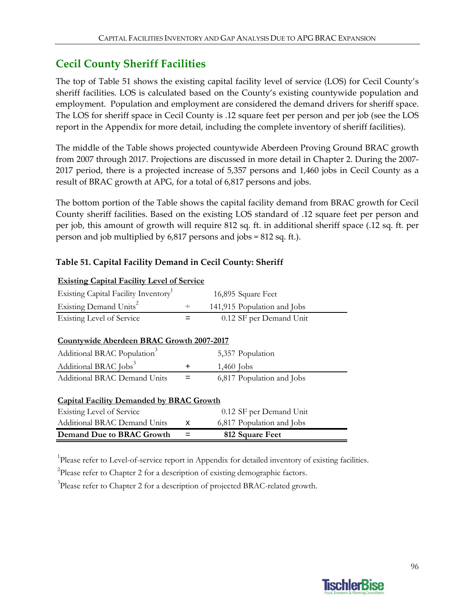## **Cecil County Sheriff Facilities**

The top of Table 51 shows the existing capital facility level of service (LOS) for Cecil County's sheriff facilities. LOS is calculated based on the County's existing countywide population and employment. Population and employment are considered the demand drivers for sheriff space. The LOS for sheriff space in Cecil County is .12 square feet per person and per job (see the LOS report in the Appendix for more detail, including the complete inventory of sheriff facilities).

The middle of the Table shows projected countywide Aberdeen Proving Ground BRAC growth from 2007 through 2017. Projections are discussed in more detail in Chapter 2. During the 2007‐ 2017 period, there is a projected increase of 5,357 persons and 1,460 jobs in Cecil County as a result of BRAC growth at APG, for a total of 6,817 persons and jobs.

The bottom portion of the Table shows the capital facility demand from BRAC growth for Cecil County sheriff facilities. Based on the existing LOS standard of .12 square feet per person and per job, this amount of growth will require 812 sq. ft. in additional sheriff space (.12 sq. ft. per person and job multiplied by 6,817 persons and jobs = 812 sq. ft.).

### **Table 51. Capital Facility Demand in Cecil County: Sheriff**

| Demand Due to BRAC Growth                         |           | 812 Square Feet             |  |
|---------------------------------------------------|-----------|-----------------------------|--|
| Additional BRAC Demand Units                      | x         | 6,817 Population and Jobs   |  |
| Existing Level of Service                         |           | 0.12 SF per Demand Unit     |  |
| <b>Capital Facility Demanded by BRAC Growth</b>   |           |                             |  |
| <b>Additional BRAC Demand Units</b>               |           | 6,817 Population and Jobs   |  |
| Additional BRAC Jobs <sup>3</sup>                 | $\ddot{}$ | $1,460$ Jobs                |  |
| Additional BRAC Population <sup>3</sup>           |           | 5,357 Population            |  |
| Countywide Aberdeen BRAC Growth 2007-2017         |           |                             |  |
|                                                   |           |                             |  |
| <b>Existing Level of Service</b>                  |           | 0.12 SF per Demand Unit     |  |
| Existing Demand Units <sup>2</sup>                | ÷         | 141,915 Population and Jobs |  |
| Existing Capital Facility Inventory <sup>1</sup>  |           | 16,895 Square Feet          |  |
| <u>Existing Capital Facility Level of Service</u> |           |                             |  |

### **Existing Capital Facility Level of Service**

<sup>1</sup>Please refer to Level-of-service report in Appendix for detailed inventory of existing facilities.

 $2$ Please refer to Chapter 2 for a description of existing demographic factors.

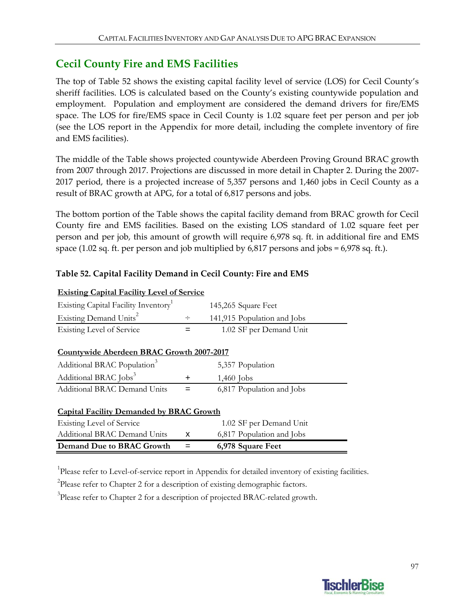## **Cecil County Fire and EMS Facilities**

The top of Table 52 shows the existing capital facility level of service (LOS) for Cecil County's sheriff facilities. LOS is calculated based on the County's existing countywide population and employment. Population and employment are considered the demand drivers for fire/EMS space. The LOS for fire/EMS space in Cecil County is 1.02 square feet per person and per job (see the LOS report in the Appendix for more detail, including the complete inventory of fire and EMS facilities).

The middle of the Table shows projected countywide Aberdeen Proving Ground BRAC growth from 2007 through 2017. Projections are discussed in more detail in Chapter 2. During the 2007‐ 2017 period, there is a projected increase of 5,357 persons and 1,460 jobs in Cecil County as a result of BRAC growth at APG, for a total of 6,817 persons and jobs.

The bottom portion of the Table shows the capital facility demand from BRAC growth for Cecil County fire and EMS facilities. Based on the existing LOS standard of 1.02 square feet per person and per job, this amount of growth will require 6,978 sq. ft. in additional fire and EMS space (1.02 sq. ft. per person and job multiplied by 6,817 persons and jobs = 6,978 sq. ft.).

### **Table 52. Capital Facility Demand in Cecil County: Fire and EMS**

| <b>Existing Capital Facility Level of Service</b> |           |                             |  |  |  |  |
|---------------------------------------------------|-----------|-----------------------------|--|--|--|--|
| Existing Capital Facility Inventory <sup>1</sup>  |           | 145,265 Square Feet         |  |  |  |  |
| Existing Demand Units <sup>2</sup>                | $\div$    | 141,915 Population and Jobs |  |  |  |  |
| <b>Existing Level of Service</b>                  | =         | 1.02 SF per Demand Unit     |  |  |  |  |
| Countywide Aberdeen BRAC Growth 2007-2017         |           |                             |  |  |  |  |
| Additional BRAC Population <sup>3</sup>           |           | 5,357 Population            |  |  |  |  |
| Additional BRAC Jobs <sup>3</sup>                 | $\ddot{}$ | $1,460$ Jobs                |  |  |  |  |
| <b>Additional BRAC Demand Units</b>               |           | 6,817 Population and Jobs   |  |  |  |  |
| <b>Capital Facility Demanded by BRAC Growth</b>   |           |                             |  |  |  |  |
| <b>Existing Level of Service</b>                  |           | 1.02 SF per Demand Unit     |  |  |  |  |
| Additional BRAC Demand Units                      | X         | 6,817 Population and Jobs   |  |  |  |  |
| Demand Due to BRAC Growth                         |           | 6,978 Square Feet           |  |  |  |  |

<sup>1</sup>Please refer to Level-of-service report in Appendix for detailed inventory of existing facilities.

 $2$ Please refer to Chapter 2 for a description of existing demographic factors.

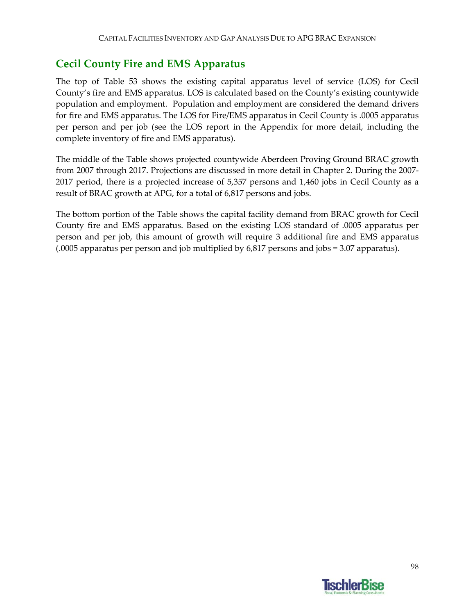## **Cecil County Fire and EMS Apparatus**

The top of Table 53 shows the existing capital apparatus level of service (LOS) for Cecil County's fire and EMS apparatus. LOS is calculated based on the County's existing countywide population and employment. Population and employment are considered the demand drivers for fire and EMS apparatus. The LOS for Fire/EMS apparatus in Cecil County is .0005 apparatus per person and per job (see the LOS report in the Appendix for more detail, including the complete inventory of fire and EMS apparatus).

The middle of the Table shows projected countywide Aberdeen Proving Ground BRAC growth from 2007 through 2017. Projections are discussed in more detail in Chapter 2. During the 2007‐ 2017 period, there is a projected increase of 5,357 persons and 1,460 jobs in Cecil County as a result of BRAC growth at APG, for a total of 6,817 persons and jobs.

The bottom portion of the Table shows the capital facility demand from BRAC growth for Cecil County fire and EMS apparatus. Based on the existing LOS standard of .0005 apparatus per person and per job, this amount of growth will require 3 additional fire and EMS apparatus (.0005 apparatus per person and job multiplied by 6,817 persons and jobs = 3.07 apparatus).

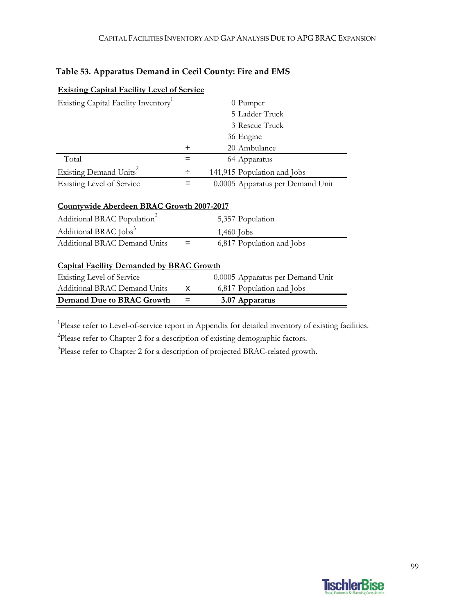| Table 53. Apparatus Demand in Cecil County: Fire and EMS |  |
|----------------------------------------------------------|--|
|----------------------------------------------------------|--|

| <b>Demand Due to BRAC Growth</b>                 | =      | 3.07 Apparatus                   |
|--------------------------------------------------|--------|----------------------------------|
| <b>Additional BRAC Demand Units</b>              | x      | 6,817 Population and Jobs        |
| <b>Existing Level of Service</b>                 |        | 0.0005 Apparatus per Demand Unit |
| <b>Capital Facility Demanded by BRAC Growth</b>  |        |                                  |
| <b>Additional BRAC Demand Units</b>              |        | 6,817 Population and Jobs        |
| Additional BRAC Jobs <sup>3</sup>                |        | $1,460$ Jobs                     |
| Additional BRAC Population <sup>3</sup>          |        | 5,357 Population                 |
| Countywide Aberdeen BRAC Growth 2007-2017        |        |                                  |
| <b>Existing Level of Service</b>                 | =      | 0.0005 Apparatus per Demand Unit |
| Existing Demand Units <sup>2</sup>               | ÷      | 141,915 Population and Jobs      |
| Total                                            | =      | 64 Apparatus                     |
|                                                  | $\div$ | 20 Ambulance                     |
|                                                  |        | 36 Engine                        |
|                                                  |        | 3 Rescue Truck                   |
|                                                  |        | 5 Ladder Truck                   |
| Existing Capital Facility Inventory <sup>1</sup> |        | 0 Pumper                         |
|                                                  |        |                                  |

<sup>1</sup>Please refer to Level-of-service report in Appendix for detailed inventory of existing facilities.

 $2$ Please refer to Chapter 2 for a description of existing demographic factors.

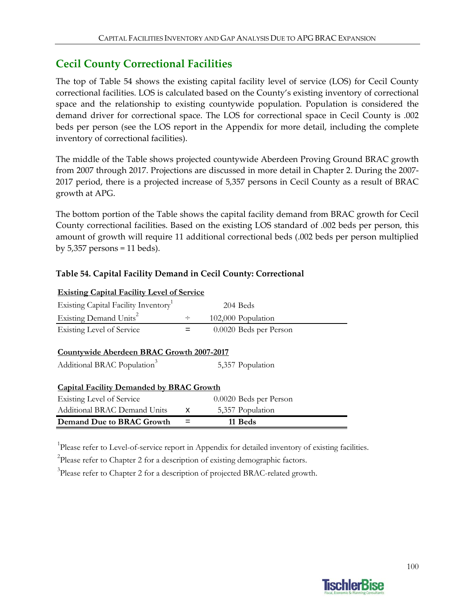## **Cecil County Correctional Facilities**

The top of Table 54 shows the existing capital facility level of service (LOS) for Cecil County correctional facilities. LOS is calculated based on the County's existing inventory of correctional space and the relationship to existing countywide population. Population is considered the demand driver for correctional space. The LOS for correctional space in Cecil County is .002 beds per person (see the LOS report in the Appendix for more detail, including the complete inventory of correctional facilities).

The middle of the Table shows projected countywide Aberdeen Proving Ground BRAC growth from 2007 through 2017. Projections are discussed in more detail in Chapter 2. During the 2007‐ 2017 period, there is a projected increase of 5,357 persons in Cecil County as a result of BRAC growth at APG.

The bottom portion of the Table shows the capital facility demand from BRAC growth for Cecil County correctional facilities. Based on the existing LOS standard of .002 beds per person, this amount of growth will require 11 additional correctional beds (.002 beds per person multiplied by  $5,357$  persons = 11 beds).

| <b>Existing Capital Facility Level of Service</b>                                           |        |                        |  |
|---------------------------------------------------------------------------------------------|--------|------------------------|--|
| Existing Capital Facility Inventory <sup>1</sup>                                            |        | 204 Beds               |  |
| Existing Demand Units <sup>2</sup>                                                          | $\div$ | 102,000 Population     |  |
| Existing Level of Service                                                                   |        | 0.0020 Beds per Person |  |
| <b>Countywide Aberdeen BRAC Growth 2007-2017</b><br>Additional BRAC Population <sup>3</sup> |        | 5,357 Population       |  |
| <b>Capital Facility Demanded by BRAC Growth</b>                                             |        |                        |  |
| Existing Level of Service                                                                   |        | 0.0020 Beds per Person |  |
| Additional BRAC Demand Units                                                                | x      | 5,357 Population       |  |
| Demand Due to BRAC Growth                                                                   |        | 11 Beds                |  |

#### **Table 54. Capital Facility Demand in Cecil County: Correctional**

<sup>1</sup>Please refer to Level-of-service report in Appendix for detailed inventory of existing facilities.

 $2$ Please refer to Chapter 2 for a description of existing demographic factors.

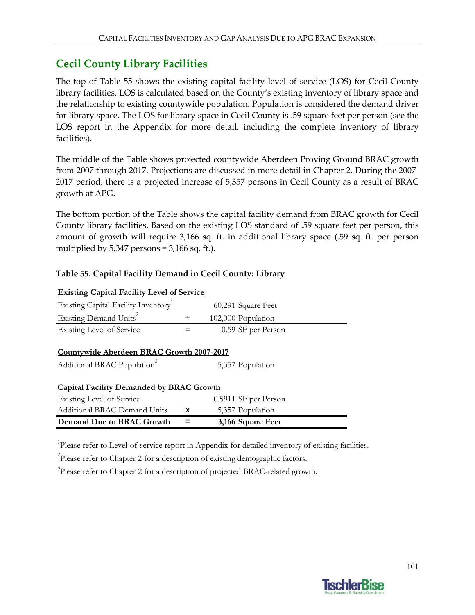## **Cecil County Library Facilities**

The top of Table 55 shows the existing capital facility level of service (LOS) for Cecil County library facilities. LOS is calculated based on the County's existing inventory of library space and the relationship to existing countywide population. Population is considered the demand driver for library space. The LOS for library space in Cecil County is .59 square feet per person (see the LOS report in the Appendix for more detail, including the complete inventory of library facilities).

The middle of the Table shows projected countywide Aberdeen Proving Ground BRAC growth from 2007 through 2017. Projections are discussed in more detail in Chapter 2. During the 2007‐ 2017 period, there is a projected increase of 5,357 persons in Cecil County as a result of BRAC growth at APG.

The bottom portion of the Table shows the capital facility demand from BRAC growth for Cecil County library facilities. Based on the existing LOS standard of .59 square feet per person, this amount of growth will require 3,166 sq. ft. in additional library space (.59 sq. ft. per person multiplied by  $5,347$  persons =  $3,166$  sq. ft.).

### **Table 55. Capital Facility Demand in Cecil County: Library**

| <b>Existing Capital Facility Level of Service</b> |        |                      |  |
|---------------------------------------------------|--------|----------------------|--|
| Existing Capital Facility Inventory               |        | 60,291 Square Feet   |  |
| Existing Demand Units <sup>2</sup>                | $\div$ | 102,000 Population   |  |
| Existing Level of Service                         | =      | 0.59 SF per Person   |  |
|                                                   |        |                      |  |
| Countywide Aberdeen BRAC Growth 2007-2017         |        |                      |  |
| Additional BRAC Population <sup>3</sup>           |        | 5,357 Population     |  |
| <b>Capital Facility Demanded by BRAC Growth</b>   |        |                      |  |
| Existing Level of Service                         |        | 0.5911 SF per Person |  |
| Additional BRAC Demand Units                      | x      | 5,357 Population     |  |
| Demand Due to BRAC Growth                         |        | 3,166 Square Feet    |  |

<sup>1</sup>Please refer to Level-of-service report in Appendix for detailed inventory of existing facilities.

 $2$ Please refer to Chapter 2 for a description of existing demographic factors.

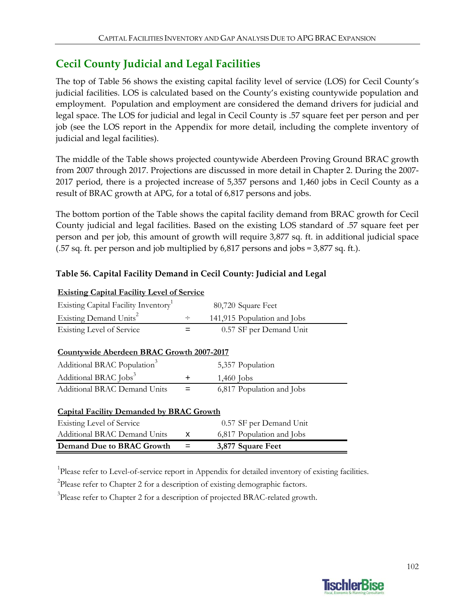# **Cecil County Judicial and Legal Facilities**

The top of Table 56 shows the existing capital facility level of service (LOS) for Cecil County's judicial facilities. LOS is calculated based on the County's existing countywide population and employment. Population and employment are considered the demand drivers for judicial and legal space. The LOS for judicial and legal in Cecil County is .57 square feet per person and per job (see the LOS report in the Appendix for more detail, including the complete inventory of judicial and legal facilities).

The middle of the Table shows projected countywide Aberdeen Proving Ground BRAC growth from 2007 through 2017. Projections are discussed in more detail in Chapter 2. During the 2007‐ 2017 period, there is a projected increase of 5,357 persons and 1,460 jobs in Cecil County as a result of BRAC growth at APG, for a total of 6,817 persons and jobs.

The bottom portion of the Table shows the capital facility demand from BRAC growth for Cecil County judicial and legal facilities. Based on the existing LOS standard of .57 square feet per person and per job, this amount of growth will require 3,877 sq. ft. in additional judicial space (.57 sq. ft. per person and job multiplied by 6,817 persons and jobs = 3,877 sq. ft.).

### **Table 56. Capital Facility Demand in Cecil County: Judicial and Legal**

| <b>Existing Capital Facility Level of Service</b> |        |                             |  |
|---------------------------------------------------|--------|-----------------------------|--|
| Existing Capital Facility Inventory               |        | 80,720 Square Feet          |  |
| Existing Demand Units <sup>2</sup>                | $\div$ | 141,915 Population and Jobs |  |
| <b>Existing Level of Service</b>                  | =      | 0.57 SF per Demand Unit     |  |
|                                                   |        |                             |  |
| Countywide Aberdeen BRAC Growth 2007-2017         |        |                             |  |
| Additional BRAC Population <sup>3</sup>           |        | 5,357 Population            |  |
| Additional BRAC Jobs <sup>3</sup>                 | +      | $1,460$ Jobs                |  |
| <b>Additional BRAC Demand Units</b>               | =      | 6,817 Population and Jobs   |  |
|                                                   |        |                             |  |
| <b>Capital Facility Demanded by BRAC Growth</b>   |        |                             |  |
| <b>Existing Level of Service</b>                  |        | 0.57 SF per Demand Unit     |  |
| <b>Additional BRAC Demand Units</b>               | x      | 6,817 Population and Jobs   |  |
| Demand Due to BRAC Growth                         |        | 3,877 Square Feet           |  |

<sup>1</sup>Please refer to Level-of-service report in Appendix for detailed inventory of existing facilities.

 $2$ Please refer to Chapter 2 for a description of existing demographic factors.

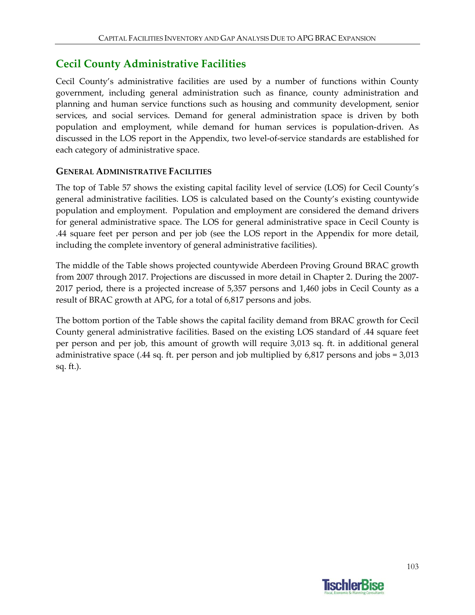## **Cecil County Administrative Facilities**

Cecil County's administrative facilities are used by a number of functions within County government, including general administration such as finance, county administration and planning and human service functions such as housing and community development, senior services, and social services. Demand for general administration space is driven by both population and employment, while demand for human services is population‐driven. As discussed in the LOS report in the Appendix, two level‐of‐service standards are established for each category of administrative space.

### **GENERAL ADMINISTRATIVE FACILITIES**

The top of Table 57 shows the existing capital facility level of service (LOS) for Cecil County's general administrative facilities. LOS is calculated based on the County's existing countywide population and employment. Population and employment are considered the demand drivers for general administrative space. The LOS for general administrative space in Cecil County is .44 square feet per person and per job (see the LOS report in the Appendix for more detail, including the complete inventory of general administrative facilities).

The middle of the Table shows projected countywide Aberdeen Proving Ground BRAC growth from 2007 through 2017. Projections are discussed in more detail in Chapter 2. During the 2007‐ 2017 period, there is a projected increase of 5,357 persons and 1,460 jobs in Cecil County as a result of BRAC growth at APG, for a total of 6,817 persons and jobs.

The bottom portion of the Table shows the capital facility demand from BRAC growth for Cecil County general administrative facilities. Based on the existing LOS standard of .44 square feet per person and per job, this amount of growth will require 3,013 sq. ft. in additional general administrative space (.44 sq. ft. per person and job multiplied by 6,817 persons and jobs = 3,013 sq. ft.).

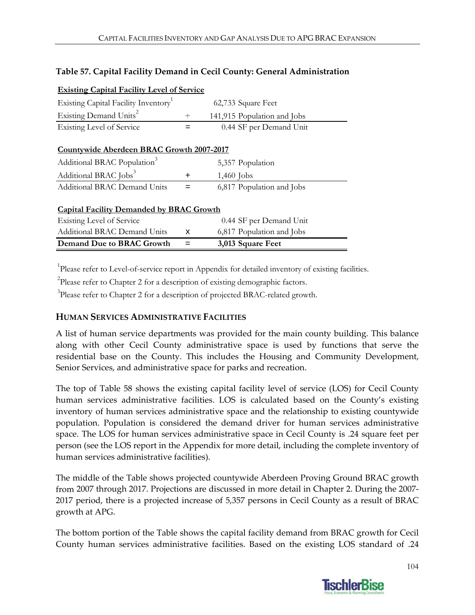#### **Table 57. Capital Facility Demand in Cecil County: General Administration**

| <b>Existing Capital Facility Level of Service</b> |        |                             |  |
|---------------------------------------------------|--------|-----------------------------|--|
| Existing Capital Facility Inventory               |        | 62,733 Square Feet          |  |
| Existing Demand Units <sup>2</sup>                | $\div$ | 141,915 Population and Jobs |  |
| <b>Existing Level of Service</b>                  |        | 0.44 SF per Demand Unit     |  |
|                                                   |        |                             |  |
| Countywide Aberdeen BRAC Growth 2007-2017         |        |                             |  |
| Additional BRAC Population <sup>3</sup>           |        | 5,357 Population            |  |
| Additional BRAC Jobs <sup>3</sup>                 | ٠      | $1,460$ Jobs                |  |
| <b>Additional BRAC Demand Units</b>               | =      | 6,817 Population and Jobs   |  |
|                                                   |        |                             |  |
| <b>Capital Facility Demanded by BRAC Growth</b>   |        |                             |  |
| <b>Existing Level of Service</b>                  |        | 0.44 SF per Demand Unit     |  |
| Additional BRAC Demand Units                      | x      | 6,817 Population and Jobs   |  |
| Demand Due to BRAC Growth                         |        | 3,013 Square Feet           |  |

<sup>1</sup>Please refer to Level-of-service report in Appendix for detailed inventory of existing facilities.

 $2$ Please refer to Chapter 2 for a description of existing demographic factors.

<sup>3</sup>Please refer to Chapter 2 for a description of projected BRAC-related growth.

#### **HUMAN SERVICES ADMINISTRATIVE FACILITIES**

A list of human service departments was provided for the main county building. This balance along with other Cecil County administrative space is used by functions that serve the residential base on the County. This includes the Housing and Community Development, Senior Services, and administrative space for parks and recreation.

The top of Table 58 shows the existing capital facility level of service (LOS) for Cecil County human services administrative facilities. LOS is calculated based on the County's existing inventory of human services administrative space and the relationship to existing countywide population. Population is considered the demand driver for human services administrative space. The LOS for human services administrative space in Cecil County is .24 square feet per person (see the LOS report in the Appendix for more detail, including the complete inventory of human services administrative facilities).

The middle of the Table shows projected countywide Aberdeen Proving Ground BRAC growth from 2007 through 2017. Projections are discussed in more detail in Chapter 2. During the 2007‐ 2017 period, there is a projected increase of 5,357 persons in Cecil County as a result of BRAC growth at APG.

The bottom portion of the Table shows the capital facility demand from BRAC growth for Cecil County human services administrative facilities. Based on the existing LOS standard of .24

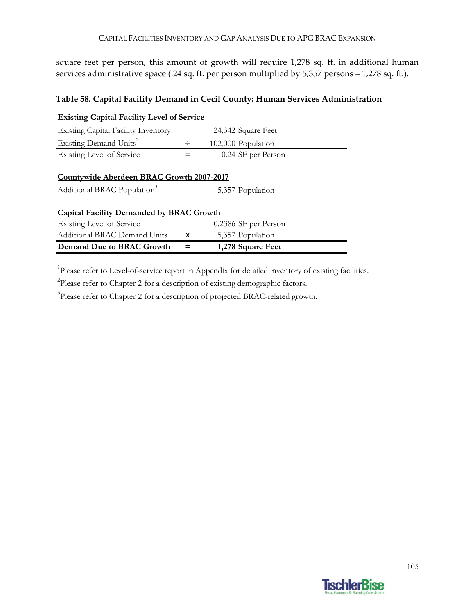square feet per person, this amount of growth will require 1,278 sq. ft. in additional human services administrative space (.24 sq. ft. per person multiplied by 5,357 persons = 1,278 sq. ft.).

### **Table 58. Capital Facility Demand in Cecil County: Human Services Administration**

| <b>Existing Capital Facility Level of Service</b>                                    |        |                      |  |
|--------------------------------------------------------------------------------------|--------|----------------------|--|
| Existing Capital Facility Inventory                                                  |        | 24,342 Square Feet   |  |
| Existing Demand Units <sup>2</sup>                                                   | $\div$ | 102,000 Population   |  |
| Existing Level of Service                                                            | =      | 0.24 SF per Person   |  |
| Countywide Aberdeen BRAC Growth 2007-2017<br>Additional BRAC Population <sup>3</sup> |        | 5,357 Population     |  |
| <b>Capital Facility Demanded by BRAC Growth</b>                                      |        |                      |  |
| Existing Level of Service                                                            |        | 0.2386 SF per Person |  |
| Additional BRAC Demand Units                                                         | x      | 5,357 Population     |  |
| Demand Due to BRAC Growth                                                            |        | 1,278 Square Feet    |  |

<sup>1</sup>Please refer to Level-of-service report in Appendix for detailed inventory of existing facilities.

 $2$ Please refer to Chapter 2 for a description of existing demographic factors.

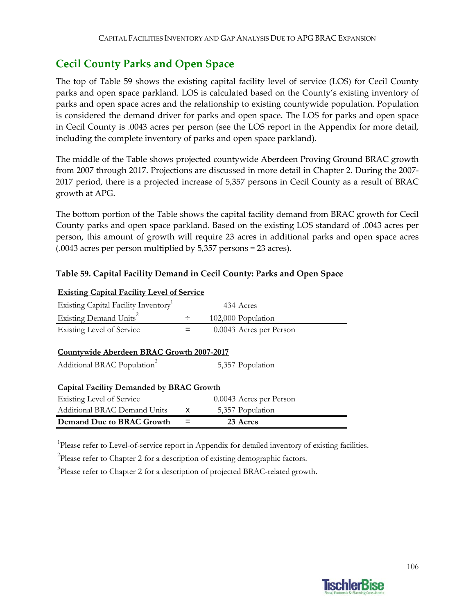## **Cecil County Parks and Open Space**

The top of Table 59 shows the existing capital facility level of service (LOS) for Cecil County parks and open space parkland. LOS is calculated based on the County's existing inventory of parks and open space acres and the relationship to existing countywide population. Population is considered the demand driver for parks and open space. The LOS for parks and open space in Cecil County is .0043 acres per person (see the LOS report in the Appendix for more detail, including the complete inventory of parks and open space parkland).

The middle of the Table shows projected countywide Aberdeen Proving Ground BRAC growth from 2007 through 2017. Projections are discussed in more detail in Chapter 2. During the 2007‐ 2017 period, there is a projected increase of 5,357 persons in Cecil County as a result of BRAC growth at APG.

The bottom portion of the Table shows the capital facility demand from BRAC growth for Cecil County parks and open space parkland. Based on the existing LOS standard of .0043 acres per person, this amount of growth will require 23 acres in additional parks and open space acres (.0043 acres per person multiplied by 5,357 persons = 23 acres).

### **Table 59. Capital Facility Demand in Cecil County: Parks and Open Space**

| <b>Existing Capital Facility Level of Service</b> |        |                         |  |
|---------------------------------------------------|--------|-------------------------|--|
| Existing Capital Facility Inventory <sup>1</sup>  |        | 434 Acres               |  |
| Existing Demand Units <sup>2</sup>                | $\div$ | 102,000 Population      |  |
| Existing Level of Service                         |        | 0.0043 Acres per Person |  |
|                                                   |        |                         |  |
| Countywide Aberdeen BRAC Growth 2007-2017         |        |                         |  |
| Additional BRAC Population <sup>3</sup>           |        | 5,357 Population        |  |
| <b>Capital Facility Demanded by BRAC Growth</b>   |        |                         |  |
| Existing Level of Service                         |        | 0.0043 Acres per Person |  |
| Additional BRAC Demand Units                      | x      | 5,357 Population        |  |
| Demand Due to BRAC Growth                         |        | 23 Acres                |  |

<sup>1</sup>Please refer to Level-of-service report in Appendix for detailed inventory of existing facilities.

 $2$ Please refer to Chapter 2 for a description of existing demographic factors.

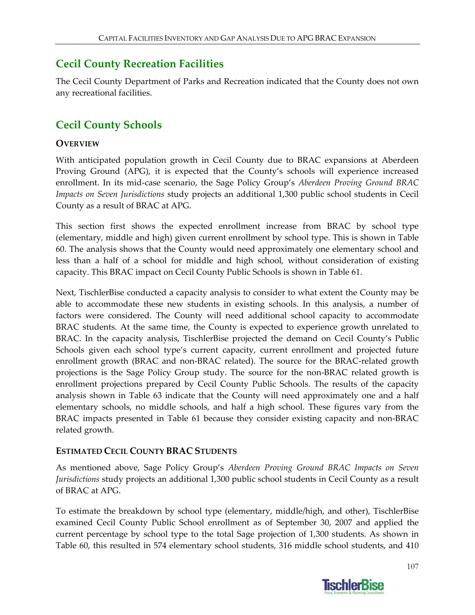## **Cecil County Recreation Facilities**

The Cecil County Department of Parks and Recreation indicated that the County does not own any recreational facilities.

# **Cecil County Schools**

### **OVERVIEW**

With anticipated population growth in Cecil County due to BRAC expansions at Aberdeen Proving Ground (APG), it is expected that the County's schools will experience increased enrollment. In its mid‐case scenario, the Sage Policy Group's *Aberdeen Proving Ground BRAC Impacts on Seven Jurisdictions* study projects an additional 1,300 public school students in Cecil County as a result of BRAC at APG.

This section first shows the expected enrollment increase from BRAC by school type (elementary, middle and high) given current enrollment by school type. This is shown in Table 60. The analysis shows that the County would need approximately one elementary school and less than a half of a school for middle and high school, without consideration of existing capacity. This BRAC impact on Cecil County Public Schools is shown in Table 61.

Next, TischlerBise conducted a capacity analysis to consider to what extent the County may be able to accommodate these new students in existing schools. In this analysis, a number of factors were considered. The County will need additional school capacity to accommodate BRAC students. At the same time, the County is expected to experience growth unrelated to BRAC. In the capacity analysis, TischlerBise projected the demand on Cecil County's Public Schools given each school type's current capacity, current enrollment and projected future enrollment growth (BRAC and non-BRAC related). The source for the BRAC-related growth projections is the Sage Policy Group study. The source for the non‐BRAC related growth is enrollment projections prepared by Cecil County Public Schools. The results of the capacity analysis shown in Table 63 indicate that the County will need approximately one and a half elementary schools, no middle schools, and half a high school. These figures vary from the BRAC impacts presented in Table 61 because they consider existing capacity and non‐BRAC related growth.

### **ESTIMATED CECIL COUNTY BRAC STUDENTS**

As mentioned above, Sage Policy Group's *Aberdeen Proving Ground BRAC Impacts on Seven Jurisdictions* study projects an additional 1,300 public school students in Cecil County as a result of BRAC at APG.

To estimate the breakdown by school type (elementary, middle/high, and other), TischlerBise examined Cecil County Public School enrollment as of September 30, 2007 and applied the current percentage by school type to the total Sage projection of 1,300 students. As shown in Table 60, this resulted in 574 elementary school students, 316 middle school students, and 410

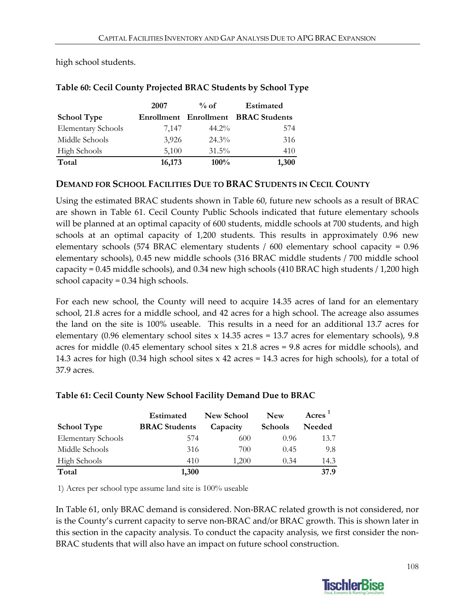high school students.

|                           | 2007   | $%$ of   | Estimated                           |
|---------------------------|--------|----------|-------------------------------------|
| <b>School Type</b>        |        |          | Enrollment Enrollment BRAC Students |
| <b>Elementary Schools</b> | 7.147  | $44.2\%$ | 574                                 |
| Middle Schools            | 3,926  | $24.3\%$ | 316                                 |
| <b>High Schools</b>       | 5,100  | $31.5\%$ | 410                                 |
| Total                     | 16,173 | $100\%$  | 1,300                               |

### **Table 60: Cecil County Projected BRAC Students by School Type**

### **DEMAND FOR SCHOOL FACILITIES DUE TO BRAC STUDENTS IN CECIL COUNTY**

Using the estimated BRAC students shown in Table 60, future new schools as a result of BRAC are shown in Table 61. Cecil County Public Schools indicated that future elementary schools will be planned at an optimal capacity of 600 students, middle schools at 700 students, and high schools at an optimal capacity of 1,200 students. This results in approximately 0.96 new elementary schools (574 BRAC elementary students / 600 elementary school capacity = 0.96 elementary schools), 0.45 new middle schools (316 BRAC middle students / 700 middle school capacity = 0.45 middle schools), and 0.34 new high schools (410 BRAC high students / 1,200 high school capacity = 0.34 high schools.

For each new school, the County will need to acquire 14.35 acres of land for an elementary school, 21.8 acres for a middle school, and 42 acres for a high school. The acreage also assumes the land on the site is 100% useable. This results in a need for an additional 13.7 acres for elementary (0.96 elementary school sites x 14.35 acres = 13.7 acres for elementary schools), 9.8 acres for middle (0.45 elementary school sites  $x$  21.8 acres = 9.8 acres for middle schools), and 14.3 acres for high (0.34 high school sites x 42 acres = 14.3 acres for high schools), for a total of 37.9 acres.

| <b>School Type</b>        | Estimated<br><b>BRAC Students</b> | <b>New School</b><br>Capacity | <b>New</b><br><b>Schools</b> | Acres<br>Needed |
|---------------------------|-----------------------------------|-------------------------------|------------------------------|-----------------|
| <b>Elementary Schools</b> | 574                               | 600                           | 0.96                         | 13.7            |
| Middle Schools            | 316                               | 700                           | 0.45                         | 9.8             |
| <b>High Schools</b>       | 410                               | 1,200                         | 0.34                         | 14.3            |
| Total                     | 1,300                             |                               |                              | 37.9            |

### **Table 61: Cecil County New School Facility Demand Due to BRAC**

1) Acres per school type assume land site is 100% useable

In Table 61, only BRAC demand is considered. Non‐BRAC related growth is not considered, nor is the County's current capacity to serve non‐BRAC and/or BRAC growth. This is shown later in this section in the capacity analysis. To conduct the capacity analysis, we first consider the non‐ BRAC students that will also have an impact on future school construction.

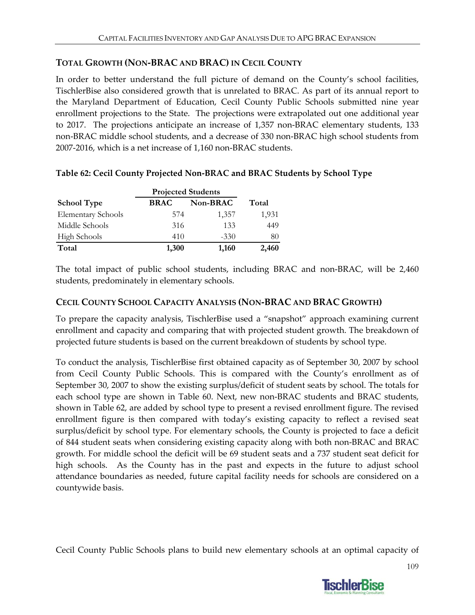### **TOTAL GROWTH (NON‐BRAC AND BRAC) IN CECIL COUNTY**

In order to better understand the full picture of demand on the County's school facilities, TischlerBise also considered growth that is unrelated to BRAC. As part of its annual report to the Maryland Department of Education, Cecil County Public Schools submitted nine year enrollment projections to the State. The projections were extrapolated out one additional year to 2017. The projections anticipate an increase of 1,357 non-BRAC elementary students, 133 non‐BRAC middle school students, and a decrease of 330 non‐BRAC high school students from 2007‐2016, which is a net increase of 1,160 non‐BRAC students.

|                           | <b>Projected Students</b> |          |       |
|---------------------------|---------------------------|----------|-------|
| <b>School Type</b>        | <b>BRAC</b>               | Non-BRAC | Total |
| <b>Elementary Schools</b> | 574                       | 1,357    | 1,931 |
| Middle Schools            | 316                       | 133      | 449   |
| <b>High Schools</b>       | 410                       | $-330$   | 80    |
| Total                     | 1,300                     | 1,160    | 2,460 |

### **Table 62: Cecil County Projected Non‐BRAC and BRAC Students by School Type**

The total impact of public school students, including BRAC and non-BRAC, will be 2,460 students, predominately in elementary schools.

#### **CECIL COUNTY SCHOOL CAPACITY ANALYSIS (NON‐BRAC AND BRAC GROWTH)**

To prepare the capacity analysis, TischlerBise used a "snapshot" approach examining current enrollment and capacity and comparing that with projected student growth. The breakdown of projected future students is based on the current breakdown of students by school type.

To conduct the analysis, TischlerBise first obtained capacity as of September 30, 2007 by school from Cecil County Public Schools. This is compared with the County's enrollment as of September 30, 2007 to show the existing surplus/deficit of student seats by school. The totals for each school type are shown in Table 60. Next, new non-BRAC students and BRAC students, shown in Table 62, are added by school type to present a revised enrollment figure. The revised enrollment figure is then compared with today's existing capacity to reflect a revised seat surplus/deficit by school type. For elementary schools, the County is projected to face a deficit of 844 student seats when considering existing capacity along with both non‐BRAC and BRAC growth. For middle school the deficit will be 69 student seats and a 737 student seat deficit for high schools. As the County has in the past and expects in the future to adjust school attendance boundaries as needed, future capital facility needs for schools are considered on a countywide basis.

Cecil County Public Schools plans to build new elementary schools at an optimal capacity of

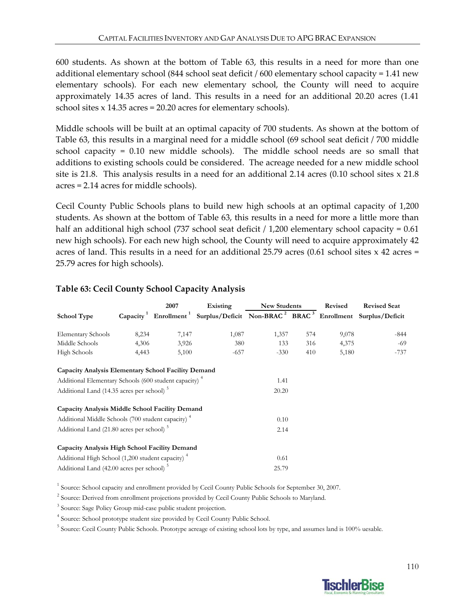600 students. As shown at the bottom of Table 63, this results in a need for more than one additional elementary school (844 school seat deficit / 600 elementary school capacity = 1.41 new elementary schools). For each new elementary school, the County will need to acquire approximately 14.35 acres of land. This results in a need for an additional 20.20 acres (1.41 school sites x 14.35 acres = 20.20 acres for elementary schools).

Middle schools will be built at an optimal capacity of 700 students. As shown at the bottom of Table 63, this results in a marginal need for a middle school (69 school seat deficit / 700 middle school capacity =  $0.10$  new middle schools). The middle school needs are so small that additions to existing schools could be considered. The acreage needed for a new middle school site is 21.8. This analysis results in a need for an additional 2.14 acres (0.10 school sites x 21.8) acres = 2.14 acres for middle schools).

Cecil County Public Schools plans to build new high schools at an optimal capacity of 1,200 students. As shown at the bottom of Table 63, this results in a need for more a little more than half an additional high school (737 school seat deficit  $/1,200$  elementary school capacity = 0.61 new high schools). For each new high school, the County will need to acquire approximately 42 acres of land. This results in a need for an additional 25.79 acres (0.61 school sites x 42 acres = 25.79 acres for high schools).

|                                                                   |       | 2007  | Existing                                                                                                                         | <b>New Students</b> |     | Revised | <b>Revised Seat</b> |
|-------------------------------------------------------------------|-------|-------|----------------------------------------------------------------------------------------------------------------------------------|---------------------|-----|---------|---------------------|
| <b>School Type</b>                                                |       |       | Capacity <sup>1</sup> Enrollment <sup>1</sup> Surplus/Deficit Non-BRAC <sup>2</sup> BRAC <sup>3</sup> Enrollment Surplus/Deficit |                     |     |         |                     |
| Elementary Schools                                                | 8,234 | 7,147 | 1,087                                                                                                                            | 1,357               | 574 | 9,078   | $-844$              |
| Middle Schools                                                    | 4,306 | 3,926 | 380                                                                                                                              | 133                 | 316 | 4,375   | $-69$               |
| High Schools                                                      | 4,443 | 5,100 | $-657$                                                                                                                           | $-330$              | 410 | 5,180   | $-737$              |
| Capacity Analysis Elementary School Facility Demand               |       |       |                                                                                                                                  |                     |     |         |                     |
| Additional Elementary Schools (600 student capacity) <sup>4</sup> |       |       |                                                                                                                                  | 1.41                |     |         |                     |
| Additional Land (14.35 acres per school) <sup>5</sup>             |       |       |                                                                                                                                  | 20.20               |     |         |                     |
| Capacity Analysis Middle School Facility Demand                   |       |       |                                                                                                                                  |                     |     |         |                     |
| Additional Middle Schools (700 student capacity) <sup>4</sup>     |       |       |                                                                                                                                  | 0.10                |     |         |                     |
| Additional Land (21.80 acres per school) <sup>5</sup>             |       |       |                                                                                                                                  | 2.14                |     |         |                     |
| Capacity Analysis High School Facility Demand                     |       |       |                                                                                                                                  |                     |     |         |                     |
| Additional High School (1,200 student capacity) <sup>4</sup>      |       |       |                                                                                                                                  | 0.61                |     |         |                     |
| Additional Land (42.00 acres per school) <sup>5</sup>             |       |       |                                                                                                                                  | 25.79               |     |         |                     |

### **Table 63: Cecil County School Capacity Analysis**

<sup>1</sup> Source: School capacity and enrollment provided by Cecil County Public Schools for September 30, 2007.

<sup>2</sup> Source: Derived from enrollment projections provided by Cecil County Public Schools to Maryland.

<sup>3</sup> Source: Sage Policy Group mid-case public student projection.

<sup>4</sup> Source: School prototype student size provided by Cecil County Public School.

<sup>5</sup> Source: Cecil County Public Schools. Prototype acreage of existing school lots by type, and assumes land is 100% uesable.

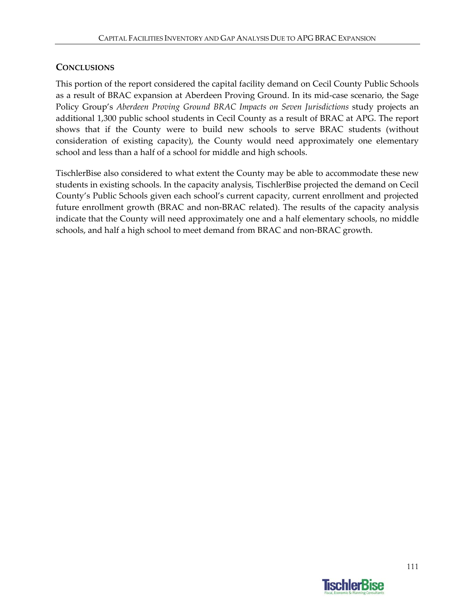### **CONCLUSIONS**

This portion of the report considered the capital facility demand on Cecil County Public Schools as a result of BRAC expansion at Aberdeen Proving Ground. In its mid‐case scenario, the Sage Policy Group's *Aberdeen Proving Ground BRAC Impacts on Seven Jurisdictions* study projects an additional 1,300 public school students in Cecil County as a result of BRAC at APG. The report shows that if the County were to build new schools to serve BRAC students (without consideration of existing capacity), the County would need approximately one elementary school and less than a half of a school for middle and high schools.

TischlerBise also considered to what extent the County may be able to accommodate these new students in existing schools. In the capacity analysis, TischlerBise projected the demand on Cecil County's Public Schools given each school's current capacity, current enrollment and projected future enrollment growth (BRAC and non‐BRAC related). The results of the capacity analysis indicate that the County will need approximately one and a half elementary schools, no middle schools, and half a high school to meet demand from BRAC and non‐BRAC growth.

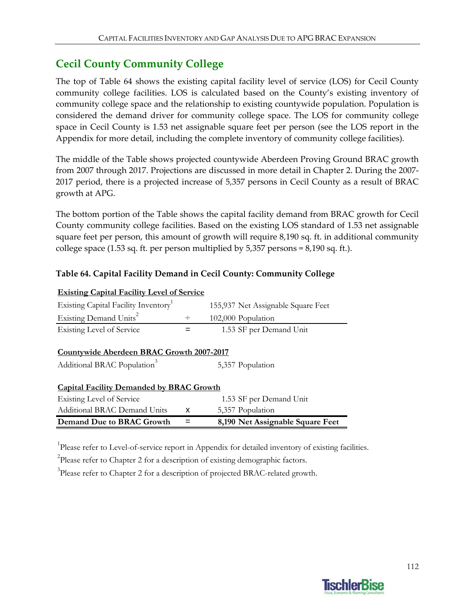## **Cecil County Community College**

The top of Table 64 shows the existing capital facility level of service (LOS) for Cecil County community college facilities. LOS is calculated based on the County's existing inventory of community college space and the relationship to existing countywide population. Population is considered the demand driver for community college space. The LOS for community college space in Cecil County is 1.53 net assignable square feet per person (see the LOS report in the Appendix for more detail, including the complete inventory of community college facilities).

The middle of the Table shows projected countywide Aberdeen Proving Ground BRAC growth from 2007 through 2017. Projections are discussed in more detail in Chapter 2. During the 2007‐ 2017 period, there is a projected increase of 5,357 persons in Cecil County as a result of BRAC growth at APG.

The bottom portion of the Table shows the capital facility demand from BRAC growth for Cecil County community college facilities. Based on the existing LOS standard of 1.53 net assignable square feet per person, this amount of growth will require 8,190 sq. ft. in additional community college space  $(1.53 \text{ sq. ft. per person multiplied by } 5.357 \text{ persons} = 8.190 \text{ sq. ft.}).$ 

### **Table 64. Capital Facility Demand in Cecil County: Community College**

| <b>Existing Capital Facility Level of Service</b>                                    |        |                                    |
|--------------------------------------------------------------------------------------|--------|------------------------------------|
| Existing Capital Facility Inventory                                                  |        | 155,937 Net Assignable Square Feet |
| Existing Demand Units <sup>2</sup>                                                   | $\div$ | 102,000 Population                 |
| Existing Level of Service                                                            |        | 1.53 SF per Demand Unit            |
| Countywide Aberdeen BRAC Growth 2007-2017<br>Additional BRAC Population <sup>3</sup> |        | 5,357 Population                   |
| <b>Capital Facility Demanded by BRAC Growth</b>                                      |        |                                    |
| Existing Level of Service                                                            |        | 1.53 SF per Demand Unit            |
| Additional BRAC Demand Units                                                         | x      | 5,357 Population                   |
| Demand Due to BRAC Growth                                                            |        | 8,190 Net Assignable Square Feet   |

<sup>1</sup>Please refer to Level-of-service report in Appendix for detailed inventory of existing facilities.

 $2$ Please refer to Chapter 2 for a description of existing demographic factors.

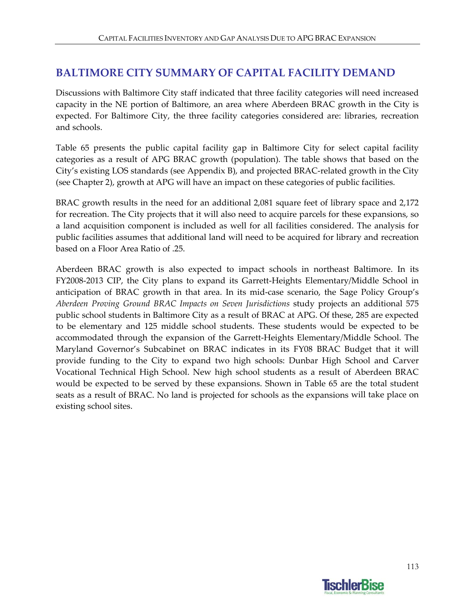## **BALTIMORE CITY SUMMARY OF CAPITAL FACILITY DEMAND**

Discussions with Baltimore City staff indicated that three facility categories will need increased capacity in the NE portion of Baltimore, an area where Aberdeen BRAC growth in the City is expected. For Baltimore City, the three facility categories considered are: libraries, recreation and schools.

Table 65 presents the public capital facility gap in Baltimore City for select capital facility categories as a result of APG BRAC growth (population). The table shows that based on the City's existing LOS standards (see Appendix B), and projected BRAC‐related growth in the City (see Chapter 2), growth at APG will have an impact on these categories of public facilities.

BRAC growth results in the need for an additional 2,081 square feet of library space and 2,172 for recreation. The City projects that it will also need to acquire parcels for these expansions, so a land acquisition component is included as well for all facilities considered. The analysis for public facilities assumes that additional land will need to be acquired for library and recreation based on a Floor Area Ratio of .25.

Aberdeen BRAC growth is also expected to impact schools in northeast Baltimore. In its FY2008‐2013 CIP, the City plans to expand its Garrett‐Heights Elementary/Middle School in anticipation of BRAC growth in that area. In its mid‐case scenario, the Sage Policy Group's *Aberdeen Proving Ground BRAC Impacts on Seven Jurisdictions* study projects an additional 575 public school students in Baltimore City as a result of BRAC at APG. Of these, 285 are expected to be elementary and 125 middle school students. These students would be expected to be accommodated through the expansion of the Garrett‐Heights Elementary/Middle School. The Maryland Governor's Subcabinet on BRAC indicates in its FY08 BRAC Budget that it will provide funding to the City to expand two high schools: Dunbar High School and Carver Vocational Technical High School. New high school students as a result of Aberdeen BRAC would be expected to be served by these expansions. Shown in Table 65 are the total student seats as a result of BRAC. No land is projected for schools as the expansions will take place on existing school sites.

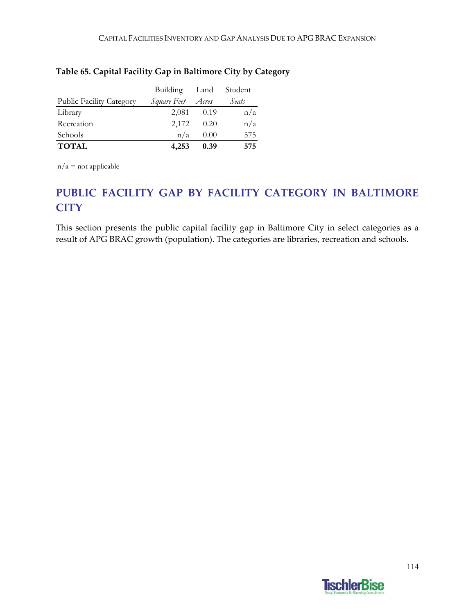### **Table 65. Capital Facility Gap in Baltimore City by Category**

|                                 | Building Land            |      | Student |
|---------------------------------|--------------------------|------|---------|
| <b>Public Facility Category</b> | <i>Square Feet Acres</i> |      | Seats   |
| Library                         | 2,081                    | 0.19 | n/a     |
| Recreation                      | 2,172                    | 0.20 | n/a     |
| Schools                         | n/a                      | 0.00 | 575     |
| <b>TOTAL</b>                    | 4,253                    | 0.39 | 575     |

 $n/a$  = not applicable

# **PUBLIC FACILITY GAP BY FACILITY CATEGORY IN BALTIMORE CITY**

This section presents the public capital facility gap in Baltimore City in select categories as a result of APG BRAC growth (population). The categories are libraries, recreation and schools.

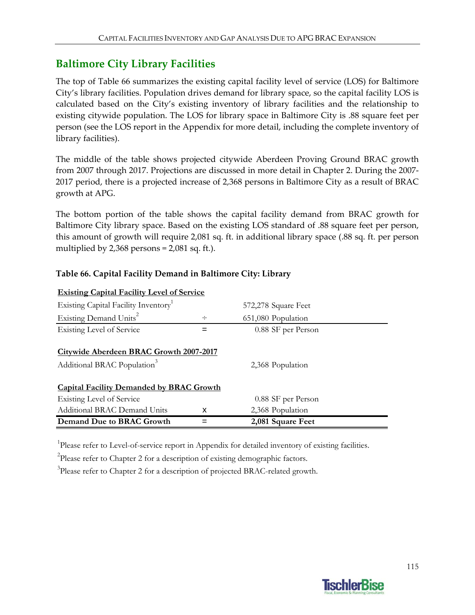## **Baltimore City Library Facilities**

The top of Table 66 summarizes the existing capital facility level of service (LOS) for Baltimore City's library facilities. Population drives demand for library space, so the capital facility LOS is calculated based on the City's existing inventory of library facilities and the relationship to existing citywide population. The LOS for library space in Baltimore City is .88 square feet per person (see the LOS report in the Appendix for more detail, including the complete inventory of library facilities).

The middle of the table shows projected citywide Aberdeen Proving Ground BRAC growth from 2007 through 2017. Projections are discussed in more detail in Chapter 2. During the 2007‐ 2017 period, there is a projected increase of 2,368 persons in Baltimore City as a result of BRAC growth at APG.

The bottom portion of the table shows the capital facility demand from BRAC growth for Baltimore City library space. Based on the existing LOS standard of .88 square feet per person, this amount of growth will require 2,081 sq. ft. in additional library space (.88 sq. ft. per person multiplied by  $2,368$  persons =  $2,081$  sq. ft.).

| <b>Existing Capital Facility Level of Service</b>                                  |        |                     |  |  |  |
|------------------------------------------------------------------------------------|--------|---------------------|--|--|--|
| Existing Capital Facility Inventory <sup>1</sup>                                   |        | 572,278 Square Feet |  |  |  |
| Existing Demand Units <sup>2</sup>                                                 | $\div$ | 651,080 Population  |  |  |  |
| Existing Level of Service                                                          |        | 0.88 SF per Person  |  |  |  |
| Citywide Aberdeen BRAC Growth 2007-2017<br>Additional BRAC Population <sup>3</sup> |        | 2,368 Population    |  |  |  |
| <b>Capital Facility Demanded by BRAC Growth</b>                                    |        |                     |  |  |  |
| Existing Level of Service                                                          |        | 0.88 SF per Person  |  |  |  |
| <b>Additional BRAC Demand Units</b>                                                | x      | 2,368 Population    |  |  |  |
| Demand Due to BRAC Growth                                                          |        | 2,081 Square Feet   |  |  |  |

#### **Table 66. Capital Facility Demand in Baltimore City: Library**

<sup>1</sup>Please refer to Level-of-service report in Appendix for detailed inventory of existing facilities.

 $2$ Please refer to Chapter 2 for a description of existing demographic factors.

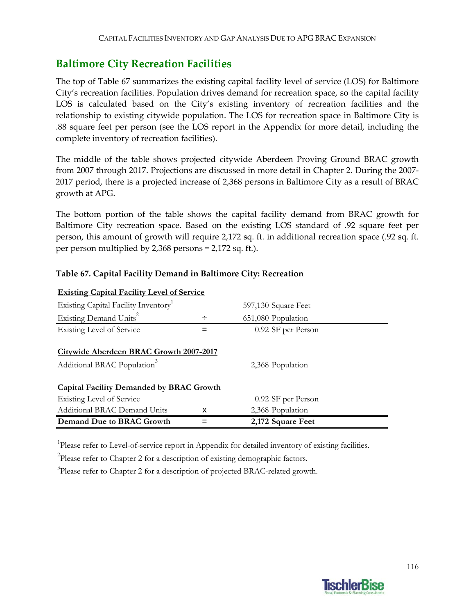## **Baltimore City Recreation Facilities**

The top of Table 67 summarizes the existing capital facility level of service (LOS) for Baltimore City's recreation facilities. Population drives demand for recreation space, so the capital facility LOS is calculated based on the City's existing inventory of recreation facilities and the relationship to existing citywide population. The LOS for recreation space in Baltimore City is .88 square feet per person (see the LOS report in the Appendix for more detail, including the complete inventory of recreation facilities).

The middle of the table shows projected citywide Aberdeen Proving Ground BRAC growth from 2007 through 2017. Projections are discussed in more detail in Chapter 2. During the 2007‐ 2017 period, there is a projected increase of 2,368 persons in Baltimore City as a result of BRAC growth at APG.

The bottom portion of the table shows the capital facility demand from BRAC growth for Baltimore City recreation space. Based on the existing LOS standard of .92 square feet per person, this amount of growth will require 2,172 sq. ft. in additional recreation space (.92 sq. ft. per person multiplied by 2,368 persons = 2,172 sq. ft.).

| <b>Existing Capital Facility Level of Service</b>                                         |   |                     |  |  |  |
|-------------------------------------------------------------------------------------------|---|---------------------|--|--|--|
| Existing Capital Facility Inventory                                                       |   | 597,130 Square Feet |  |  |  |
| Existing Demand Units <sup>2</sup>                                                        | ÷ | 651,080 Population  |  |  |  |
| <b>Existing Level of Service</b>                                                          |   | 0.92 SF per Person  |  |  |  |
| <b>Citywide Aberdeen BRAC Growth 2007-2017</b><br>Additional BRAC Population <sup>3</sup> |   | 2,368 Population    |  |  |  |
| <b>Capital Facility Demanded by BRAC Growth</b>                                           |   |                     |  |  |  |
| Existing Level of Service                                                                 |   | 0.92 SF per Person  |  |  |  |
| Additional BRAC Demand Units                                                              | x | 2,368 Population    |  |  |  |
| <b>Demand Due to BRAC Growth</b>                                                          |   | 2,172 Square Feet   |  |  |  |

#### **Table 67. Capital Facility Demand in Baltimore City: Recreation**

<sup>1</sup>Please refer to Level-of-service report in Appendix for detailed inventory of existing facilities.

 $2$ Please refer to Chapter 2 for a description of existing demographic factors.

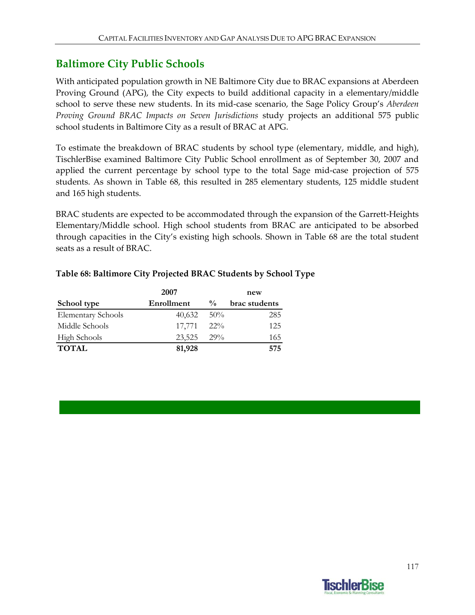## **Baltimore City Public Schools**

With anticipated population growth in NE Baltimore City due to BRAC expansions at Aberdeen Proving Ground (APG), the City expects to build additional capacity in a elementary/middle school to serve these new students. In its mid‐case scenario, the Sage Policy Group's *Aberdeen Proving Ground BRAC Impacts on Seven Jurisdictions* study projects an additional 575 public school students in Baltimore City as a result of BRAC at APG.

To estimate the breakdown of BRAC students by school type (elementary, middle, and high), TischlerBise examined Baltimore City Public School enrollment as of September 30, 2007 and applied the current percentage by school type to the total Sage mid‐case projection of 575 students. As shown in Table 68, this resulted in 285 elementary students, 125 middle student and 165 high students.

BRAC students are expected to be accommodated through the expansion of the Garrett-Heights Elementary/Middle school. High school students from BRAC are anticipated to be absorbed through capacities in the City's existing high schools. Shown in Table 68 are the total student seats as a result of BRAC.

|                           | 2007       |               | new           |  |
|---------------------------|------------|---------------|---------------|--|
| School type               | Enrollment | $\frac{0}{0}$ | brac students |  |
| <b>Elementary Schools</b> | 40,632     | 50%           | 285           |  |
| Middle Schools            | 17.771     | 22%           | 125           |  |
| <b>High Schools</b>       | 23,525     | $29\%$        | 165           |  |
| <b>TOTAL</b>              | 81,928     |               | 575           |  |

#### **Table 68: Baltimore City Projected BRAC Students by School Type**

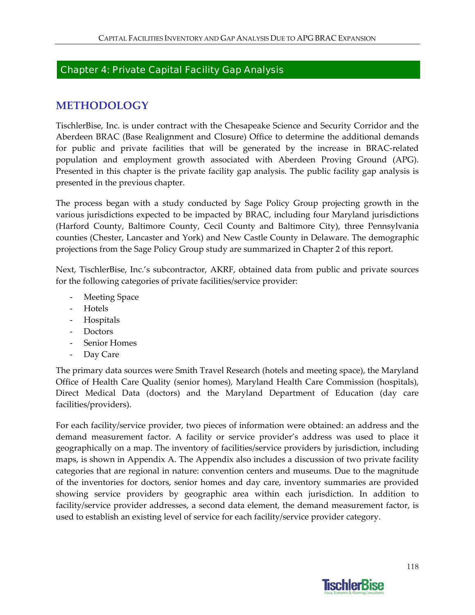### Chapter 4: Private Capital Facility Gap Analysis

### **METHODOLOGY**

TischlerBise, Inc. is under contract with the Chesapeake Science and Security Corridor and the Aberdeen BRAC (Base Realignment and Closure) Office to determine the additional demands for public and private facilities that will be generated by the increase in BRAC‐related population and employment growth associated with Aberdeen Proving Ground (APG). Presented in this chapter is the private facility gap analysis. The public facility gap analysis is presented in the previous chapter.

The process began with a study conducted by Sage Policy Group projecting growth in the various jurisdictions expected to be impacted by BRAC, including four Maryland jurisdictions (Harford County, Baltimore County, Cecil County and Baltimore City), three Pennsylvania counties (Chester, Lancaster and York) and New Castle County in Delaware. The demographic projections from the Sage Policy Group study are summarized in Chapter 2 of this report.

Next, TischlerBise, Inc.'s subcontractor, AKRF, obtained data from public and private sources for the following categories of private facilities/service provider:

- ‐ Meeting Space
- ‐ Hotels
- ‐ Hospitals
- ‐ Doctors
- ‐ Senior Homes
- ‐ Day Care

The primary data sources were Smith Travel Research (hotels and meeting space), the Maryland Office of Health Care Quality (senior homes), Maryland Health Care Commission (hospitals), Direct Medical Data (doctors) and the Maryland Department of Education (day care facilities/providers).

For each facility/service provider, two pieces of information were obtained: an address and the demand measurement factor. A facility or service provider's address was used to place it geographically on a map. The inventory of facilities/service providers by jurisdiction, including maps, is shown in Appendix A. The Appendix also includes a discussion of two private facility categories that are regional in nature: convention centers and museums. Due to the magnitude of the inventories for doctors, senior homes and day care, inventory summaries are provided showing service providers by geographic area within each jurisdiction. In addition to facility/service provider addresses, a second data element, the demand measurement factor, is used to establish an existing level of service for each facility/service provider category.

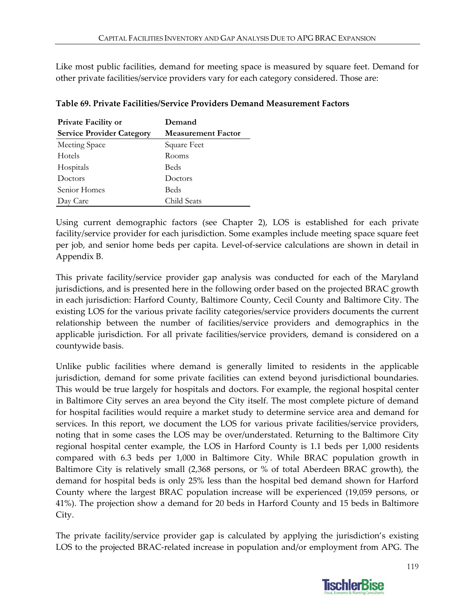Like most public facilities, demand for meeting space is measured by square feet. Demand for other private facilities/service providers vary for each category considered. Those are:

| <b>Private Facility or</b>       | Demand                    |
|----------------------------------|---------------------------|
| <b>Service Provider Category</b> | <b>Measurement Factor</b> |
| Meeting Space                    | Square Feet               |
| Hotels                           | Rooms                     |
| Hospitals                        | <b>Beds</b>               |
| Doctors                          | Doctors                   |
| Senior Homes                     | <b>Beds</b>               |
| Day Care                         | Child Seats               |

#### **Table 69. Private Facilities/Service Providers Demand Measurement Factors**

Using current demographic factors (see Chapter 2), LOS is established for each private facility/service provider for each jurisdiction. Some examples include meeting space square feet per job, and senior home beds per capita. Level‐of‐service calculations are shown in detail in Appendix B.

This private facility/service provider gap analysis was conducted for each of the Maryland jurisdictions, and is presented here in the following order based on the projected BRAC growth in each jurisdiction: Harford County, Baltimore County, Cecil County and Baltimore City. The existing LOS for the various private facility categories/service providers documents the current relationship between the number of facilities/service providers and demographics in the applicable jurisdiction. For all private facilities/service providers, demand is considered on a countywide basis.

Unlike public facilities where demand is generally limited to residents in the applicable jurisdiction, demand for some private facilities can extend beyond jurisdictional boundaries. This would be true largely for hospitals and doctors. For example, the regional hospital center in Baltimore City serves an area beyond the City itself. The most complete picture of demand for hospital facilities would require a market study to determine service area and demand for services. In this report, we document the LOS for various private facilities/service providers, noting that in some cases the LOS may be over/understated. Returning to the Baltimore City regional hospital center example, the LOS in Harford County is 1.1 beds per 1,000 residents compared with 6.3 beds per 1,000 in Baltimore City. While BRAC population growth in Baltimore City is relatively small (2,368 persons, or % of total Aberdeen BRAC growth), the demand for hospital beds is only 25% less than the hospital bed demand shown for Harford County where the largest BRAC population increase will be experienced (19,059 persons, or 41%). The projection show a demand for 20 beds in Harford County and 15 beds in Baltimore City.

The private facility/service provider gap is calculated by applying the jurisdiction's existing LOS to the projected BRAC‐related increase in population and/or employment from APG. The

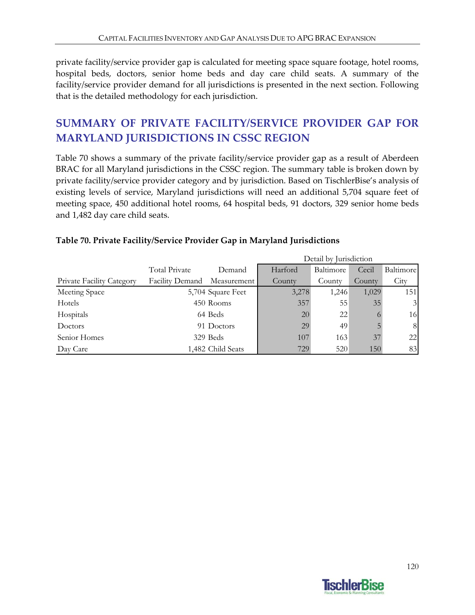private facility/service provider gap is calculated for meeting space square footage, hotel rooms, hospital beds, doctors, senior home beds and day care child seats. A summary of the facility/service provider demand for all jurisdictions is presented in the next section. Following that is the detailed methodology for each jurisdiction.

# **SUMMARY OF PRIVATE FACILITY/SERVICE PROVIDER GAP FOR MARYLAND JURISDICTIONS IN CSSC REGION**

Table 70 shows a summary of the private facility/service provider gap as a result of Aberdeen BRAC for all Maryland jurisdictions in the CSSC region. The summary table is broken down by private facility/service provider category and by jurisdiction. Based on TischlerBise's analysis of existing levels of service, Maryland jurisdictions will need an additional 5,704 square feet of meeting space, 450 additional hotel rooms, 64 hospital beds, 91 doctors, 329 senior home beds and 1,482 day care child seats.

|                                  |                 |                   | Detail by Jurisdiction |           |          |                 |
|----------------------------------|-----------------|-------------------|------------------------|-----------|----------|-----------------|
|                                  | Total Private   | Demand            | Harford                | Baltimore | Cecil    | Baltimore       |
| <b>Private Facility Category</b> | Facility Demand | Measurement       | County                 | County    | County   | City            |
| Meeting Space                    |                 | 5,704 Square Feet | 3,278                  | 1,246     | 1,029    | 151             |
| Hotels                           |                 | 450 Rooms         | 357                    | 55        | 35       | $\vert 3 \vert$ |
| Hospitals                        |                 | 64 Beds           | 20                     | 22        | $\Omega$ | 16              |
| Doctors                          |                 | 91 Doctors        | 29                     | 49        | 5        | 8               |
| Senior Homes                     |                 | 329 Beds          | 107                    | 163       | 37       | 22              |
| Day Care                         |                 | 1,482 Child Seats | 729                    | 520       | 150      | 83              |

#### **Table 70. Private Facility/Service Provider Gap in Maryland Jurisdictions**

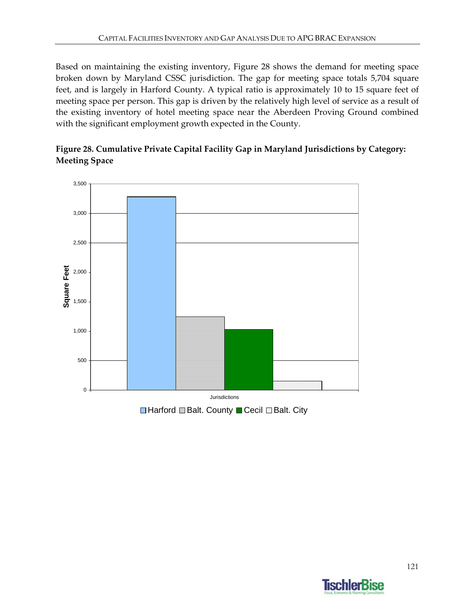Based on maintaining the existing inventory, Figure 28 shows the demand for meeting space broken down by Maryland CSSC jurisdiction. The gap for meeting space totals 5,704 square feet, and is largely in Harford County. A typical ratio is approximately 10 to 15 square feet of meeting space per person. This gap is driven by the relatively high level of service as a result of the existing inventory of hotel meeting space near the Aberdeen Proving Ground combined with the significant employment growth expected in the County.





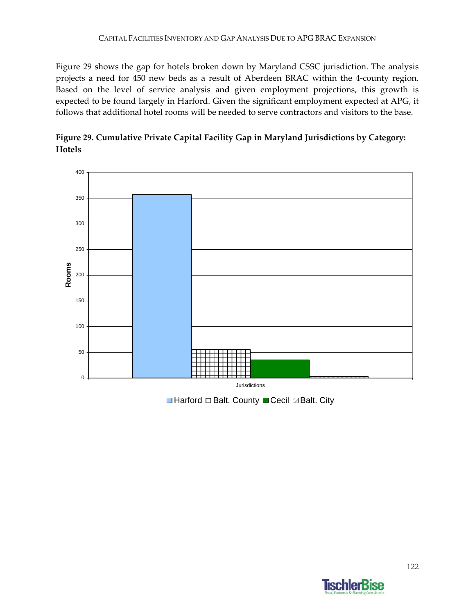Figure 29 shows the gap for hotels broken down by Maryland CSSC jurisdiction. The analysis projects a need for 450 new beds as a result of Aberdeen BRAC within the 4‐county region. Based on the level of service analysis and given employment projections, this growth is expected to be found largely in Harford. Given the significant employment expected at APG, it follows that additional hotel rooms will be needed to serve contractors and visitors to the base.





**■Harford ■Balt. County ■ Cecil ■Balt. City** 

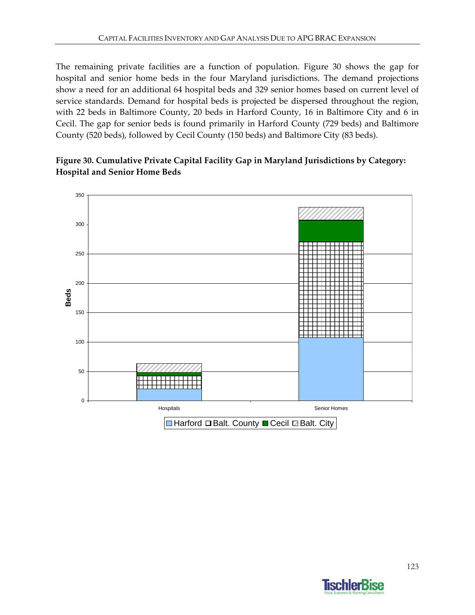The remaining private facilities are a function of population. Figure 30 shows the gap for hospital and senior home beds in the four Maryland jurisdictions. The demand projections show a need for an additional 64 hospital beds and 329 senior homes based on current level of service standards. Demand for hospital beds is projected be dispersed throughout the region, with 22 beds in Baltimore County, 20 beds in Harford County, 16 in Baltimore City and 6 in Cecil. The gap for senior beds is found primarily in Harford County (729 beds) and Baltimore County (520 beds), followed by Cecil County (150 beds) and Baltimore City (83 beds).

### **Figure 30. Cumulative Private Capital Facility Gap in Maryland Jurisdictions by Category: Hospital and Senior Home Beds**



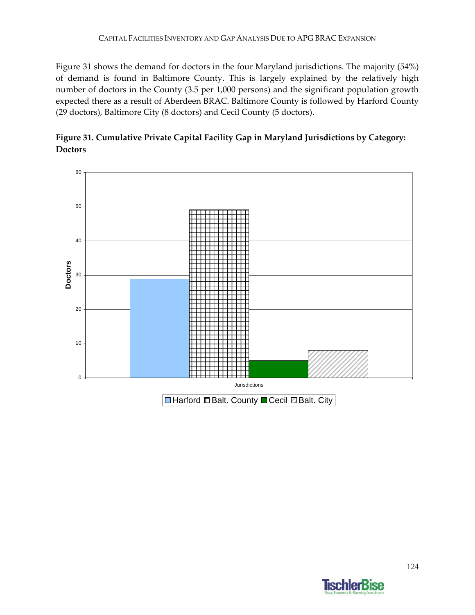Figure 31 shows the demand for doctors in the four Maryland jurisdictions. The majority (54%) of demand is found in Baltimore County. This is largely explained by the relatively high number of doctors in the County (3.5 per 1,000 persons) and the significant population growth expected there as a result of Aberdeen BRAC. Baltimore County is followed by Harford County (29 doctors), Baltimore City (8 doctors) and Cecil County (5 doctors).



**Figure 31. Cumulative Private Capital Facility Gap in Maryland Jurisdictions by Category: Doctors**

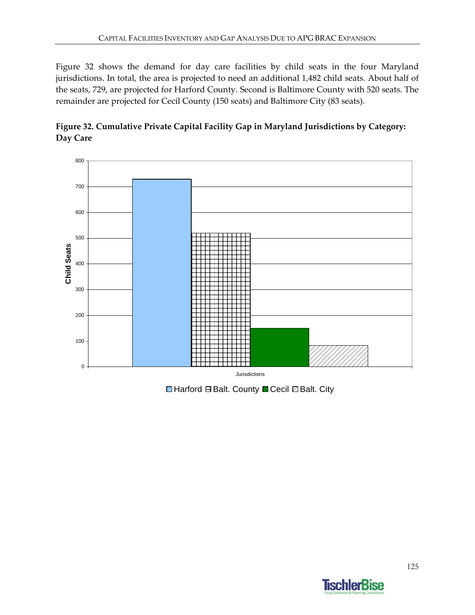Figure 32 shows the demand for day care facilities by child seats in the four Maryland jurisdictions. In total, the area is projected to need an additional 1,482 child seats. About half of the seats, 729, are projected for Harford County. Second is Baltimore County with 520 seats. The remainder are projected for Cecil County (150 seats) and Baltimore City (83 seats).





**■Harford BBalt. County ■Cecil ■Balt. City** 

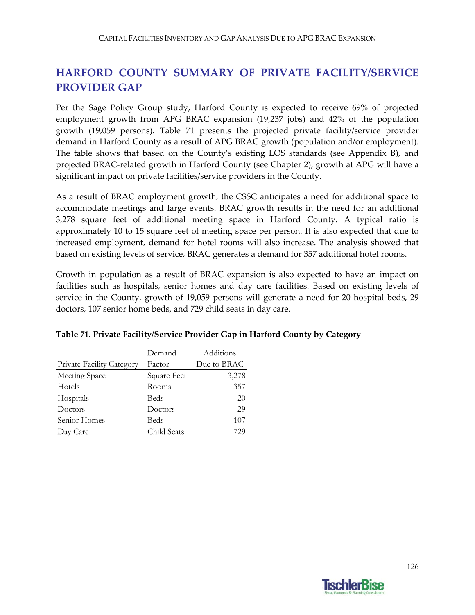## **HARFORD COUNTY SUMMARY OF PRIVATE FACILITY/SERVICE PROVIDER GAP**

Per the Sage Policy Group study, Harford County is expected to receive 69% of projected employment growth from APG BRAC expansion (19,237 jobs) and 42% of the population growth (19,059 persons). Table 71 presents the projected private facility/service provider demand in Harford County as a result of APG BRAC growth (population and/or employment). The table shows that based on the County's existing LOS standards (see Appendix B), and projected BRAC‐related growth in Harford County (see Chapter 2), growth at APG will have a significant impact on private facilities/service providers in the County.

As a result of BRAC employment growth, the CSSC anticipates a need for additional space to accommodate meetings and large events. BRAC growth results in the need for an additional 3,278 square feet of additional meeting space in Harford County. A typical ratio is approximately 10 to 15 square feet of meeting space per person. It is also expected that due to increased employment, demand for hotel rooms will also increase. The analysis showed that based on existing levels of service, BRAC generates a demand for 357 additional hotel rooms.

Growth in population as a result of BRAC expansion is also expected to have an impact on facilities such as hospitals, senior homes and day care facilities. Based on existing levels of service in the County, growth of 19,059 persons will generate a need for 20 hospital beds, 29 doctors, 107 senior home beds, and 729 child seats in day care.

|                                  | Demand      | Additions   |
|----------------------------------|-------------|-------------|
| <b>Private Facility Category</b> | Factor      | Due to BRAC |
| Meeting Space                    | Square Feet | 3,278       |
| Hotels                           | Rooms       | 357         |
| Hospitals                        | Beds        | 20          |
| Doctors                          | Doctors     | 29          |
| Senior Homes                     | Beds        | 107         |
| Day Care                         | Child Seats | 729         |

### **Table 71. Private Facility/Service Provider Gap in Harford County by Category**

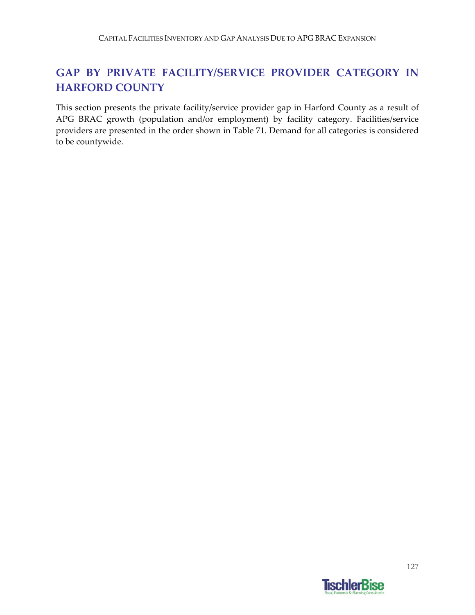# **GAP BY PRIVATE FACILITY/SERVICE PROVIDER CATEGORY IN HARFORD COUNTY**

This section presents the private facility/service provider gap in Harford County as a result of APG BRAC growth (population and/or employment) by facility category. Facilities/service providers are presented in the order shown in Table 71. Demand for all categories is considered to be countywide.

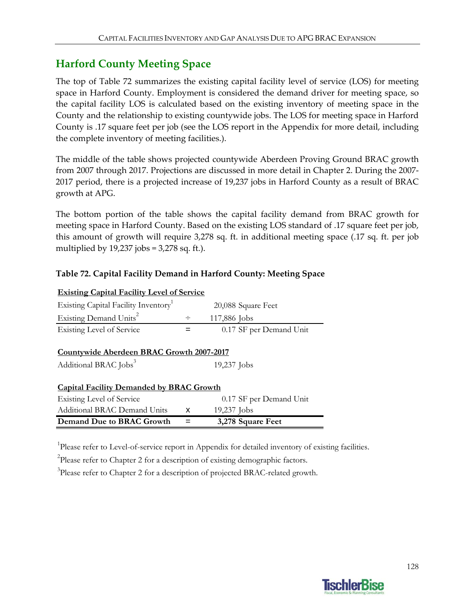### **Harford County Meeting Space**

The top of Table 72 summarizes the existing capital facility level of service (LOS) for meeting space in Harford County. Employment is considered the demand driver for meeting space, so the capital facility LOS is calculated based on the existing inventory of meeting space in the County and the relationship to existing countywide jobs. The LOS for meeting space in Harford County is .17 square feet per job (see the LOS report in the Appendix for more detail, including the complete inventory of meeting facilities.).

The middle of the table shows projected countywide Aberdeen Proving Ground BRAC growth from 2007 through 2017. Projections are discussed in more detail in Chapter 2. During the 2007‐ 2017 period, there is a projected increase of 19,237 jobs in Harford County as a result of BRAC growth at APG.

The bottom portion of the table shows the capital facility demand from BRAC growth for meeting space in Harford County. Based on the existing LOS standard of .17 square feet per job, this amount of growth will require 3,278 sq. ft. in additional meeting space (.17 sq. ft. per job multiplied by  $19,237$  jobs = 3,278 sq. ft.).

### **Table 72. Capital Facility Demand in Harford County: Meeting Space**

| <b>Existing Capital Facility Level of Service</b>                              |        |                         |
|--------------------------------------------------------------------------------|--------|-------------------------|
| Existing Capital Facility Inventory <sup>1</sup>                               |        | 20,088 Square Feet      |
| Existing Demand Units <sup>2</sup>                                             | $\div$ | 117,886 Jobs            |
| Existing Level of Service                                                      |        | 0.17 SF per Demand Unit |
| Countywide Aberdeen BRAC Growth 2007-2017<br>Additional BRAC Jobs <sup>3</sup> |        | 19,237 Jobs             |
| <b>Capital Facility Demanded by BRAC Growth</b><br>Existing Level of Service   |        | 0.17 SF per Demand Unit |
| <b>Additional BRAC Demand Units</b>                                            | x      | 19,237 Jobs             |
| Demand Due to BRAC Growth                                                      |        | 3,278 Square Feet       |

<sup>1</sup>Please refer to Level-of-service report in Appendix for detailed inventory of existing facilities.

 $2$ Please refer to Chapter 2 for a description of existing demographic factors.

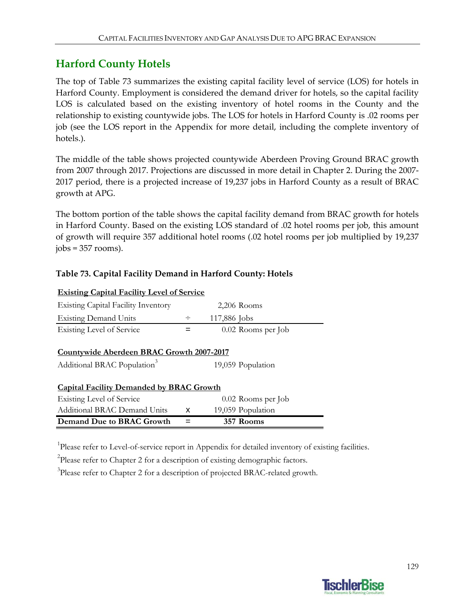## **Harford County Hotels**

The top of Table 73 summarizes the existing capital facility level of service (LOS) for hotels in Harford County. Employment is considered the demand driver for hotels, so the capital facility LOS is calculated based on the existing inventory of hotel rooms in the County and the relationship to existing countywide jobs. The LOS for hotels in Harford County is .02 rooms per job (see the LOS report in the Appendix for more detail, including the complete inventory of hotels.).

The middle of the table shows projected countywide Aberdeen Proving Ground BRAC growth from 2007 through 2017. Projections are discussed in more detail in Chapter 2. During the 2007‐ 2017 period, there is a projected increase of 19,237 jobs in Harford County as a result of BRAC growth at APG.

The bottom portion of the table shows the capital facility demand from BRAC growth for hotels in Harford County. Based on the existing LOS standard of .02 hotel rooms per job, this amount of growth will require 357 additional hotel rooms (.02 hotel rooms per job multiplied by 19,237  $jobs = 357$  rooms).

### **Table 73. Capital Facility Demand in Harford County: Hotels**

| <b>Existing Capital Facility Level of Service</b> |   |                    |  |
|---------------------------------------------------|---|--------------------|--|
| <b>Existing Capital Facility Inventory</b>        |   | $2,206$ Rooms      |  |
| <b>Existing Demand Units</b>                      | ÷ | 117,886 Jobs       |  |
| <b>Existing Level of Service</b>                  |   | 0.02 Rooms per Job |  |
|                                                   |   |                    |  |
| <b>Countywide Aberdeen BRAC Growth 2007-2017</b>  |   |                    |  |
| Additional BRAC Population <sup>3</sup>           |   | 19,059 Population  |  |
|                                                   |   |                    |  |
| <b>Capital Facility Demanded by BRAC Growth</b>   |   |                    |  |
| <b>Existing Level of Service</b>                  |   | 0.02 Rooms per Job |  |
| Additional BRAC Demand Units                      | x | 19,059 Population  |  |
| Demand Due to BRAC Growth                         |   | 357 Rooms          |  |

<sup>1</sup>Please refer to Level-of-service report in Appendix for detailed inventory of existing facilities.

 $2$ Please refer to Chapter 2 for a description of existing demographic factors.

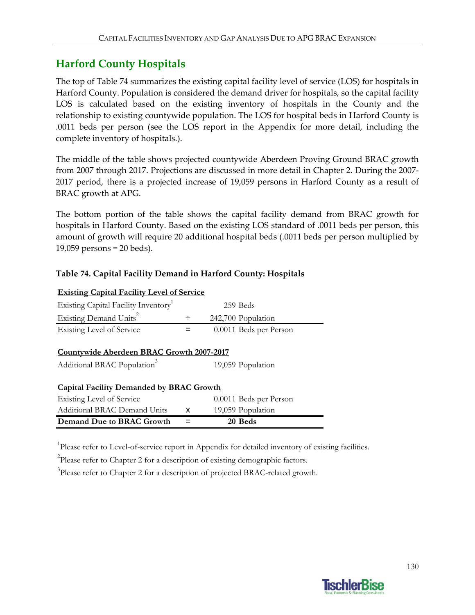## **Harford County Hospitals**

The top of Table 74 summarizes the existing capital facility level of service (LOS) for hospitals in Harford County. Population is considered the demand driver for hospitals, so the capital facility LOS is calculated based on the existing inventory of hospitals in the County and the relationship to existing countywide population. The LOS for hospital beds in Harford County is .0011 beds per person (see the LOS report in the Appendix for more detail, including the complete inventory of hospitals.).

The middle of the table shows projected countywide Aberdeen Proving Ground BRAC growth from 2007 through 2017. Projections are discussed in more detail in Chapter 2. During the 2007‐ 2017 period, there is a projected increase of 19,059 persons in Harford County as a result of BRAC growth at APG.

The bottom portion of the table shows the capital facility demand from BRAC growth for hospitals in Harford County. Based on the existing LOS standard of .0011 beds per person, this amount of growth will require 20 additional hospital beds (.0011 beds per person multiplied by 19,059 persons = 20 beds).

### **Table 74. Capital Facility Demand in Harford County: Hospitals**

| <b>Existing Capital Facility Level of Service</b> |   |                        |  |
|---------------------------------------------------|---|------------------------|--|
| Existing Capital Facility Inventory <sup>1</sup>  |   | 259 Beds               |  |
| Existing Demand Units <sup>2</sup>                | ÷ | 242,700 Population     |  |
| <b>Existing Level of Service</b>                  |   | 0.0011 Beds per Person |  |
|                                                   |   |                        |  |
| Countywide Aberdeen BRAC Growth 2007-2017         |   |                        |  |
| Additional BRAC Population <sup>3</sup>           |   | 19,059 Population      |  |
|                                                   |   |                        |  |
| <b>Capital Facility Demanded by BRAC Growth</b>   |   |                        |  |
| Existing Level of Service                         |   | 0.0011 Beds per Person |  |
| <b>Additional BRAC Demand Units</b>               | x | 19,059 Population      |  |
| Demand Due to BRAC Growth                         |   | 20 Beds                |  |

<sup>1</sup>Please refer to Level-of-service report in Appendix for detailed inventory of existing facilities.

 $2$ Please refer to Chapter 2 for a description of existing demographic factors.

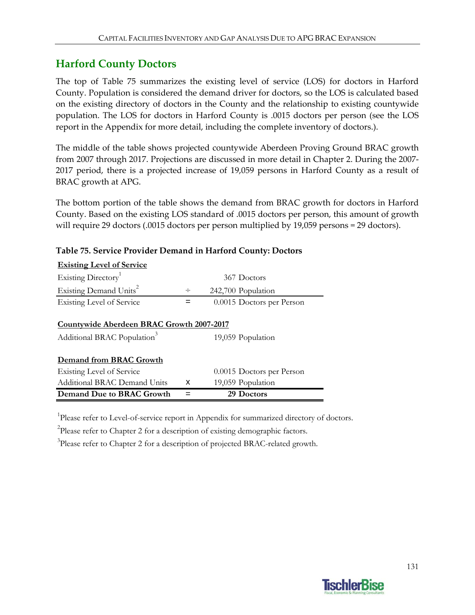### **Harford County Doctors**

The top of Table 75 summarizes the existing level of service (LOS) for doctors in Harford County. Population is considered the demand driver for doctors, so the LOS is calculated based on the existing directory of doctors in the County and the relationship to existing countywide population. The LOS for doctors in Harford County is .0015 doctors per person (see the LOS report in the Appendix for more detail, including the complete inventory of doctors.).

The middle of the table shows projected countywide Aberdeen Proving Ground BRAC growth from 2007 through 2017. Projections are discussed in more detail in Chapter 2. During the 2007‐ 2017 period, there is a projected increase of 19,059 persons in Harford County as a result of BRAC growth at APG.

The bottom portion of the table shows the demand from BRAC growth for doctors in Harford County. Based on the existing LOS standard of .0015 doctors per person, this amount of growth will require 29 doctors (.0015 doctors per person multiplied by 19,059 persons = 29 doctors).

| <b>Existing Level of Service</b>          |   |                           |
|-------------------------------------------|---|---------------------------|
| Existing Directory <sup>1</sup>           |   | 367 Doctors               |
| Existing Demand Units <sup>2</sup>        | ÷ | 242,700 Population        |
| <b>Existing Level of Service</b>          |   | 0.0015 Doctors per Person |
|                                           |   |                           |
| Countywide Aberdeen BRAC Growth 2007-2017 |   |                           |
| Additional BRAC Population <sup>3</sup>   |   | 19,059 Population         |
| Demand from BRAC Growth                   |   |                           |
| <b>Existing Level of Service</b>          |   | 0.0015 Doctors per Person |
| Additional BRAC Demand Units              | x | 19,059 Population         |
| Demand Due to BRAC Growth                 |   | 29 Doctors                |

#### **Table 75. Service Provider Demand in Harford County: Doctors**

<sup>1</sup>Please refer to Level-of-service report in Appendix for summarized directory of doctors.

<sup>2</sup>Please refer to Chapter 2 for a description of existing demographic factors.

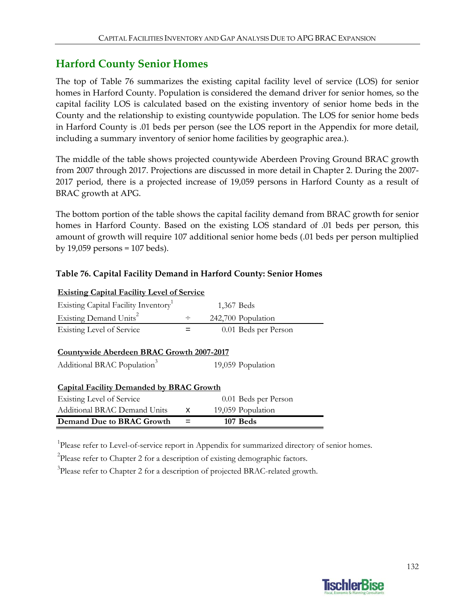### **Harford County Senior Homes**

The top of Table 76 summarizes the existing capital facility level of service (LOS) for senior homes in Harford County. Population is considered the demand driver for senior homes, so the capital facility LOS is calculated based on the existing inventory of senior home beds in the County and the relationship to existing countywide population. The LOS for senior home beds in Harford County is .01 beds per person (see the LOS report in the Appendix for more detail, including a summary inventory of senior home facilities by geographic area.).

The middle of the table shows projected countywide Aberdeen Proving Ground BRAC growth from 2007 through 2017. Projections are discussed in more detail in Chapter 2. During the 2007‐ 2017 period, there is a projected increase of 19,059 persons in Harford County as a result of BRAC growth at APG.

The bottom portion of the table shows the capital facility demand from BRAC growth for senior homes in Harford County. Based on the existing LOS standard of .01 beds per person, this amount of growth will require 107 additional senior home beds (.01 beds per person multiplied by 19,059 persons = 107 beds).

### **Table 76. Capital Facility Demand in Harford County: Senior Homes**

| <b>Existing Capital Facility Level of Service</b>                                    |        |                      |
|--------------------------------------------------------------------------------------|--------|----------------------|
| Existing Capital Facility Inventory <sup>1</sup>                                     |        | 1,367 Beds           |
| Existing Demand Units <sup>2</sup>                                                   | $\div$ | 242,700 Population   |
| <b>Existing Level of Service</b>                                                     |        | 0.01 Beds per Person |
| Countywide Aberdeen BRAC Growth 2007-2017<br>Additional BRAC Population <sup>3</sup> |        | 19,059 Population    |
| <b>Capital Facility Demanded by BRAC Growth</b><br>Existing Level of Service         |        | 0.01 Beds per Person |
| <b>Additional BRAC Demand Units</b>                                                  | x      | 19,059 Population    |
| Demand Due to BRAC Growth                                                            |        | 107 Beds             |

<sup>1</sup>Please refer to Level-of-service report in Appendix for summarized directory of senior homes.

 $2$ Please refer to Chapter 2 for a description of existing demographic factors.

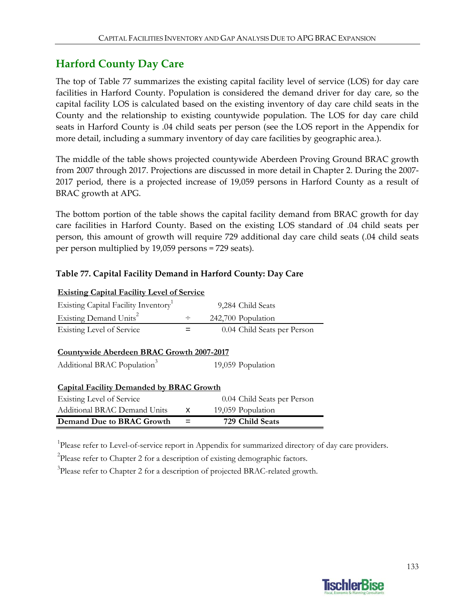### **Harford County Day Care**

The top of Table 77 summarizes the existing capital facility level of service (LOS) for day care facilities in Harford County. Population is considered the demand driver for day care, so the capital facility LOS is calculated based on the existing inventory of day care child seats in the County and the relationship to existing countywide population. The LOS for day care child seats in Harford County is .04 child seats per person (see the LOS report in the Appendix for more detail, including a summary inventory of day care facilities by geographic area.).

The middle of the table shows projected countywide Aberdeen Proving Ground BRAC growth from 2007 through 2017. Projections are discussed in more detail in Chapter 2. During the 2007‐ 2017 period, there is a projected increase of 19,059 persons in Harford County as a result of BRAC growth at APG.

The bottom portion of the table shows the capital facility demand from BRAC growth for day care facilities in Harford County. Based on the existing LOS standard of .04 child seats per person, this amount of growth will require 729 additional day care child seats (.04 child seats per person multiplied by 19,059 persons = 729 seats).

### **Table 77. Capital Facility Demand in Harford County: Day Care**

| <b>Existing Capital Facility Level of Service</b>                                    |   |                             |
|--------------------------------------------------------------------------------------|---|-----------------------------|
| Existing Capital Facility Inventory                                                  |   | 9,284 Child Seats           |
| Existing Demand Units <sup>2</sup>                                                   | ÷ | 242,700 Population          |
| <b>Existing Level of Service</b>                                                     |   | 0.04 Child Seats per Person |
| Countywide Aberdeen BRAC Growth 2007-2017<br>Additional BRAC Population <sup>3</sup> |   | 19,059 Population           |
| <b>Capital Facility Demanded by BRAC Growth</b><br><b>Existing Level of Service</b>  |   | 0.04 Child Seats per Person |
| <b>Additional BRAC Demand Units</b>                                                  | x | 19,059 Population           |
| Demand Due to BRAC Growth                                                            |   | 729 Child Seats             |

<sup>1</sup>Please refer to Level-of-service report in Appendix for summarized directory of day care providers.

 $2$ Please refer to Chapter 2 for a description of existing demographic factors.

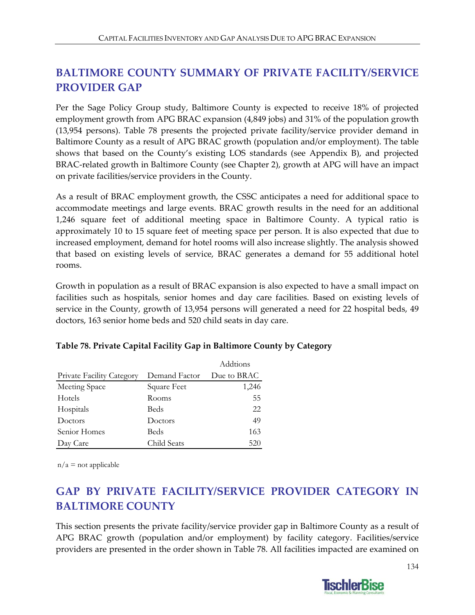# **BALTIMORE COUNTY SUMMARY OF PRIVATE FACILITY/SERVICE PROVIDER GAP**

Per the Sage Policy Group study, Baltimore County is expected to receive 18% of projected employment growth from APG BRAC expansion (4,849 jobs) and 31% of the population growth (13,954 persons). Table 78 presents the projected private facility/service provider demand in Baltimore County as a result of APG BRAC growth (population and/or employment). The table shows that based on the County's existing LOS standards (see Appendix B), and projected BRAC-related growth in Baltimore County (see Chapter 2), growth at APG will have an impact on private facilities/service providers in the County.

As a result of BRAC employment growth, the CSSC anticipates a need for additional space to accommodate meetings and large events. BRAC growth results in the need for an additional 1,246 square feet of additional meeting space in Baltimore County. A typical ratio is approximately 10 to 15 square feet of meeting space per person. It is also expected that due to increased employment, demand for hotel rooms will also increase slightly. The analysis showed that based on existing levels of service, BRAC generates a demand for 55 additional hotel rooms.

Growth in population as a result of BRAC expansion is also expected to have a small impact on facilities such as hospitals, senior homes and day care facilities. Based on existing levels of service in the County, growth of 13,954 persons will generated a need for 22 hospital beds, 49 doctors, 163 senior home beds and 520 child seats in day care.

|                                  |               | Addtions    |
|----------------------------------|---------------|-------------|
| <b>Private Facility Category</b> | Demand Factor | Due to BRAC |
| Meeting Space                    | Square Feet   | 1,246       |
| Hotels                           | Rooms         | 55          |
| Hospitals                        | Beds          | 22          |
| Doctors                          | Doctors       | 49          |
| Senior Homes                     | Beds          | 163         |
| Day Care                         | Child Seats   | 520         |

### **Table 78. Private Capital Facility Gap in Baltimore County by Category**

 $n/a$  = not applicable

# **GAP BY PRIVATE FACILITY/SERVICE PROVIDER CATEGORY IN BALTIMORE COUNTY**

This section presents the private facility/service provider gap in Baltimore County as a result of APG BRAC growth (population and/or employment) by facility category. Facilities/service providers are presented in the order shown in Table 78. All facilities impacted are examined on

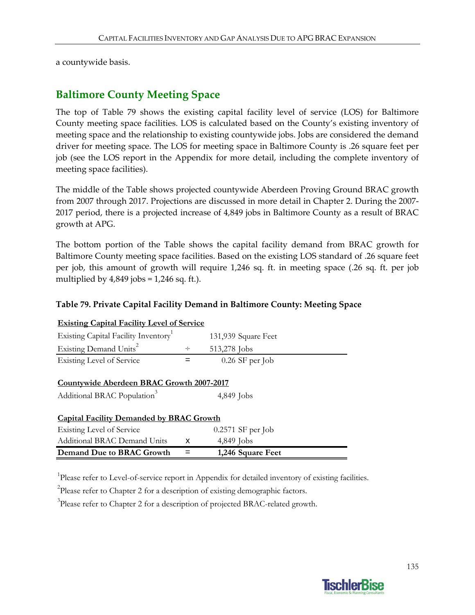a countywide basis.

### **Baltimore County Meeting Space**

The top of Table 79 shows the existing capital facility level of service (LOS) for Baltimore County meeting space facilities. LOS is calculated based on the County's existing inventory of meeting space and the relationship to existing countywide jobs. Jobs are considered the demand driver for meeting space. The LOS for meeting space in Baltimore County is .26 square feet per job (see the LOS report in the Appendix for more detail, including the complete inventory of meeting space facilities).

The middle of the Table shows projected countywide Aberdeen Proving Ground BRAC growth from 2007 through 2017. Projections are discussed in more detail in Chapter 2. During the 2007-2017 period, there is a projected increase of 4,849 jobs in Baltimore County as a result of BRAC growth at APG.

The bottom portion of the Table shows the capital facility demand from BRAC growth for Baltimore County meeting space facilities. Based on the existing LOS standard of .26 square feet per job, this amount of growth will require 1,246 sq. ft. in meeting space (.26 sq. ft. per job multiplied by  $4,849$  jobs = 1,246 sq. ft.).

### **Table 79. Private Capital Facility Demand in Baltimore County: Meeting Space**

| Demand Due to BRAC Growth                         |        | 1,246 Square Feet   |  |
|---------------------------------------------------|--------|---------------------|--|
| Additional BRAC Demand Units                      | x      | 4,849 Jobs          |  |
| Existing Level of Service                         |        | $0.2571$ SF per Job |  |
| <b>Capital Facility Demanded by BRAC Growth</b>   |        |                     |  |
|                                                   |        |                     |  |
| Additional BRAC Population <sup>3</sup>           |        | $4,849$ Jobs        |  |
| <b>Countywide Aberdeen BRAC Growth 2007-2017</b>  |        |                     |  |
|                                                   |        |                     |  |
| Existing Level of Service                         |        | $0.26$ SF per Job   |  |
| Existing Demand Units <sup>2</sup>                | $\div$ | 513,278 Jobs        |  |
| Existing Capital Facility Inventory               |        | 131,939 Square Feet |  |
| <b>Existing Capital Facility Level of Service</b> |        |                     |  |

<sup>1</sup>Please refer to Level-of-service report in Appendix for detailed inventory of existing facilities.

 $2$ Please refer to Chapter 2 for a description of existing demographic factors.

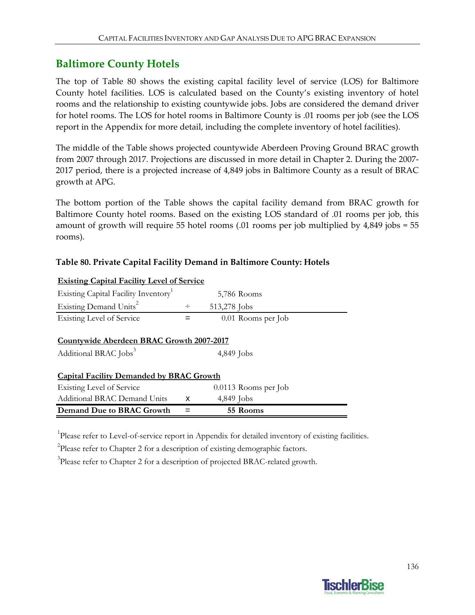### **Baltimore County Hotels**

The top of Table 80 shows the existing capital facility level of service (LOS) for Baltimore County hotel facilities. LOS is calculated based on the County's existing inventory of hotel rooms and the relationship to existing countywide jobs. Jobs are considered the demand driver for hotel rooms. The LOS for hotel rooms in Baltimore County is .01 rooms per job (see the LOS report in the Appendix for more detail, including the complete inventory of hotel facilities).

The middle of the Table shows projected countywide Aberdeen Proving Ground BRAC growth from 2007 through 2017. Projections are discussed in more detail in Chapter 2. During the 2007‐ 2017 period, there is a projected increase of 4,849 jobs in Baltimore County as a result of BRAC growth at APG.

The bottom portion of the Table shows the capital facility demand from BRAC growth for Baltimore County hotel rooms. Based on the existing LOS standard of .01 rooms per job, this amount of growth will require 55 hotel rooms (.01 rooms per job multiplied by 4,849 jobs = 55 rooms).

### **Table 80. Private Capital Facility Demand in Baltimore County: Hotels**

| Demand Due to BRAC Growth                         |        | 55 Rooms             |  |
|---------------------------------------------------|--------|----------------------|--|
| Additional BRAC Demand Units                      | x      | $4,849$ Jobs         |  |
| Existing Level of Service                         |        | 0.0113 Rooms per Job |  |
| <b>Capital Facility Demanded by BRAC Growth</b>   |        |                      |  |
| Additional BRAC Jobs <sup>3</sup>                 |        | 4,849 Jobs           |  |
| Countywide Aberdeen BRAC Growth 2007-2017         |        |                      |  |
|                                                   |        |                      |  |
| <b>Existing Level of Service</b>                  |        | 0.01 Rooms per Job   |  |
| Existing Demand Units <sup>2</sup>                | $\div$ | 513,278 Jobs         |  |
| Existing Capital Facility Inventory               |        | 5,786 Rooms          |  |
| <u>Existing Capital Facility Level of Service</u> |        |                      |  |

**Existing Capital Facility Level of Service**

<sup>1</sup>Please refer to Level-of-service report in Appendix for detailed inventory of existing facilities.

 $2$ Please refer to Chapter 2 for a description of existing demographic factors.

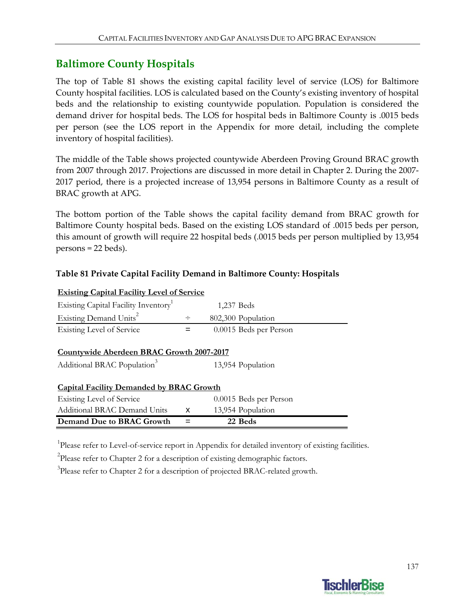### **Baltimore County Hospitals**

The top of Table 81 shows the existing capital facility level of service (LOS) for Baltimore County hospital facilities. LOS is calculated based on the County's existing inventory of hospital beds and the relationship to existing countywide population. Population is considered the demand driver for hospital beds. The LOS for hospital beds in Baltimore County is .0015 beds per person (see the LOS report in the Appendix for more detail, including the complete inventory of hospital facilities).

The middle of the Table shows projected countywide Aberdeen Proving Ground BRAC growth from 2007 through 2017. Projections are discussed in more detail in Chapter 2. During the 2007‐ 2017 period, there is a projected increase of 13,954 persons in Baltimore County as a result of BRAC growth at APG.

The bottom portion of the Table shows the capital facility demand from BRAC growth for Baltimore County hospital beds. Based on the existing LOS standard of .0015 beds per person, this amount of growth will require 22 hospital beds (.0015 beds per person multiplied by 13,954 persons = 22 beds).

### **Table 81 Private Capital Facility Demand in Baltimore County: Hospitals**

| <b>Existing Capital Facility Level of Service</b>                                    |   |                        |  |
|--------------------------------------------------------------------------------------|---|------------------------|--|
| Existing Capital Facility Inventory                                                  |   | 1,237 Beds             |  |
| Existing Demand Units <sup>2</sup>                                                   | ÷ | 802,300 Population     |  |
| <b>Existing Level of Service</b>                                                     | = | 0.0015 Beds per Person |  |
| Countywide Aberdeen BRAC Growth 2007-2017<br>Additional BRAC Population <sup>3</sup> |   | 13,954 Population      |  |
| <b>Capital Facility Demanded by BRAC Growth</b>                                      |   |                        |  |
| Existing Level of Service                                                            |   | 0.0015 Beds per Person |  |
| Additional BRAC Demand Units                                                         | x | 13,954 Population      |  |
| Demand Due to BRAC Growth                                                            |   | 22 Beds                |  |

<sup>1</sup>Please refer to Level-of-service report in Appendix for detailed inventory of existing facilities.

 $2^2$ Please refer to Chapter 2 for a description of existing demographic factors.

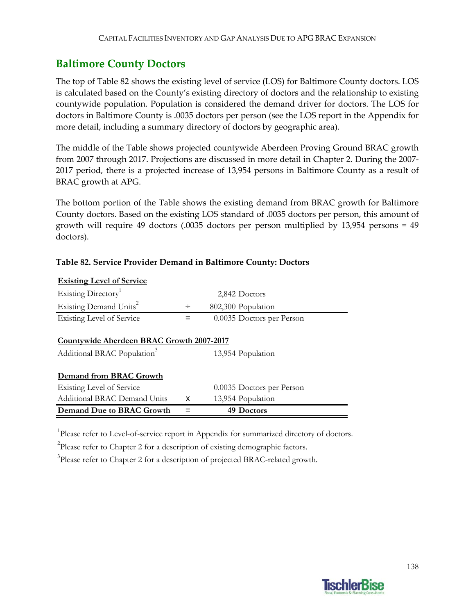### **Baltimore County Doctors**

The top of Table 82 shows the existing level of service (LOS) for Baltimore County doctors. LOS is calculated based on the County's existing directory of doctors and the relationship to existing countywide population. Population is considered the demand driver for doctors. The LOS for doctors in Baltimore County is .0035 doctors per person (see the LOS report in the Appendix for more detail, including a summary directory of doctors by geographic area).

The middle of the Table shows projected countywide Aberdeen Proving Ground BRAC growth from 2007 through 2017. Projections are discussed in more detail in Chapter 2. During the 2007‐ 2017 period, there is a projected increase of 13,954 persons in Baltimore County as a result of BRAC growth at APG.

The bottom portion of the Table shows the existing demand from BRAC growth for Baltimore County doctors. Based on the existing LOS standard of .0035 doctors per person, this amount of growth will require 49 doctors (.0035 doctors per person multiplied by 13,954 persons = 49 doctors).

| <b>Existing Level of Service</b>          |   |                           |  |
|-------------------------------------------|---|---------------------------|--|
| Existing Directory <sup>1</sup>           |   | 2,842 Doctors             |  |
| Existing Demand Units <sup>2</sup>        |   | 802,300 Population        |  |
| Existing Level of Service                 |   | 0.0035 Doctors per Person |  |
|                                           |   |                           |  |
| Countywide Aberdeen BRAC Growth 2007-2017 |   |                           |  |
| Additional BRAC Population <sup>3</sup>   |   | 13,954 Population         |  |
|                                           |   |                           |  |
| Demand from BRAC Growth                   |   |                           |  |
| <b>Existing Level of Service</b>          |   | 0.0035 Doctors per Person |  |
| Additional BRAC Demand Units              | x | 13,954 Population         |  |
| Demand Due to BRAC Growth                 |   | 49 Doctors                |  |

#### **Table 82. Service Provider Demand in Baltimore County: Doctors**

<sup>1</sup>Please refer to Level-of-service report in Appendix for summarized directory of doctors.

 $2$ Please refer to Chapter 2 for a description of existing demographic factors.

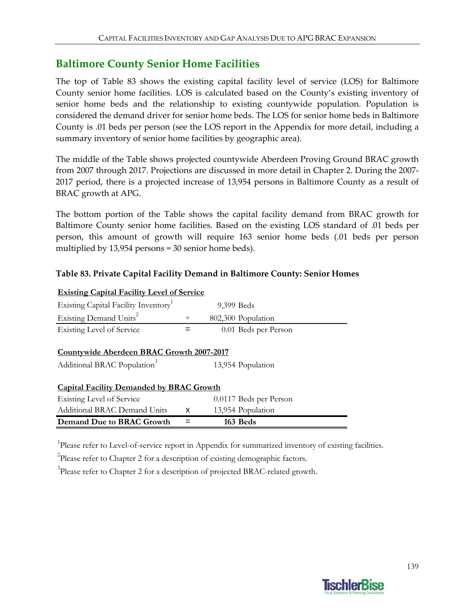## **Baltimore County Senior Home Facilities**

The top of Table 83 shows the existing capital facility level of service (LOS) for Baltimore County senior home facilities. LOS is calculated based on the County's existing inventory of senior home beds and the relationship to existing countywide population. Population is considered the demand driver for senior home beds. The LOS for senior home beds in Baltimore County is .01 beds per person (see the LOS report in the Appendix for more detail, including a summary inventory of senior home facilities by geographic area).

The middle of the Table shows projected countywide Aberdeen Proving Ground BRAC growth from 2007 through 2017. Projections are discussed in more detail in Chapter 2. During the 2007‐ 2017 period, there is a projected increase of 13,954 persons in Baltimore County as a result of BRAC growth at APG.

The bottom portion of the Table shows the capital facility demand from BRAC growth for Baltimore County senior home facilities. Based on the existing LOS standard of .01 beds per person, this amount of growth will require 163 senior home beds (.01 beds per person multiplied by 13,954 persons = 30 senior home beds).

### **Table 83. Private Capital Facility Demand in Baltimore County: Senior Homes**

| <b>Existing Capital Facility Level of Service</b>                                    |        |                        |  |
|--------------------------------------------------------------------------------------|--------|------------------------|--|
| Existing Capital Facility Inventory                                                  |        | 9,399 Beds             |  |
| Existing Demand Units <sup>2</sup>                                                   | $\div$ | 802,300 Population     |  |
| Existing Level of Service                                                            | =      | 0.01 Beds per Person   |  |
| Countywide Aberdeen BRAC Growth 2007-2017<br>Additional BRAC Population <sup>3</sup> |        | 13,954 Population      |  |
| <b>Capital Facility Demanded by BRAC Growth</b>                                      |        |                        |  |
| Existing Level of Service                                                            |        | 0.0117 Beds per Person |  |
| <b>Additional BRAC Demand Units</b>                                                  | x      | 13,954 Population      |  |
| Demand Due to BRAC Growth                                                            |        | 163 Beds               |  |

<sup>1</sup>Please refer to Level-of-service report in Appendix for summarized inventory of existing facilities.

 $2$ Please refer to Chapter 2 for a description of existing demographic factors.

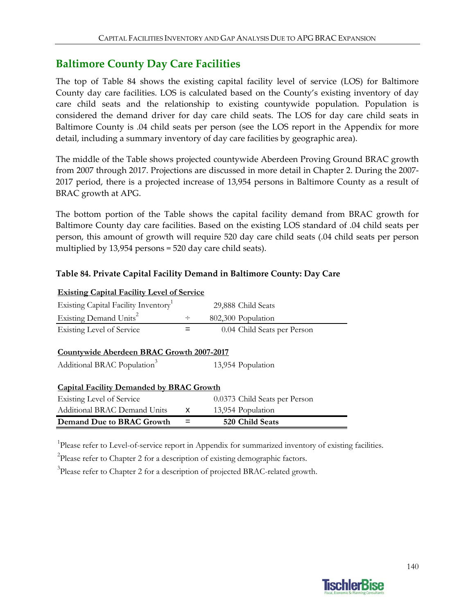### **Baltimore County Day Care Facilities**

The top of Table 84 shows the existing capital facility level of service (LOS) for Baltimore County day care facilities. LOS is calculated based on the County's existing inventory of day care child seats and the relationship to existing countywide population. Population is considered the demand driver for day care child seats. The LOS for day care child seats in Baltimore County is .04 child seats per person (see the LOS report in the Appendix for more detail, including a summary inventory of day care facilities by geographic area).

The middle of the Table shows projected countywide Aberdeen Proving Ground BRAC growth from 2007 through 2017. Projections are discussed in more detail in Chapter 2. During the 2007‐ 2017 period, there is a projected increase of 13,954 persons in Baltimore County as a result of BRAC growth at APG.

The bottom portion of the Table shows the capital facility demand from BRAC growth for Baltimore County day care facilities. Based on the existing LOS standard of .04 child seats per person, this amount of growth will require 520 day care child seats (.04 child seats per person multiplied by 13,954 persons = 520 day care child seats).

### **Table 84. Private Capital Facility Demand in Baltimore County: Day Care**

| <b>Existing Capital Facility Level of Service</b> |        |                               |  |  |  |
|---------------------------------------------------|--------|-------------------------------|--|--|--|
| Existing Capital Facility Inventory               |        | 29,888 Child Seats            |  |  |  |
| Existing Demand Units <sup>2</sup>                | $\div$ | 802,300 Population            |  |  |  |
| Existing Level of Service                         |        | 0.04 Child Seats per Person   |  |  |  |
|                                                   |        |                               |  |  |  |
| Countywide Aberdeen BRAC Growth 2007-2017         |        |                               |  |  |  |
| Additional BRAC Population <sup>3</sup>           |        | 13,954 Population             |  |  |  |
| <b>Capital Facility Demanded by BRAC Growth</b>   |        |                               |  |  |  |
| Existing Level of Service                         |        | 0.0373 Child Seats per Person |  |  |  |
| Additional BRAC Demand Units                      | X      | 13,954 Population             |  |  |  |
| Demand Due to BRAC Growth                         |        | 520 Child Seats               |  |  |  |

<sup>1</sup>Please refer to Level-of-service report in Appendix for summarized inventory of existing facilities.

 $2$ Please refer to Chapter 2 for a description of existing demographic factors.

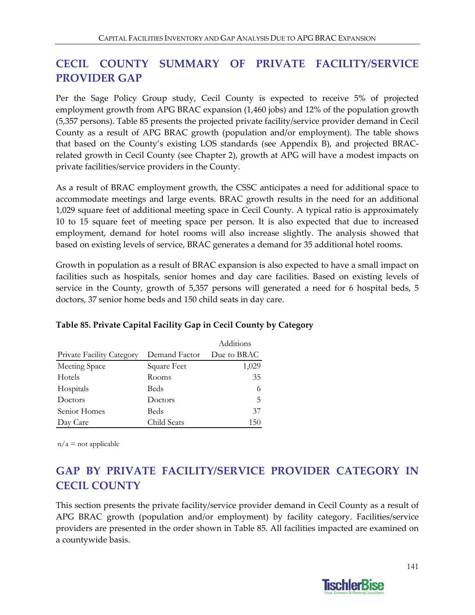# **CECIL COUNTY SUMMARY OF PRIVATE FACILITY/SERVICE PROVIDER GAP**

Per the Sage Policy Group study, Cecil County is expected to receive 5% of projected employment growth from APG BRAC expansion (1,460 jobs) and 12% of the population growth (5,357 persons). Table 85 presents the projected private facility/service provider demand in Cecil County as a result of APG BRAC growth (population and/or employment). The table shows that based on the County's existing LOS standards (see Appendix B), and projected BRAC‐ related growth in Cecil County (see Chapter 2), growth at APG will have a modest impacts on private facilities/service providers in the County.

As a result of BRAC employment growth, the CSSC anticipates a need for additional space to accommodate meetings and large events. BRAC growth results in the need for an additional 1,029 square feet of additional meeting space in Cecil County. A typical ratio is approximately 10 to 15 square feet of meeting space per person. It is also expected that due to increased employment, demand for hotel rooms will also increase slightly. The analysis showed that based on existing levels of service, BRAC generates a demand for 35 additional hotel rooms.

Growth in population as a result of BRAC expansion is also expected to have a small impact on facilities such as hospitals, senior homes and day care facilities. Based on existing levels of service in the County, growth of 5,357 persons will generated a need for 6 hospital beds, 5 doctors, 37 senior home beds and 150 child seats in day care.

|                                  |               | Additions   |
|----------------------------------|---------------|-------------|
| <b>Private Facility Category</b> | Demand Factor | Due to BRAC |
| Meeting Space                    | Square Feet   | 1,029       |
| Hotels                           | Rooms         | 35          |
| Hospitals                        | Beds          | 6           |
| Doctors                          | Doctors       | 5           |
| Senior Homes                     | Beds          | 37          |
| Day Care                         | Child Seats   | 150         |

### **Table 85. Private Capital Facility Gap in Cecil County by Category**

 $n/a$  = not applicable

# **GAP BY PRIVATE FACILITY/SERVICE PROVIDER CATEGORY IN CECIL COUNTY**

This section presents the private facility/service provider demand in Cecil County as a result of APG BRAC growth (population and/or employment) by facility category. Facilities/service providers are presented in the order shown in Table 85. All facilities impacted are examined on a countywide basis.

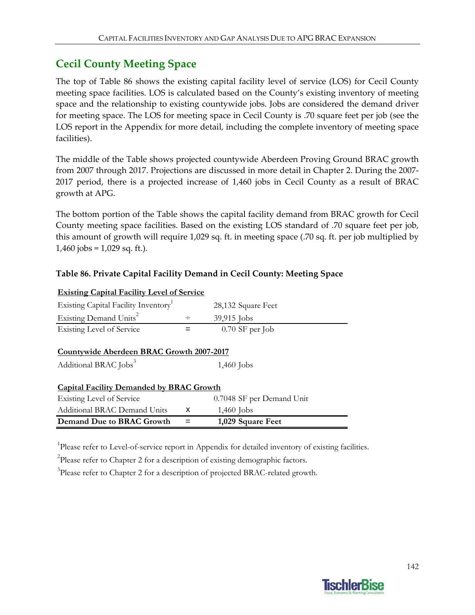### **Cecil County Meeting Space**

The top of Table 86 shows the existing capital facility level of service (LOS) for Cecil County meeting space facilities. LOS is calculated based on the County's existing inventory of meeting space and the relationship to existing countywide jobs. Jobs are considered the demand driver for meeting space. The LOS for meeting space in Cecil County is .70 square feet per job (see the LOS report in the Appendix for more detail, including the complete inventory of meeting space facilities).

The middle of the Table shows projected countywide Aberdeen Proving Ground BRAC growth from 2007 through 2017. Projections are discussed in more detail in Chapter 2. During the 2007‐ 2017 period, there is a projected increase of 1,460 jobs in Cecil County as a result of BRAC growth at APG.

The bottom portion of the Table shows the capital facility demand from BRAC growth for Cecil County meeting space facilities. Based on the existing LOS standard of .70 square feet per job, this amount of growth will require 1,029 sq. ft. in meeting space (.70 sq. ft. per job multiplied by  $1,460$  jobs =  $1,029$  sq. ft.).

### **Table 86. Private Capital Facility Demand in Cecil County: Meeting Space**

| <b>Existing Capital Facility Level of Service</b> |     |                           |  |
|---------------------------------------------------|-----|---------------------------|--|
| Existing Capital Facility Inventory               |     | 28,132 Square Feet        |  |
| Existing Demand Units <sup>2</sup>                | ÷   | 39,915 Jobs               |  |
| Existing Level of Service                         | $=$ | $0.70$ SF per Job         |  |
| Countywide Aberdeen BRAC Growth 2007-2017         |     |                           |  |
| Additional BRAC Jobs <sup>3</sup>                 |     | $1,460$ Jobs              |  |
|                                                   |     |                           |  |
| <b>Capital Facility Demanded by BRAC Growth</b>   |     |                           |  |
| Existing Level of Service                         |     | 0.7048 SF per Demand Unit |  |
| Additional BRAC Demand Units                      | x   | $1,460$ Jobs              |  |
| Demand Due to BRAC Growth                         |     | 1,029 Square Feet         |  |

<sup>1</sup>Please refer to Level-of-service report in Appendix for detailed inventory of existing facilities.

<sup>2</sup>Please refer to Chapter 2 for a description of existing demographic factors.

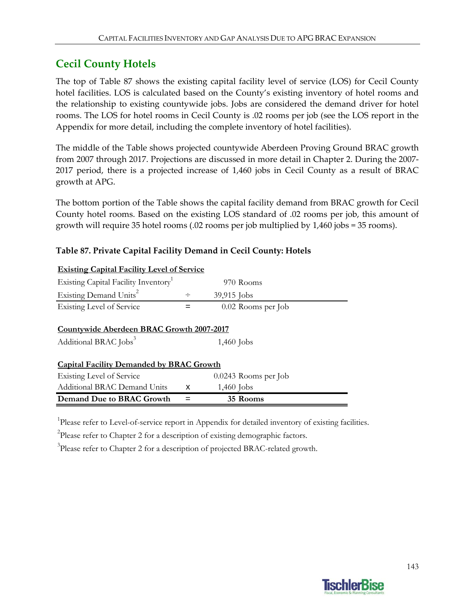## **Cecil County Hotels**

The top of Table 87 shows the existing capital facility level of service (LOS) for Cecil County hotel facilities. LOS is calculated based on the County's existing inventory of hotel rooms and the relationship to existing countywide jobs. Jobs are considered the demand driver for hotel rooms. The LOS for hotel rooms in Cecil County is .02 rooms per job (see the LOS report in the Appendix for more detail, including the complete inventory of hotel facilities).

The middle of the Table shows projected countywide Aberdeen Proving Ground BRAC growth from 2007 through 2017. Projections are discussed in more detail in Chapter 2. During the 2007‐ 2017 period, there is a projected increase of 1,460 jobs in Cecil County as a result of BRAC growth at APG.

The bottom portion of the Table shows the capital facility demand from BRAC growth for Cecil County hotel rooms. Based on the existing LOS standard of .02 rooms per job, this amount of growth will require 35 hotel rooms (.02 rooms per job multiplied by 1,460 jobs = 35 rooms).

| <b>Existing Capital Facility Level of Service</b>                                     |        |                        |  |
|---------------------------------------------------------------------------------------|--------|------------------------|--|
| Existing Capital Facility Inventory <sup>1</sup>                                      |        | 970 Rooms              |  |
| Existing Demand Units <sup>2</sup>                                                    | $\div$ | $39,915$ Jobs          |  |
| Existing Level of Service                                                             | $=$    | 0.02 Rooms per Job     |  |
| <b>Countywide Aberdeen BRAC Growth 2007-2017</b><br>Additional BRAC Jobs <sup>3</sup> |        | $1,460$ Jobs           |  |
| <b>Capital Facility Demanded by BRAC Growth</b>                                       |        |                        |  |
| Existing Level of Service                                                             |        | $0.0243$ Rooms per Job |  |
| Additional BRAC Demand Units                                                          | x      | $1,460$ Jobs           |  |
| Demand Due to BRAC Growth                                                             |        | 35 Rooms               |  |

### **Table 87. Private Capital Facility Demand in Cecil County: Hotels**

<sup>1</sup>Please refer to Level-of-service report in Appendix for detailed inventory of existing facilities.

 $2$ Please refer to Chapter 2 for a description of existing demographic factors.

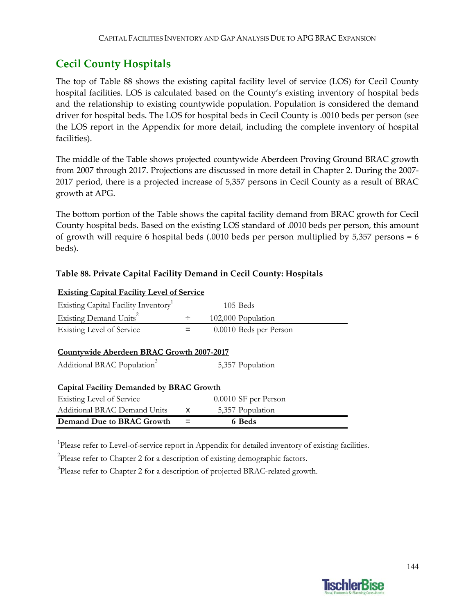## **Cecil County Hospitals**

The top of Table 88 shows the existing capital facility level of service (LOS) for Cecil County hospital facilities. LOS is calculated based on the County's existing inventory of hospital beds and the relationship to existing countywide population. Population is considered the demand driver for hospital beds. The LOS for hospital beds in Cecil County is .0010 beds per person (see the LOS report in the Appendix for more detail, including the complete inventory of hospital facilities).

The middle of the Table shows projected countywide Aberdeen Proving Ground BRAC growth from 2007 through 2017. Projections are discussed in more detail in Chapter 2. During the 2007‐ 2017 period, there is a projected increase of 5,357 persons in Cecil County as a result of BRAC growth at APG.

The bottom portion of the Table shows the capital facility demand from BRAC growth for Cecil County hospital beds. Based on the existing LOS standard of .0010 beds per person, this amount of growth will require 6 hospital beds (.0010 beds per person multiplied by 5,357 persons = 6 beds).

| <b>Existing Capital Facility Level of Service</b>                                    |        |                        |  |
|--------------------------------------------------------------------------------------|--------|------------------------|--|
| Existing Capital Facility Inventory <sup>1</sup>                                     |        | $105$ Beds             |  |
| Existing Demand Units <sup>2</sup>                                                   | $\div$ | 102,000 Population     |  |
| <b>Existing Level of Service</b>                                                     | =      | 0.0010 Beds per Person |  |
| Countywide Aberdeen BRAC Growth 2007-2017<br>Additional BRAC Population <sup>3</sup> |        | 5,357 Population       |  |
| <b>Capital Facility Demanded by BRAC Growth</b>                                      |        |                        |  |
| Existing Level of Service                                                            |        | 0.0010 SF per Person   |  |
| <b>Additional BRAC Demand Units</b>                                                  | X      | 5,357 Population       |  |
| Demand Due to BRAC Growth                                                            |        | 6 Beds                 |  |

#### **Table 88. Private Capital Facility Demand in Cecil County: Hospitals**

<sup>1</sup>Please refer to Level-of-service report in Appendix for detailed inventory of existing facilities.

 $2$ Please refer to Chapter 2 for a description of existing demographic factors.

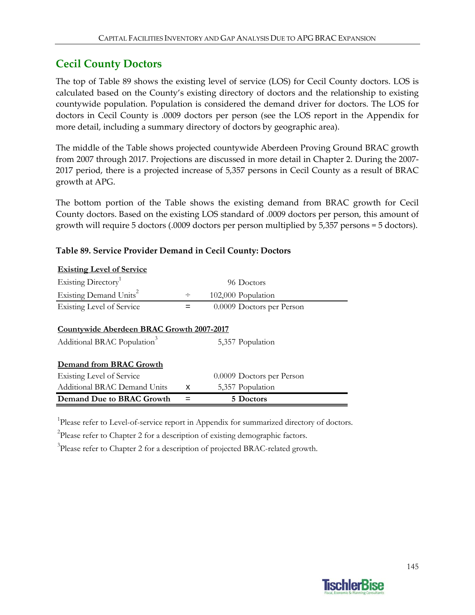### **Cecil County Doctors**

**Existing Level of Service**

The top of Table 89 shows the existing level of service (LOS) for Cecil County doctors. LOS is calculated based on the County's existing directory of doctors and the relationship to existing countywide population. Population is considered the demand driver for doctors. The LOS for doctors in Cecil County is .0009 doctors per person (see the LOS report in the Appendix for more detail, including a summary directory of doctors by geographic area).

The middle of the Table shows projected countywide Aberdeen Proving Ground BRAC growth from 2007 through 2017. Projections are discussed in more detail in Chapter 2. During the 2007‐ 2017 period, there is a projected increase of 5,357 persons in Cecil County as a result of BRAC growth at APG.

The bottom portion of the Table shows the existing demand from BRAC growth for Cecil County doctors. Based on the existing LOS standard of .0009 doctors per person, this amount of growth will require 5 doctors (.0009 doctors per person multiplied by 5,357 persons = 5 doctors).

| <b>EXHIPTEL EXHIPTEL</b>                         |   |                           |  |
|--------------------------------------------------|---|---------------------------|--|
| Existing Directory <sup>1</sup>                  |   | 96 Doctors                |  |
| Existing Demand Units <sup>2</sup>               | ÷ | 102,000 Population        |  |
| <b>Existing Level of Service</b>                 | = | 0.0009 Doctors per Person |  |
|                                                  |   |                           |  |
| <b>Countywide Aberdeen BRAC Growth 2007-2017</b> |   |                           |  |
| Additional BRAC Population <sup>3</sup>          |   | 5,357 Population          |  |
|                                                  |   |                           |  |
| Demand from BRAC Growth                          |   |                           |  |
| <b>Existing Level of Service</b>                 |   | 0.0009 Doctors per Person |  |
| <b>Additional BRAC Demand Units</b>              | x | 5,357 Population          |  |
| Demand Due to BRAC Growth                        |   | 5 Doctors                 |  |

#### **Table 89. Service Provider Demand in Cecil County: Doctors**

<sup>1</sup>Please refer to Level-of-service report in Appendix for summarized directory of doctors.

<sup>2</sup>Please refer to Chapter 2 for a description of existing demographic factors.

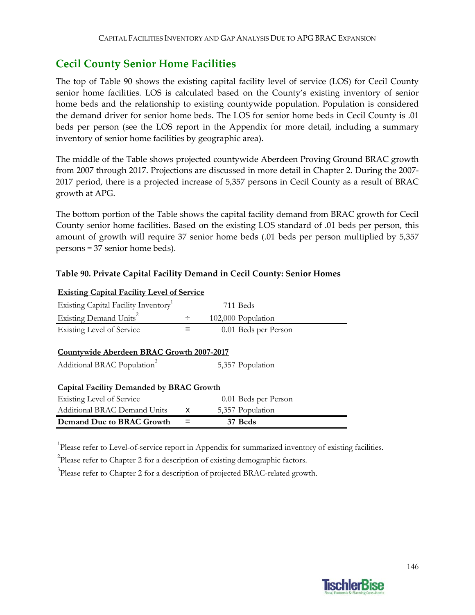### **Cecil County Senior Home Facilities**

The top of Table 90 shows the existing capital facility level of service (LOS) for Cecil County senior home facilities. LOS is calculated based on the County's existing inventory of senior home beds and the relationship to existing countywide population. Population is considered the demand driver for senior home beds. The LOS for senior home beds in Cecil County is .01 beds per person (see the LOS report in the Appendix for more detail, including a summary inventory of senior home facilities by geographic area).

The middle of the Table shows projected countywide Aberdeen Proving Ground BRAC growth from 2007 through 2017. Projections are discussed in more detail in Chapter 2. During the 2007‐ 2017 period, there is a projected increase of 5,357 persons in Cecil County as a result of BRAC growth at APG.

The bottom portion of the Table shows the capital facility demand from BRAC growth for Cecil County senior home facilities. Based on the existing LOS standard of .01 beds per person, this amount of growth will require 37 senior home beds (.01 beds per person multiplied by 5,357 persons = 37 senior home beds).

| <b>Existing Capital Facility Level of Service</b> |   |                      |  |
|---------------------------------------------------|---|----------------------|--|
| Existing Capital Facility Inventory               |   | 711 Beds             |  |
| Existing Demand Units <sup>2</sup>                | ÷ | 102,000 Population   |  |
| <b>Existing Level of Service</b>                  |   | 0.01 Beds per Person |  |
|                                                   |   |                      |  |
| Countywide Aberdeen BRAC Growth 2007-2017         |   |                      |  |
| Additional BRAC Population <sup>3</sup>           |   | 5,357 Population     |  |
|                                                   |   |                      |  |
| <b>Capital Facility Demanded by BRAC Growth</b>   |   |                      |  |
| Existing Level of Service                         |   | 0.01 Beds per Person |  |
| Additional BRAC Demand Units                      | x | 5,357 Population     |  |
| Demand Due to BRAC Growth                         |   | 37 Beds              |  |

#### **Table 90. Private Capital Facility Demand in Cecil County: Senior Homes**

<sup>1</sup>Please refer to Level-of-service report in Appendix for summarized inventory of existing facilities.

 $2$ Please refer to Chapter 2 for a description of existing demographic factors.

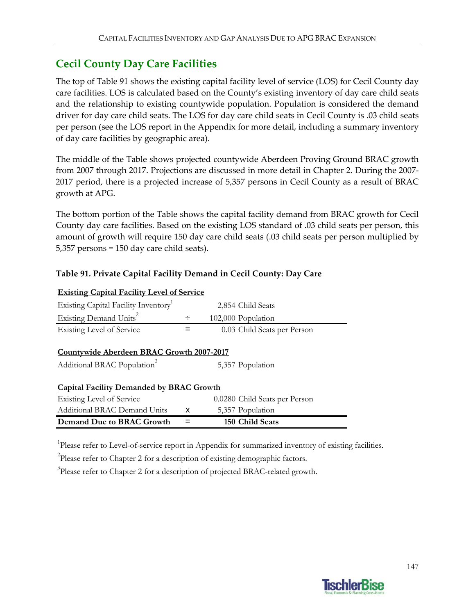### **Cecil County Day Care Facilities**

The top of Table 91 shows the existing capital facility level of service (LOS) for Cecil County day care facilities. LOS is calculated based on the County's existing inventory of day care child seats and the relationship to existing countywide population. Population is considered the demand driver for day care child seats. The LOS for day care child seats in Cecil County is .03 child seats per person (see the LOS report in the Appendix for more detail, including a summary inventory of day care facilities by geographic area).

The middle of the Table shows projected countywide Aberdeen Proving Ground BRAC growth from 2007 through 2017. Projections are discussed in more detail in Chapter 2. During the 2007‐ 2017 period, there is a projected increase of 5,357 persons in Cecil County as a result of BRAC growth at APG.

The bottom portion of the Table shows the capital facility demand from BRAC growth for Cecil County day care facilities. Based on the existing LOS standard of .03 child seats per person, this amount of growth will require 150 day care child seats (.03 child seats per person multiplied by 5,357 persons = 150 day care child seats).

### **Table 91. Private Capital Facility Demand in Cecil County: Day Care**

| <b>Existing Capital Facility Level of Service</b> |        |                               |  |
|---------------------------------------------------|--------|-------------------------------|--|
| Existing Capital Facility Inventory               |        | 2,854 Child Seats             |  |
| Existing Demand Units <sup>2</sup>                | $\div$ | 102,000 Population            |  |
| <b>Existing Level of Service</b>                  |        | 0.03 Child Seats per Person   |  |
| Countywide Aberdeen BRAC Growth 2007-2017         |        |                               |  |
| Additional BRAC Population <sup>3</sup>           |        | 5,357 Population              |  |
| <b>Capital Facility Demanded by BRAC Growth</b>   |        |                               |  |
| Existing Level of Service                         |        | 0.0280 Child Seats per Person |  |
| <b>Additional BRAC Demand Units</b>               | x      | 5,357 Population              |  |
| Demand Due to BRAC Growth                         |        | 150 Child Seats               |  |

<sup>1</sup>Please refer to Level-of-service report in Appendix for summarized inventory of existing facilities.

 $2$ Please refer to Chapter 2 for a description of existing demographic factors.

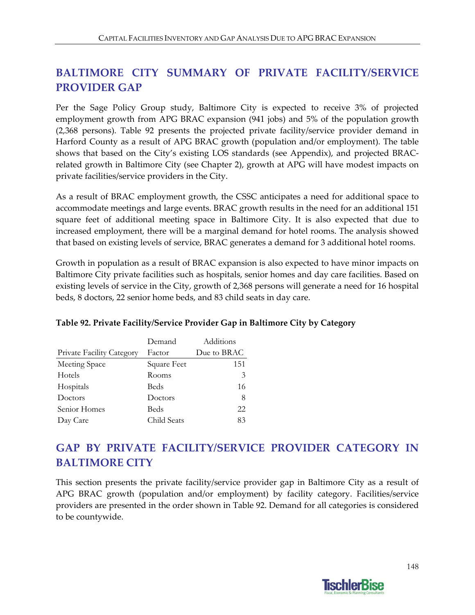## **BALTIMORE CITY SUMMARY OF PRIVATE FACILITY/SERVICE PROVIDER GAP**

Per the Sage Policy Group study, Baltimore City is expected to receive 3% of projected employment growth from APG BRAC expansion (941 jobs) and 5% of the population growth (2,368 persons). Table 92 presents the projected private facility/service provider demand in Harford County as a result of APG BRAC growth (population and/or employment). The table shows that based on the City's existing LOS standards (see Appendix), and projected BRAC‐ related growth in Baltimore City (see Chapter 2), growth at APG will have modest impacts on private facilities/service providers in the City.

As a result of BRAC employment growth, the CSSC anticipates a need for additional space to accommodate meetings and large events. BRAC growth results in the need for an additional 151 square feet of additional meeting space in Baltimore City. It is also expected that due to increased employment, there will be a marginal demand for hotel rooms. The analysis showed that based on existing levels of service, BRAC generates a demand for 3 additional hotel rooms.

Growth in population as a result of BRAC expansion is also expected to have minor impacts on Baltimore City private facilities such as hospitals, senior homes and day care facilities. Based on existing levels of service in the City, growth of 2,368 persons will generate a need for 16 hospital beds, 8 doctors, 22 senior home beds, and 83 child seats in day care.

|                                  | Demand      | Additions   |
|----------------------------------|-------------|-------------|
| <b>Private Facility Category</b> | Factor      | Due to BRAC |
| Meeting Space                    | Square Feet | 151         |
| Hotels                           | Rooms       | 3           |
| Hospitals                        | Beds        | 16          |
| Doctors                          | Doctors     | 8           |
| Senior Homes                     | Beds        | 22          |
| Day Care                         | Child Seats | 83          |

### **Table 92. Private Facility/Service Provider Gap in Baltimore City by Category**

# **GAP BY PRIVATE FACILITY/SERVICE PROVIDER CATEGORY IN BALTIMORE CITY**

This section presents the private facility/service provider gap in Baltimore City as a result of APG BRAC growth (population and/or employment) by facility category. Facilities/service providers are presented in the order shown in Table 92. Demand for all categories is considered to be countywide.

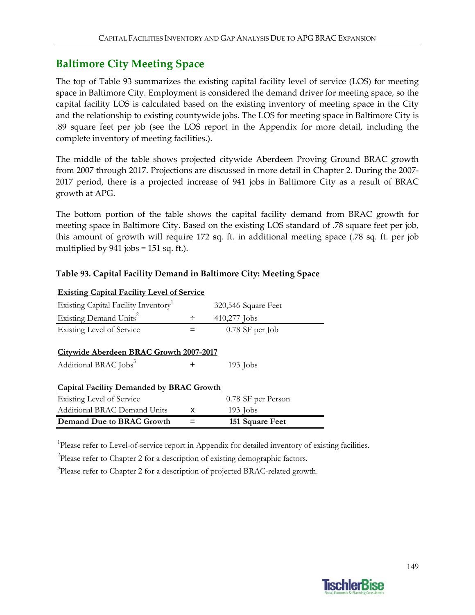### **Baltimore City Meeting Space**

The top of Table 93 summarizes the existing capital facility level of service (LOS) for meeting space in Baltimore City. Employment is considered the demand driver for meeting space, so the capital facility LOS is calculated based on the existing inventory of meeting space in the City and the relationship to existing countywide jobs. The LOS for meeting space in Baltimore City is .89 square feet per job (see the LOS report in the Appendix for more detail, including the complete inventory of meeting facilities.).

The middle of the table shows projected citywide Aberdeen Proving Ground BRAC growth from 2007 through 2017. Projections are discussed in more detail in Chapter 2. During the 2007‐ 2017 period, there is a projected increase of 941 jobs in Baltimore City as a result of BRAC growth at APG.

The bottom portion of the table shows the capital facility demand from BRAC growth for meeting space in Baltimore City. Based on the existing LOS standard of .78 square feet per job, this amount of growth will require 172 sq. ft. in additional meeting space (.78 sq. ft. per job multiplied by  $941$  jobs = 151 sq. ft.).

#### **Table 93. Capital Facility Demand in Baltimore City: Meeting Space**

| <b>Existing Capital Facility Level of Service</b> |        |                     |  |  |  |
|---------------------------------------------------|--------|---------------------|--|--|--|
| Existing Capital Facility Inventory <sup>1</sup>  |        | 320,546 Square Feet |  |  |  |
| Existing Demand Units <sup>2</sup>                | $\div$ | 410,277 Jobs        |  |  |  |
| <b>Existing Level of Service</b>                  |        | 0.78 SF per Job     |  |  |  |
|                                                   |        |                     |  |  |  |
| <b>Citywide Aberdeen BRAC Growth 2007-2017</b>    |        |                     |  |  |  |
| Additional BRAC Jobs <sup>3</sup>                 | ٠      | $193$ Jobs          |  |  |  |
|                                                   |        |                     |  |  |  |
| <b>Capital Facility Demanded by BRAC Growth</b>   |        |                     |  |  |  |
| Existing Level of Service                         |        | 0.78 SF per Person  |  |  |  |
| Additional BRAC Demand Units                      | x      | $193$ Jobs          |  |  |  |
| Demand Due to BRAC Growth                         |        | 151 Square Feet     |  |  |  |

<sup>1</sup>Please refer to Level-of-service report in Appendix for detailed inventory of existing facilities.

 $2$ Please refer to Chapter 2 for a description of existing demographic factors.

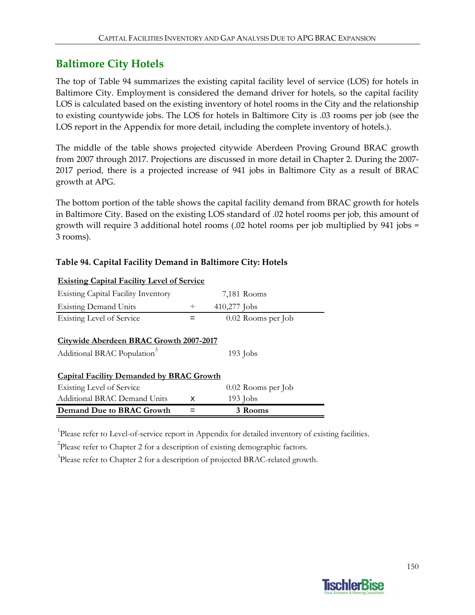### **Baltimore City Hotels**

The top of Table 94 summarizes the existing capital facility level of service (LOS) for hotels in Baltimore City. Employment is considered the demand driver for hotels, so the capital facility LOS is calculated based on the existing inventory of hotel rooms in the City and the relationship to existing countywide jobs. The LOS for hotels in Baltimore City is .03 rooms per job (see the LOS report in the Appendix for more detail, including the complete inventory of hotels.).

The middle of the table shows projected citywide Aberdeen Proving Ground BRAC growth from 2007 through 2017. Projections are discussed in more detail in Chapter 2. During the 2007‐ 2017 period, there is a projected increase of 941 jobs in Baltimore City as a result of BRAC growth at APG.

The bottom portion of the table shows the capital facility demand from BRAC growth for hotels in Baltimore City. Based on the existing LOS standard of .02 hotel rooms per job, this amount of growth will require 3 additional hotel rooms (.02 hotel rooms per job multiplied by 941 jobs = 3 rooms).

### **Table 94. Capital Facility Demand in Baltimore City: Hotels**

| Demand Due to BRAC Growth                         |        | 3 Rooms            |  |
|---------------------------------------------------|--------|--------------------|--|
| Additional BRAC Demand Units                      | x      | $193$ Jobs         |  |
| <b>Existing Level of Service</b>                  |        | 0.02 Rooms per Job |  |
| <b>Capital Facility Demanded by BRAC Growth</b>   |        |                    |  |
| Additional BRAC Population <sup>3</sup>           |        | $193$ Jobs         |  |
| <b>Citywide Aberdeen BRAC Growth 2007-2017</b>    |        |                    |  |
| <b>Existing Level of Service</b>                  |        | 0.02 Rooms per Job |  |
| <b>Existing Demand Units</b>                      | $\div$ | 410,277 Jobs       |  |
| <b>Existing Capital Facility Inventory</b>        |        | 7,181 Rooms        |  |
| <u>Existing Capital Facility Level of Service</u> |        |                    |  |

### **Existing Capital Facility Level of Service**

<sup>1</sup>Please refer to Level-of-service report in Appendix for detailed inventory of existing facilities.

 $2$ Please refer to Chapter 2 for a description of existing demographic factors.

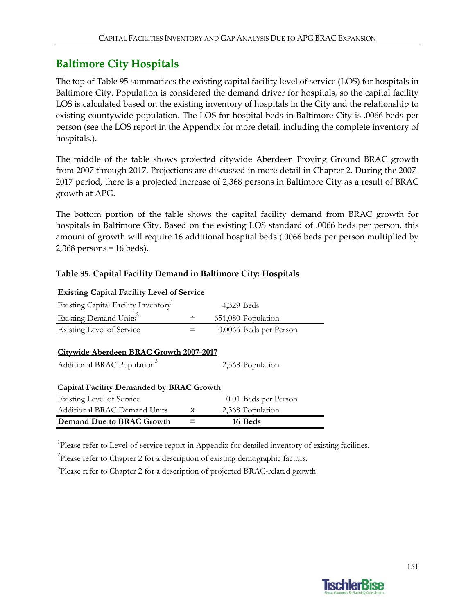## **Baltimore City Hospitals**

The top of Table 95 summarizes the existing capital facility level of service (LOS) for hospitals in Baltimore City. Population is considered the demand driver for hospitals, so the capital facility LOS is calculated based on the existing inventory of hospitals in the City and the relationship to existing countywide population. The LOS for hospital beds in Baltimore City is .0066 beds per person (see the LOS report in the Appendix for more detail, including the complete inventory of hospitals.).

The middle of the table shows projected citywide Aberdeen Proving Ground BRAC growth from 2007 through 2017. Projections are discussed in more detail in Chapter 2. During the 2007‐ 2017 period, there is a projected increase of 2,368 persons in Baltimore City as a result of BRAC growth at APG.

The bottom portion of the table shows the capital facility demand from BRAC growth for hospitals in Baltimore City. Based on the existing LOS standard of .0066 beds per person, this amount of growth will require 16 additional hospital beds (.0066 beds per person multiplied by 2,368 persons = 16 beds).

### **Table 95. Capital Facility Demand in Baltimore City: Hospitals**

| <b>Existing Capital Facility Level of Service</b> |                        |  |  |  |  |
|---------------------------------------------------|------------------------|--|--|--|--|
|                                                   | 4,329 Beds             |  |  |  |  |
| ÷                                                 | 651,080 Population     |  |  |  |  |
|                                                   | 0.0066 Beds per Person |  |  |  |  |
| Citywide Aberdeen BRAC Growth 2007-2017           | 2,368 Population       |  |  |  |  |
| <b>Capital Facility Demanded by BRAC Growth</b>   |                        |  |  |  |  |
|                                                   | 0.01 Beds per Person   |  |  |  |  |
| x                                                 | 2,368 Population       |  |  |  |  |
|                                                   | 16 Beds                |  |  |  |  |
|                                                   |                        |  |  |  |  |

<sup>1</sup>Please refer to Level-of-service report in Appendix for detailed inventory of existing facilities.

 $2$ Please refer to Chapter 2 for a description of existing demographic factors.

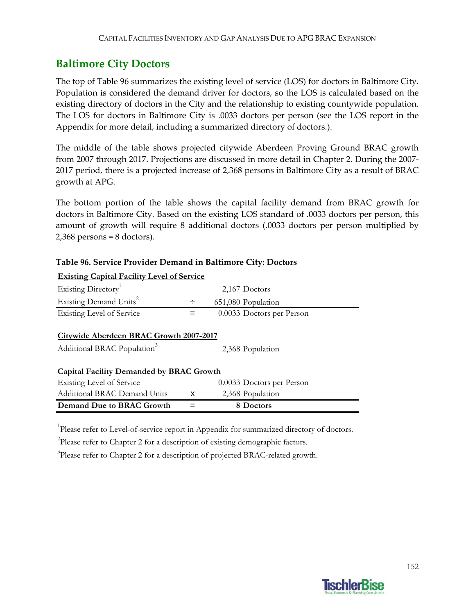### **Baltimore City Doctors**

The top of Table 96 summarizes the existing level of service (LOS) for doctors in Baltimore City. Population is considered the demand driver for doctors, so the LOS is calculated based on the existing directory of doctors in the City and the relationship to existing countywide population. The LOS for doctors in Baltimore City is .0033 doctors per person (see the LOS report in the Appendix for more detail, including a summarized directory of doctors.).

The middle of the table shows projected citywide Aberdeen Proving Ground BRAC growth from 2007 through 2017. Projections are discussed in more detail in Chapter 2. During the 2007-2017 period, there is a projected increase of 2,368 persons in Baltimore City as a result of BRAC growth at APG.

The bottom portion of the table shows the capital facility demand from BRAC growth for doctors in Baltimore City. Based on the existing LOS standard of .0033 doctors per person, this amount of growth will require 8 additional doctors (.0033 doctors per person multiplied by  $2,368$  persons = 8 doctors).

### **Table 96. Service Provider Demand in Baltimore City: Doctors**

| <b>Existing Capital Facility Level of Service</b>                                                      |        |                           |  |  |  |  |  |
|--------------------------------------------------------------------------------------------------------|--------|---------------------------|--|--|--|--|--|
| Existing Directory <sup>1</sup>                                                                        |        | 2,167 Doctors             |  |  |  |  |  |
| Existing Demand Units <sup>2</sup>                                                                     | $\div$ | 651,080 Population        |  |  |  |  |  |
| <b>Existing Level of Service</b>                                                                       | =      | 0.0033 Doctors per Person |  |  |  |  |  |
| Citywide Aberdeen BRAC Growth 2007-2017<br>Additional BRAC Population <sup>3</sup><br>2,368 Population |        |                           |  |  |  |  |  |
| <b>Capital Facility Demanded by BRAC Growth</b>                                                        |        |                           |  |  |  |  |  |
| <b>Existing Level of Service</b>                                                                       |        | 0.0033 Doctors per Person |  |  |  |  |  |
| Additional BRAC Demand Units                                                                           | x      | 2,368 Population          |  |  |  |  |  |
| Demand Due to BRAC Growth                                                                              |        | 8 Doctors                 |  |  |  |  |  |

<sup>1</sup>Please refer to Level-of-service report in Appendix for summarized directory of doctors.

 $2$ Please refer to Chapter 2 for a description of existing demographic factors.

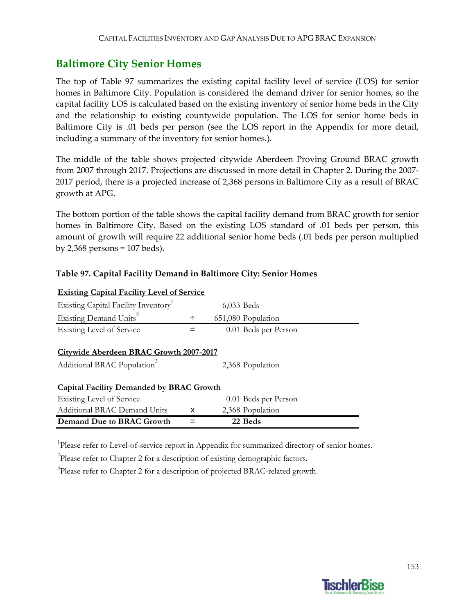### **Baltimore City Senior Homes**

The top of Table 97 summarizes the existing capital facility level of service (LOS) for senior homes in Baltimore City. Population is considered the demand driver for senior homes, so the capital facility LOS is calculated based on the existing inventory of senior home beds in the City and the relationship to existing countywide population. The LOS for senior home beds in Baltimore City is .01 beds per person (see the LOS report in the Appendix for more detail, including a summary of the inventory for senior homes.).

The middle of the table shows projected citywide Aberdeen Proving Ground BRAC growth from 2007 through 2017. Projections are discussed in more detail in Chapter 2. During the 2007‐ 2017 period, there is a projected increase of 2,368 persons in Baltimore City as a result of BRAC growth at APG.

The bottom portion of the table shows the capital facility demand from BRAC growth for senior homes in Baltimore City. Based on the existing LOS standard of .01 beds per person, this amount of growth will require 22 additional senior home beds (.01 beds per person multiplied by 2,368 persons = 107 beds).

### **Table 97. Capital Facility Demand in Baltimore City: Senior Homes**

| <b>Existing Capital Facility Level of Service</b>                                  |        |                      |  |  |  |
|------------------------------------------------------------------------------------|--------|----------------------|--|--|--|
| Existing Capital Facility Inventory                                                |        | 6,033 Beds           |  |  |  |
| Existing Demand Units <sup>2</sup>                                                 | $\div$ | 651,080 Population   |  |  |  |
| <b>Existing Level of Service</b>                                                   |        | 0.01 Beds per Person |  |  |  |
| Citywide Aberdeen BRAC Growth 2007-2017<br>Additional BRAC Population <sup>3</sup> |        | 2,368 Population     |  |  |  |
| <b>Capital Facility Demanded by BRAC Growth</b>                                    |        |                      |  |  |  |
| Existing Level of Service                                                          |        | 0.01 Beds per Person |  |  |  |
| Additional BRAC Demand Units                                                       | X      | 2,368 Population     |  |  |  |
| Demand Due to BRAC Growth                                                          |        | 22 Beds              |  |  |  |

<sup>1</sup>Please refer to Level-of-service report in Appendix for summarized directory of senior homes.

 $2$ Please refer to Chapter 2 for a description of existing demographic factors.